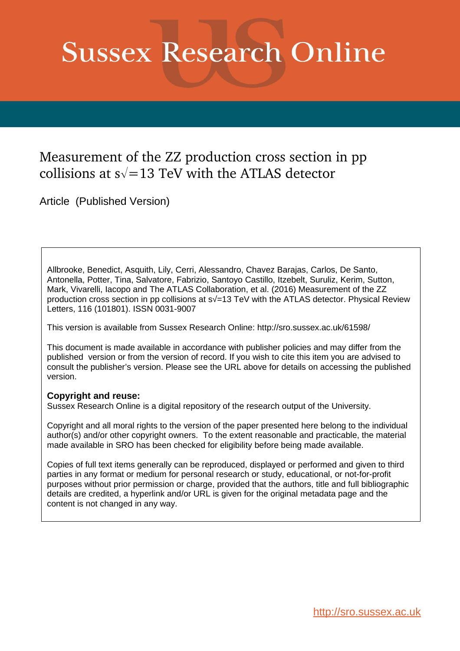# **Sussex Research Online**

## Measurement of the ZZ production cross section in pp collisions at  $s\sqrt{=}13$  TeV with the ATLAS detector

Article (Published Version)

Allbrooke, Benedict, Asquith, Lily, Cerri, Alessandro, Chavez Barajas, Carlos, De Santo, Antonella, Potter, Tina, Salvatore, Fabrizio, Santoyo Castillo, Itzebelt, Suruliz, Kerim, Sutton, Mark, Vivarelli, Iacopo and The ATLAS Collaboration, et al. (2016) Measurement of the ZZ production cross section in pp collisions at s√=13 TeV with the ATLAS detector. Physical Review Letters, 116 (101801). ISSN 0031-9007

This version is available from Sussex Research Online: http://sro.sussex.ac.uk/61598/

This document is made available in accordance with publisher policies and may differ from the published version or from the version of record. If you wish to cite this item you are advised to consult the publisher's version. Please see the URL above for details on accessing the published version.

#### **Copyright and reuse:**

Sussex Research Online is a digital repository of the research output of the University.

Copyright and all moral rights to the version of the paper presented here belong to the individual author(s) and/or other copyright owners. To the extent reasonable and practicable, the material made available in SRO has been checked for eligibility before being made available.

Copies of full text items generally can be reproduced, displayed or performed and given to third parties in any format or medium for personal research or study, educational, or not-for-profit purposes without prior permission or charge, provided that the authors, title and full bibliographic details are credited, a hyperlink and/or URL is given for the original metadata page and the content is not changed in any way.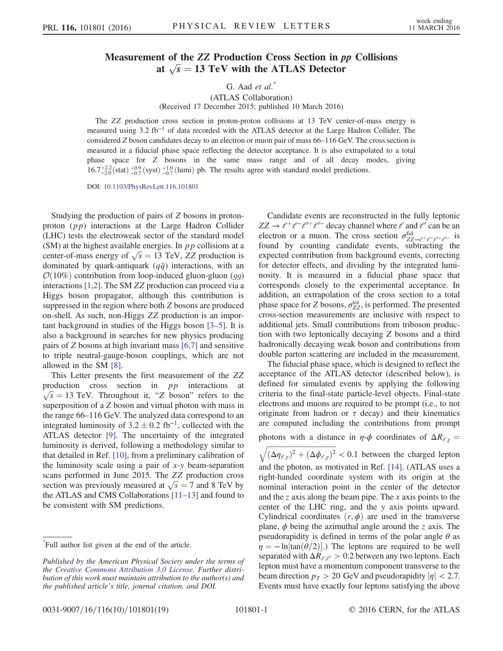### Measurement of the ZZ Production Cross Section in pp Collisions at  $\sqrt{s} = 13$  TeV with the ATLAS Detector

#### G. Aad  $et$   $al.$ <sup>\*</sup> (ATLAS Collaboration) (Received 17 December 2015; published 10 March 2016)

The ZZ production cross section in proton-proton collisions at 13 TeV center-of-mass energy is measured using 3.2 fb<sup>-1</sup> of data recorded with the ATLAS detector at the Large Hadron Collider. The considered Z boson candidates decay to an electron or muon pair of mass 66–116 GeV. The cross section is measured in a fiducial phase space reflecting the detector acceptance. It is also extrapolated to a total phase space for Z bosons in the same mass range and of all decay modes, giving  $16.7^{+2.2}_{-2.0}$ (stat)  $^{+0.9}_{-0.7}$  (syst)  $^{+1.0}_{-0.7}$  (lumi) pb. The results agree with standard model predictions.

DOI: [10.1103/PhysRevLett.116.101801](http://dx.doi.org/10.1103/PhysRevLett.116.101801)

Studying the production of pairs of Z bosons in protonproton  $(pp)$  interactions at the Large Hadron Collider (LHC) tests the electroweak sector of the standard model (SM) at the highest available energies. In  $pp$  collisions at a center-of-mass energy of  $\sqrt{s} = 13$  TeV, ZZ production is dominated by quark-antiquark  $(q\bar{q})$  interactions, with an  $\mathcal{O}(10\%)$  contribution from loop-induced gluon-gluon (gg) interactions [\[1,2\]](#page-4-0). The SM ZZ production can proceed via a Higgs boson propagator, although this contribution is suppressed in the region where both Z bosons are produced on-shell. As such, non-Higgs ZZ production is an important background in studies of the Higgs boson [3–[5\].](#page-4-1) It is also a background in searches for new physics producing pairs of Z bosons at high invariant mass [\[6,7\]](#page-4-2) and sensitive to triple neutral-gauge-boson couplings, which are not allowed in the SM [\[8\]](#page-5-0).

This Letter presents the first measurement of the ZZ production cross section in pp interactions at  $\sqrt{s} = 13$  TeV. Throughout it, "Z boson" refers to the superposition of a Z boson and virtual photon with mass in the range 66–116 GeV. The analyzed data correspond to an integrated luminosity of  $3.2 \pm 0.2$  fb<sup>-1</sup>, collected with the ATLAS detector [\[9\].](#page-5-1) The uncertainty of the integrated luminosity is derived, following a methodology similar to that detailed in Ref. [\[10\]](#page-5-2), from a preliminary calibration of the luminosity scale using a pair of  $x-y$  beam-separation scans performed in June 2015. The ZZ production cross section was previously measured at  $\sqrt{s} = 7$  and 8 TeV by the ATLAS and CMS Collaborations [11–[13\]](#page-5-3) and found to be consistent with SM predictions.

Candidate events are reconstructed in the fully leptonic  $ZZ \to \ell^+ \ell^- \ell^{\prime +} \ell^{\prime -}$  decay channel where  $\ell$  and  $\ell^{\prime}$  can be an electron or a muon. The cross section  $\sigma_{ZZ\rightarrow \ell^+\ell^-\ell^+\ell^-}^{\text{fid}}$  is found by counting candidate events, subtracting the expected contribution from background events, correcting for detector effects, and dividing by the integrated luminosity. It is measured in a fiducial phase space that corresponds closely to the experimental acceptance. In addition, an extrapolation of the cross section to a total phase space for Z bosons,  $\sigma_{ZZ}^{\text{tot}}$ , is performed. The presented cross-section measurements are inclusive with respect to additional jets. Small contributions from triboson production with two leptonically decaying Z bosons and a third hadronically decaying weak boson and contributions from double parton scattering are included in the measurement.

The fiducial phase space, which is designed to reflect the acceptance of the ATLAS detector (described below), is defined for simulated events by applying the following criteria to the final-state particle-level objects. Final-state electrons and muons are required to be prompt (i.e., to not originate from hadron or  $\tau$  decay) and their kinematics are computed including the contributions from prompt

photons with a distance in  $\eta$ - $\phi$  coordinates of  $\Delta R_{\ell,y}$  =

 $\sqrt{(\Delta \eta_{\ell,\gamma})^2 + (\Delta \phi_{\ell,\gamma})^2}$  < 0.1 between the charged lepton and the photon, as motivated in Ref. [\[14\]](#page-5-4). (ATLAS uses a right-handed coordinate system with its origin at the nominal interaction point in the center of the detector and the z axis along the beam pipe. The x axis points to the center of the LHC ring, and the y axis points upward. Cylindrical coordinates  $(r, \phi)$  are used in the transverse plane,  $\phi$  being the azimuthal angle around the z axis. The pseudorapidity is defined in terms of the polar angle  $\theta$  as  $\eta = -\ln[\tan(\theta/2)]$ .) The leptons are required to be well separated with  $\Delta R_{e,e'} > 0.2$  between any two leptons. Each lepton must have a momentum component transverse to the beam direction  $p_T > 20$  GeV and pseudorapidity  $|\eta| < 2.7$ . Events must have exactly four leptons satisfying the above

<sup>\*</sup> Full author list given at the end of the article.

Published by the American Physical Society under the terms of the [Creative Commons Attribution 3.0 License.](http://creativecommons.org/licenses/by/3.0/) Further distribution of this work must maintain attribution to the author(s) and the published article's title, journal citation, and DOI.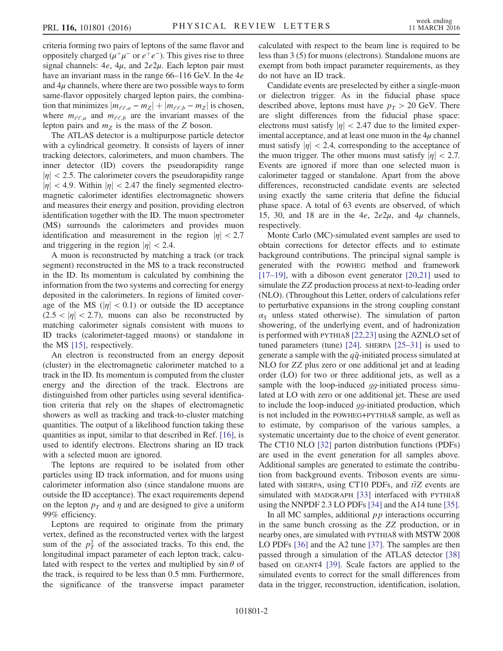criteria forming two pairs of leptons of the same flavor and oppositely charged  $(\mu^+\mu^-)$  or  $e^+e^-$ ). This gives rise to three signal channels:  $4e$ ,  $4\mu$ , and  $2e2\mu$ . Each lepton pair must have an invariant mass in the range 66–116 GeV. In the 4e and  $4\mu$  channels, where there are two possible ways to form same-flavor oppositely charged lepton pairs, the combination that minimizes  $|m_{\ell\ell,a} - m_Z| + |m_{\ell\ell,b} - m_Z|$  is chosen, where  $m_{\ell\ell,a}$  and  $m_{\ell\ell,b}$  are the invariant masses of the lepton pairs and  $m_Z$  is the mass of the Z boson.

The ATLAS detector is a multipurpose particle detector with a cylindrical geometry. It consists of layers of inner tracking detectors, calorimeters, and muon chambers. The inner detector (ID) covers the pseudorapidity range  $|\eta|$  < 2.5. The calorimeter covers the pseudorapidity range  $|\eta|$  < 4.9. Within  $|\eta|$  < 2.47 the finely segmented electromagnetic calorimeter identifies electromagnetic showers and measures their energy and position, providing electron identification together with the ID. The muon spectrometer (MS) surrounds the calorimeters and provides muon identification and measurement in the region  $|\eta| < 2.7$ and triggering in the region  $|\eta|$  < 2.4.

A muon is reconstructed by matching a track (or track segment) reconstructed in the MS to a track reconstructed in the ID. Its momentum is calculated by combining the information from the two systems and correcting for energy deposited in the calorimeters. In regions of limited coverage of the MS ( $|\eta|$  < 0.1) or outside the ID acceptance  $(2.5 < |\eta| < 2.7)$ , muons can also be reconstructed by matching calorimeter signals consistent with muons to ID tracks (calorimeter-tagged muons) or standalone in the MS [\[15\]](#page-5-5), respectively.

An electron is reconstructed from an energy deposit (cluster) in the electromagnetic calorimeter matched to a track in the ID. Its momentum is computed from the cluster energy and the direction of the track. Electrons are distinguished from other particles using several identification criteria that rely on the shapes of electromagnetic showers as well as tracking and track-to-cluster matching quantities. The output of a likelihood function taking these quantities as input, similar to that described in Ref. [\[16\],](#page-5-6) is used to identify electrons. Electrons sharing an ID track with a selected muon are ignored.

The leptons are required to be isolated from other particles using ID track information, and for muons using calorimeter information also (since standalone muons are outside the ID acceptance). The exact requirements depend on the lepton  $p<sub>T</sub>$  and  $\eta$  and are designed to give a uniform 99% efficiency.

Leptons are required to originate from the primary vertex, defined as the reconstructed vertex with the largest sum of the  $p_T^2$  of the associated tracks. To this end, the longitudinal impact parameter of each lepton track, calculated with respect to the vertex and multiplied by  $\sin \theta$  of the track, is required to be less than 0.5 mm. Furthermore, the significance of the transverse impact parameter <span id="page-2-0"></span>calculated with respect to the beam line is required to be less than 3 (5) for muons (electrons). Standalone muons are exempt from both impact parameter requirements, as they do not have an ID track.

Candidate events are preselected by either a single-muon or dielectron trigger. As in the fiducial phase space described above, leptons must have  $p_T > 20$  GeV. There are slight differences from the fiducial phase space: electrons must satisfy  $|\eta| < 2.47$  due to the limited experimental acceptance, and at least one muon in the  $4\mu$  channel must satisfy  $|\eta| < 2.4$ , corresponding to the acceptance of the muon trigger. The other muons must satisfy  $|\eta| < 2.7$ . Events are ignored if more than one selected muon is calorimeter tagged or standalone. Apart from the above differences, reconstructed candidate events are selected using exactly the same criteria that define the fiducial phase space. A total of 63 events are observed, of which 15, 30, and 18 are in the 4e,  $2e2\mu$ , and  $4\mu$  channels, respectively.

Monte Carlo (MC)-simulated event samples are used to obtain corrections for detector effects and to estimate background contributions. The principal signal sample is generated with the POWHEG method and framework [\[17](#page-5-7)–19], with a diboson event generator [\[20,21\]](#page-5-8) used to simulate the ZZ production process at next-to-leading order (NLO). (Throughout this Letter, orders of calculations refer to perturbative expansions in the strong coupling constant  $\alpha_S$  unless stated otherwise). The simulation of parton showering, of the underlying event, and of hadronization is performed with PYTHIA8 [\[22,23\]](#page-5-9) using the AZNLO set of tuned parameters (tune) [\[24\]](#page-5-10). SHERPA [\[25](#page-5-11)–31] is used to generate a sample with the  $q\bar{q}$ -initiated process simulated at NLO for ZZ plus zero or one additional jet and at leading order (LO) for two or three additional jets, as well as a sample with the loop-induced *qq*-initiated process simulated at LO with zero or one additional jet. These are used to include the loop-induced gg-initiated production, which is not included in the POWHEG+PYTHIA8 sample, as well as to estimate, by comparison of the various samples, a systematic uncertainty due to the choice of event generator. The CT10 NLO [\[32\]](#page-5-12) parton distribution functions (PDFs) are used in the event generation for all samples above. Additional samples are generated to estimate the contribution from background events. Triboson events are simulated with SHERPA, using CT10 PDFs, and  $t\bar{t}Z$  events are simulated with MADGRAPH [\[33\]](#page-5-13) interfaced with PYTHIA8 using the NNPDF 2.3 LO PDFs [\[34\]](#page-5-14) and the A14 tune [\[35\]](#page-5-15).

In all MC samples, additional  $pp$  interactions occurring in the same bunch crossing as the ZZ production, or in nearby ones, are simulated with PYTHIA8 with MSTW 2008 LO PDFs [\[36\]](#page-5-16) and the A2 tune [\[37\].](#page-5-17) The samples are then passed through a simulation of the ATLAS detector [\[38\]](#page-5-18) based on GEANT4 [\[39\]](#page-5-19). Scale factors are applied to the simulated events to correct for the small differences from data in the trigger, reconstruction, identification, isolation,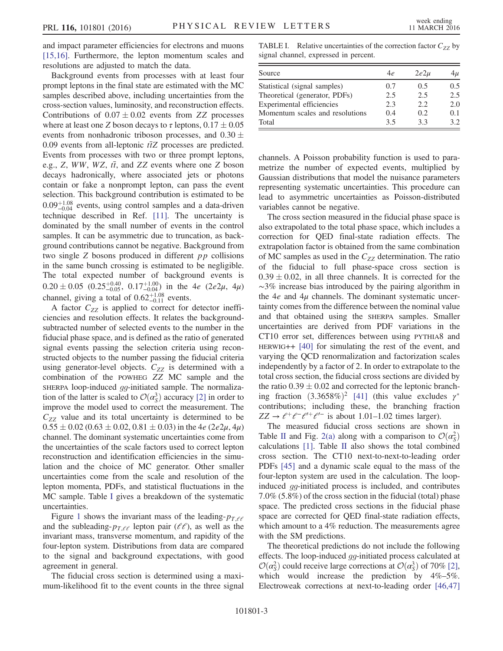<span id="page-3-0"></span>and impact parameter efficiencies for electrons and muons [\[15,16\]](#page-5-5). Furthermore, the lepton momentum scales and resolutions are adjusted to match the data.

Background events from processes with at least four prompt leptons in the final state are estimated with the MC samples described above, including uncertainties from the cross-section values, luminosity, and reconstruction effects. Contributions of  $0.07 \pm 0.02$  events from ZZ processes where at least one Z boson decays to  $\tau$  leptons,  $0.17 \pm 0.05$ events from nonhadronic triboson processes, and  $0.30 \pm 0.30$ 0.09 events from all-leptonic  $t\bar{t}Z$  processes are predicted. Events from processes with two or three prompt leptons, e.g., Z, WW, WZ,  $t\bar{t}$ , and ZZ events where one Z boson decays hadronically, where associated jets or photons contain or fake a nonprompt lepton, can pass the event selection. This background contribution is estimated to be  $0.09_{-0.04}^{+1.08}$  events, using control samples and a data-driven technique described in Ref. [\[11\]](#page-5-3). The uncertainty is dominated by the small number of events in the control samples. It can be asymmetric due to truncation, as background contributions cannot be negative. Background from two single Z bosons produced in different pp collisions in the same bunch crossing is estimated to be negligible. The total expected number of background events is  $0.20 \pm 0.05$   $(0.25^{+0.40}_{-0.05}, 0.17^{+1.00}_{-0.04})$  in the 4e  $(2e2\mu, 4\mu)$ channel, giving a total of  $0.62_{-0.11}^{+1.08}$  events.

A factor  $C_{ZZ}$  is applied to correct for detector inefficiencies and resolution effects. It relates the backgroundsubtracted number of selected events to the number in the fiducial phase space, and is defined as the ratio of generated signal events passing the selection criteria using reconstructed objects to the number passing the fiducial criteria using generator-level objects.  $C_{ZZ}$  is determined with a combination of the POWHEG ZZ MC sample and the SHERPA loop-induced gg-initiated sample. The normalization of the latter is scaled to  $\mathcal{O}(\alpha_S^3)$  $\binom{3}{s}$  accuracy [\[2\]](#page-4-3) in order to improve the model used to correct the measurement. The  $C_{ZZ}$  value and its total uncertainty is determined to be  $0.55 \pm 0.02$  (0.63  $\pm$  0.02, 0.81  $\pm$  0.03) in the 4e (2e2 $\mu$ , 4 $\mu$ ) channel. The dominant systematic uncertainties come from the uncertainties of the scale factors used to correct lepton reconstruction and identification efficiencies in the simulation and the choice of MC generator. Other smaller uncertainties come from the scale and resolution of the lepton momenta, PDFs, and statistical fluctuations in the MC sample. Table [I](#page-2-0) gives a breakdown of the systematic uncertainties.

<span id="page-3-1"></span>Figure [1](#page-3-0) shows the invariant mass of the leading- $p_{T,\ell\ell}$ and the subleading- $p_{T,\ell\ell}$  lepton pair ( $\ell\ell$ ), as well as the invariant mass, transverse momentum, and rapidity of the four-lepton system. Distributions from data are compared to the signal and background expectations, with good agreement in general.

The fiducial cross section is determined using a maximum-likelihood fit to the event counts in the three signal

TABLE I. Relative uncertainties of the correction factor  $C_{ZZ}$  by signal channel, expressed in percent.

| Source                          | 4e  | $2e2\mu$ | $4\mu$ |
|---------------------------------|-----|----------|--------|
| Statistical (signal samples)    | 0.7 | 0.5      | 0.5    |
| Theoretical (generator, PDFs)   | 2.5 | 2.5      | 2.5    |
| Experimental efficiencies       | 2.3 | 2.2      | 2.0    |
| Momentum scales and resolutions | 0.4 | 0.2      | 0.1    |
| Total                           | 3.5 | 3.3      | 3.2.   |

channels. A Poisson probability function is used to parametrize the number of expected events, multiplied by Gaussian distributions that model the nuisance parameters representing systematic uncertainties. This procedure can lead to asymmetric uncertainties as Poisson-distributed variables cannot be negative.

The cross section measured in the fiducial phase space is also extrapolated to the total phase space, which includes a correction for QED final-state radiation effects. The extrapolation factor is obtained from the same combination of MC samples as used in the  $C_{ZZ}$  determination. The ratio of the fiducial to full phase-space cross section is  $0.39 \pm 0.02$ , in all three channels. It is corrected for the ∼3% increase bias introduced by the pairing algorithm in the  $4e$  and  $4\mu$  channels. The dominant systematic uncertainty comes from the difference between the nominal value and that obtained using the SHERPA samples. Smaller uncertainties are derived from PDF variations in the CT10 error set, differences between using PYTHIA8 and HERWIG++ [\[40\]](#page-5-20) for simulating the rest of the event, and varying the QCD renormalization and factorization scales independently by a factor of 2. In order to extrapolate to the total cross section, the fiducial cross sections are divided by the ratio  $0.39 \pm 0.02$  and corrected for the leptonic branching fraction  $(3.3658\%)^2$  [\[41\]](#page-5-21) (this value excludes  $\gamma^*$ contributions; including these, the branching fraction  $ZZ \rightarrow \ell^+ \ell^- \ell^{\prime +} \ell^{\prime -}$  is about 1.01–1.02 times larger).

The measured fiducial cross sections are shown in Table [II](#page-3-1) and Fig. [2\(a\)](#page-4-4) along with a comparison to  $\mathcal{O}(\alpha_S^2)$  $\overline{s}$ ) calculations [\[1\]](#page-4-0). Table [II](#page-3-1) also shows the total combined cross section. The CT10 next-to-next-to-leading order PDFs [\[45\]](#page-5-22) and a dynamic scale equal to the mass of the four-lepton system are used in the calculation. The loopinduced gg-initiated process is included, and contributes 7.0% (5.8%) of the cross section in the fiducial (total) phase space. The predicted cross sections in the fiducial phase space are corrected for QED final-state radiation effects, which amount to a 4% reduction. The measurements agree with the SM predictions.

The theoretical predictions do not include the following effects. The loop-induced gg-initiated process calculated at  $\mathcal{O}(\alpha_s^2)$  $\frac{2}{5}$ ) could receive large corrections at  $\mathcal{O}(\alpha_S^3)$  $\binom{3}{5}$  of 70% [\[2\]](#page-4-3), which would increase the prediction by  $4\% - 5\%$ . Electroweak corrections at next-to-leading order [\[46,47\]](#page-5-23)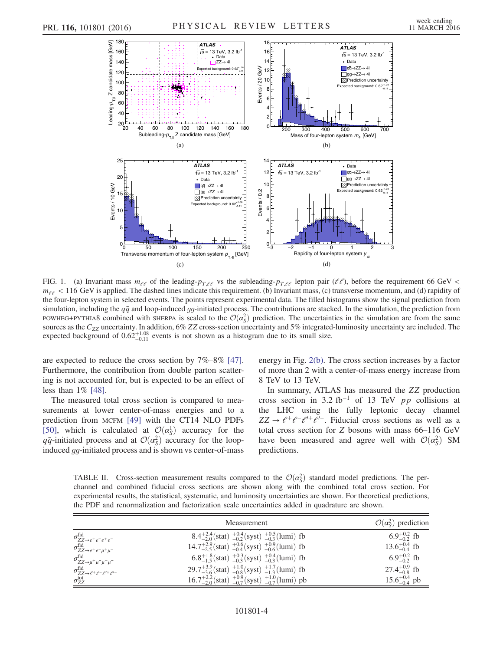<span id="page-4-4"></span>

FIG. 1. (a) Invariant mass  $m_{\ell\ell}$  of the leading- $p_{T,\ell\ell}$  vs the subleading- $p_{T,\ell\ell}$  lepton pair ( $\ell\ell$ ), before the requirement 66 GeV <  $m_{e\ell}$  < 116 GeV is applied. The dashed lines indicate this requirement. (b) Invariant mass, (c) transverse momentum, and (d) rapidity of the four-lepton system in selected events. The points represent experimental data. The filled histograms show the signal prediction from simulation, including the  $q\bar{q}$  and loop-induced gg-initiated process. The contributions are stacked. In the simulation, the prediction from POWHEG+PYTHIA8 combined with SHERPA is scaled to the  $\mathcal{O}(\alpha_S^2)$  prediction. The uncertainties in the simulation are from the same sources as the  $C_{ZZ}$  uncertainty. In addition, 6% ZZ cross-section uncertainty and 5% integrated-luminosity uncertainty are included. The expected background of  $0.62^{+1.08}_{-0.11}$  events is not shown as a histogram due to its small size.

are expected to reduce the cross section by 7%–8% [\[47\]](#page-5-24). Furthermore, the contribution from double parton scattering is not accounted for, but is expected to be an effect of less than 1% [\[48\].](#page-5-25)

The measured total cross section is compared to measurements at lower center-of-mass energies and to a prediction from MCFM [\[49\]](#page-6-0) with the CT14 NLO PDFs [\[50\]](#page-6-1), which is calculated at  $\mathcal{O}(\alpha_s^1)$  $\frac{1}{s}$  accuracy for the  $q\bar{q}$ -initiated process and at  $\mathcal{O}(\alpha_S^2)$  $S<sub>S</sub>$ ) accuracy for the loopinduced gg-initiated process and is shown vs center-of-mass <span id="page-4-3"></span><span id="page-4-0"></span>energy in Fig. [2\(b\).](#page-4-4) The cross section increases by a factor of more than 2 with a center-of-mass energy increase from 8 TeV to 13 TeV.

<span id="page-4-2"></span><span id="page-4-1"></span>In summary, ATLAS has measured the ZZ production cross section in 3.2 fb<sup>-1</sup> of 13 TeV *pp* collisions at the LHC using the fully leptonic decay channel  $ZZ \rightarrow \ell^+ \ell^- \ell^{\prime +} \ell^{\prime -}$ . Fiducial cross sections as well as a total cross section for Z bosons with mass 66–116 GeV have been measured and agree well with  $\mathcal{O}(\alpha_S^2)$  $S^2$ ) SM predictions.

TABLE II. Cross-section measurement results compared to the  $\mathcal{O}(\alpha_S^2)$  standard model predictions. The perchannel and combined fiducial cross sections are shown along with the combined total cross section. For experimental results, the statistical, systematic, and luminosity uncertainties are shown. For theoretical predictions, the PDF and renormalization and factorization scale uncertainties added in quadrature are shown.

|                                                                                | <b>Measurement</b>                                                             | $\mathcal{O}(\alpha_s^2)$ prediction |
|--------------------------------------------------------------------------------|--------------------------------------------------------------------------------|--------------------------------------|
| $\sigma_{ZZ\rightarrow e^+e^-e^+e^-}^{\text{fid}}$                             | $8.4^{+2.4}_{-2.0}$ (stat) $^{+0.4}_{-0.2}$ (syst) $^{+0.5}_{-0.3}$ (lumi) fb  | 6.9 <sup>+0.2</sup> fb               |
| $\sigma_{ZZ\rightarrow e^+e^-\mu^+\mu^-}^{\rm fid}$                            | $14.7^{+2.9}_{-2.5}$ (stat) $^{+0.6}_{-0.4}$ (syst) $^{+0.9}_{-0.6}$ (lumi) fb | $13.6^{+0.4}_{-0.4}$ fb              |
| $\sigma_{ZZ\to\mu^+\mu^-\mu^+\mu^-}^{\rm fid}$                                 | 6.8 <sup>+1.8</sup> (stat) $^{+0.3}_{-0.3}$ (syst) $^{+0.4}_{-0.3}$ (lumi) fb  | 6.9 <sup>+0.2</sup> fb               |
| $\sigma_{ZZ\rightarrow \ell^+\ell^-\ell^{\prime+}\ell^{\prime-}}^{\text{fid}}$ | $29.7^{+3.9}_{-3.6}$ (stat) $^{+1.0}_{-0.8}$ (syst) $^{+1.7}_{-1.3}$ (lumi) fb | $27.4^{+0.9}_{-0.8}$ fb              |
| $\sigma^{\rm tot}_{ZZ}$                                                        | $16.7^{+2.2}_{-2.0}$ (stat) $^{+0.9}_{-0.7}$ (syst) $^{+1.0}_{-0.7}$ (lumi) pb | $15.6^{+0.4}_{-0.4}$ pb              |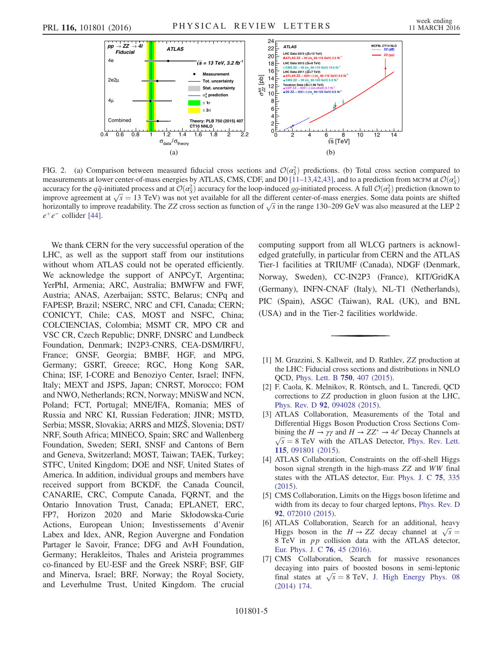<span id="page-5-1"></span><span id="page-5-0"></span>

<span id="page-5-3"></span><span id="page-5-2"></span>FIG. 2. (a) Comparison between measured fiducial cross sections and  $\mathcal{O}(\alpha_S^2)$  predictions. (b) Total cross section compared to measurements at lower center-of-mass energies by ATLAS, CMS, CDF, and D0 [11–[13,42,43\]](#page-5-3), and to a prediction from MCFM at  $\mathcal{O}(\alpha_S^1)$ accuracy for the  $q\bar{q}$ -initiated process and at  $\mathcal{O}(\alpha_S^2)$  accuracy for the loop-induced gg-initiated process. A full  $\mathcal{O}(\alpha_S^2)$  prediction (known to improve agreement at  $\sqrt{s} = 13$  TeV) was not yet available for all the different center-of-mass energies. Some data points are shifted horizontally to improve readability. The ZZ cross section as function of  $\sqrt{s}$  in the range 130–209 GeV was also measured at the LEP 2  $e^+e^-$  collider [\[44\].](#page-5-26)

<span id="page-5-9"></span><span id="page-5-8"></span><span id="page-5-7"></span><span id="page-5-6"></span><span id="page-5-5"></span><span id="page-5-4"></span>We thank CERN for the very successful operation of the LHC, as well as the support staff from our institutions without whom ATLAS could not be operated efficiently. We acknowledge the support of ANPCyT, Argentina; YerPhI, Armenia; ARC, Australia; BMWFW and FWF, Austria; ANAS, Azerbaijan; SSTC, Belarus; CNPq and FAPESP, Brazil; NSERC, NRC and CFI, Canada; CERN; CONICYT, Chile; CAS, MOST and NSFC, China; COLCIENCIAS, Colombia; MSMT CR, MPO CR and VSC CR, Czech Republic; DNRF, DNSRC and Lundbeck Foundation, Denmark; IN2P3-CNRS, CEA-DSM/IRFU, France; GNSF, Georgia; BMBF, HGF, and MPG, Germany; GSRT, Greece; RGC, Hong Kong SAR, China; ISF, I-CORE and Benoziyo Center, Israel; INFN, Italy; MEXT and JSPS, Japan; CNRST, Morocco; FOM and NWO, Netherlands; RCN, Norway; MNiSW and NCN, Poland; FCT, Portugal; MNE/IFA, Romania; MES of Russia and NRC KI, Russian Federation; JINR; MSTD, Serbia; MSSR, Slovakia; ARRS and MIZŠ, Slovenia; DST/ NRF, South Africa; MINECO, Spain; SRC and Wallenberg Foundation, Sweden; SERI, SNSF and Cantons of Bern and Geneva, Switzerland; MOST, Taiwan; TAEK, Turkey; STFC, United Kingdom; DOE and NSF, United States of America. In addition, individual groups and members have received support from BCKDF, the Canada Council, CANARIE, CRC, Compute Canada, FQRNT, and the Ontario Innovation Trust, Canada; EPLANET, ERC, FP7, Horizon 2020 and Marie Skłodowska-Curie Actions, European Union; Investissements d'Avenir Labex and Idex, ANR, Region Auvergne and Fondation Partager le Savoir, France; DFG and AvH Foundation, Germany; Herakleitos, Thales and Aristeia programmes co-financed by EU-ESF and the Greek NSRF; BSF, GIF and Minerva, Israel; BRF, Norway; the Royal Society, and Leverhulme Trust, United Kingdom. The crucial <span id="page-5-18"></span><span id="page-5-17"></span><span id="page-5-16"></span><span id="page-5-15"></span><span id="page-5-14"></span><span id="page-5-13"></span><span id="page-5-12"></span>computing support from all WLCG partners is acknowledged gratefully, in particular from CERN and the ATLAS Tier-1 facilities at TRIUMF (Canada), NDGF (Denmark, Norway, Sweden), CC-IN2P3 (France), KIT/GridKA (Germany), INFN-CNAF (Italy), NL-T1 (Netherlands), PIC (Spain), ASGC (Taiwan), RAL (UK), and BNL (USA) and in the Tier-2 facilities worldwide.

- <span id="page-5-21"></span><span id="page-5-20"></span><span id="page-5-19"></span>[1] M. Grazzini, S. Kallweit, and D. Rathlev, ZZ production at the LHC: Fiducial cross sections and distributions in NNLO QCD, [Phys. Lett. B](http://dx.doi.org/10.1016/j.physletb.2015.09.055) 750, 407 (2015).
- [2] F. Caola, K. Melnikov, R. Röntsch, and L. Tancredi, QCD corrections to ZZ production in gluon fusion at the LHC, Phys. Rev. D 92[, 094028 \(2015\)](http://dx.doi.org/10.1103/PhysRevD.92.094028).
- <span id="page-5-26"></span>[3] ATLAS Collaboration, Measurements of the Total and Differential Higgs Boson Production Cross Sections Combining the  $H \to \gamma \gamma$  and  $H \to ZZ^* \to 4\ell$  Decay Channels at  $\sqrt{s} = 8$  TeV with the ATLAS Detector, [Phys. Rev. Lett.](http://dx.doi.org/10.1103/PhysRevLett.115.091801) 115[, 091801 \(2015\).](http://dx.doi.org/10.1103/PhysRevLett.115.091801)
- <span id="page-5-22"></span><span id="page-5-10"></span>[4] ATLAS Collaboration, Constraints on the off-shell Higgs boson signal strength in the high-mass ZZ and WW final states with the ATLAS detector, [Eur. Phys. J. C](http://dx.doi.org/10.1140/epjc/s10052-015-3542-2) 75, 335 [\(2015\).](http://dx.doi.org/10.1140/epjc/s10052-015-3542-2)
- <span id="page-5-11"></span>[5] CMS Collaboration, Limits on the Higgs boson lifetime and width from its decay to four charged leptons, [Phys. Rev. D](http://dx.doi.org/10.1103/PhysRevD.92.072010) 92[, 072010 \(2015\).](http://dx.doi.org/10.1103/PhysRevD.92.072010)
- <span id="page-5-24"></span><span id="page-5-23"></span>[6] ATLAS Collaboration, Search for an additional, heavy Higgs boson in the  $H \rightarrow ZZ$  decay channel at  $\sqrt{s} =$ 8 TeV in pp collision data with the ATLAS detector, [Eur. Phys. J. C](http://dx.doi.org/10.1140/epjc/s10052-015-3820-z) 76, 45 (2016).
- <span id="page-5-25"></span>[7] CMS Collaboration, Search for massive resonances decaying into pairs of boosted bosons in semi-leptonic final states at  $\sqrt{s} = 8$  TeV, [J. High Energy Phys. 08](http://dx.doi.org/10.1007/JHEP08(2014)174) [\(2014\) 174.](http://dx.doi.org/10.1007/JHEP08(2014)174)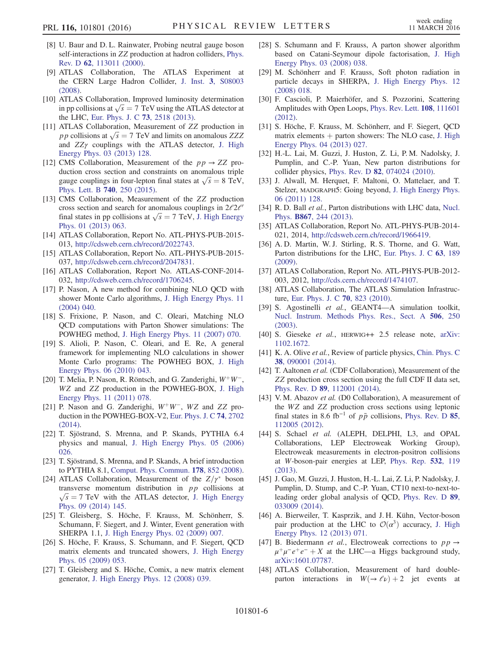- [8] U. Baur and D. L. Rainwater, Probing neutral gauge boson self-interactions in ZZ production at hadron colliders, [Phys.](http://dx.doi.org/10.1103/PhysRevD.62.113011) Rev. D 62[, 113011 \(2000\)](http://dx.doi.org/10.1103/PhysRevD.62.113011).
- <span id="page-6-0"></span>[9] ATLAS Collaboration, The ATLAS Experiment at the CERN Large Hadron Collider, J. Inst. 3[, S08003](http://dx.doi.org/10.1088/1748-0221/3/08/S08003) [\(2008\).](http://dx.doi.org/10.1088/1748-0221/3/08/S08003)
- [10] ATLAS Collaboration, Improved luminosity determination in pp collisions at  $\sqrt{s} = 7$  TeV using the ATLAS detector at the LHC, [Eur. Phys. J. C](http://dx.doi.org/10.1140/epjc/s10052-013-2518-3) 73, 2518 (2013).
- <span id="page-6-3"></span>[11] ATLAS Collaboration, Measurement of ZZ production in pp collisions at  $\sqrt{s} = 7$  TeV and limits on anomalous ZZZ and  $ZZ\gamma$  couplings with the ATLAS detector, [J. High](http://dx.doi.org/10.1007/JHEP03(2013)128) [Energy Phys. 03 \(2013\) 128.](http://dx.doi.org/10.1007/JHEP03(2013)128)
- <span id="page-6-4"></span>[12] CMS Collaboration, Measurement of the  $pp \rightarrow ZZ$  production cross section and constraints on anomalous triple gauge couplings in four-lepton final states at  $\sqrt{s} = 8 \text{ TeV}$ , [Phys. Lett. B](http://dx.doi.org/10.1016/j.physletb.2014.11.059) 740, 250 (2015).
- [13] CMS Collaboration, Measurement of the ZZ production cross section and search for anomalous couplings in  $2\ell 2\ell'$ final states in pp collisions at  $\sqrt{s} = 7$  TeV, [J. High Energy](http://dx.doi.org/10.1007/JHEP01(2013)063) [Phys. 01 \(2013\) 063.](http://dx.doi.org/10.1007/JHEP01(2013)063)
- [14] ATLAS Collaboration, Report No. ATL-PHYS-PUB-2015-013, <http://cdsweb.cern.ch/record/2022743>.
- [15] ATLAS Collaboration, Report No. ATL-PHYS-PUB-2015- 037, <http://cdsweb.cern.ch/record/2047831>.
- [16] ATLAS Collaboration, Report No. ATLAS-CONF-2014-032, <http://cdsweb.cern.ch/record/1706245>.
- <span id="page-6-6"></span>[17] P. Nason, A new method for combining NLO QCD with shower Monte Carlo algorithms, [J. High Energy Phys. 11](http://dx.doi.org/10.1088/1126-6708/2004/11/040) [\(2004\) 040.](http://dx.doi.org/10.1088/1126-6708/2004/11/040)
- <span id="page-6-7"></span>[18] S. Frixione, P. Nason, and C. Oleari, Matching NLO QCD computations with Parton Shower simulations: The POWHEG method, [J. High Energy Phys. 11 \(2007\) 070.](http://dx.doi.org/10.1088/1126-6708/2007/11/070)
- [19] S. Alioli, P. Nason, C. Oleari, and E. Re, A general framework for implementing NLO calculations in shower Monte Carlo programs: The POWHEG BOX, [J. High](http://dx.doi.org/10.1007/JHEP06(2010)043) [Energy Phys. 06 \(2010\) 043.](http://dx.doi.org/10.1007/JHEP06(2010)043)
- <span id="page-6-9"></span><span id="page-6-8"></span>[20] T. Melia, P. Nason, R. Röntsch, and G. Zanderighi,  $W^+W^-$ , WZ and ZZ production in the POWHEG-BOX, [J. High](http://dx.doi.org/10.1007/JHEP11(2011)078) [Energy Phys. 11 \(2011\) 078.](http://dx.doi.org/10.1007/JHEP11(2011)078)
- [21] P. Nason and G. Zanderighi,  $W^+W^-$ , WZ and ZZ production in the POWHEG-BOX-V2, [Eur. Phys. J. C](http://dx.doi.org/10.1140/epjc/s10052-013-2702-5) 74, 2702 [\(2014\).](http://dx.doi.org/10.1140/epjc/s10052-013-2702-5)
- [22] T. Sjöstrand, S. Mrenna, and P. Skands, PYTHIA 6.4 physics and manual, [J. High Energy Phys. 05 \(2006\)](http://dx.doi.org/10.1088/1126-6708/2006/05/026) [026.](http://dx.doi.org/10.1088/1126-6708/2006/05/026)
- [23] T. Sjöstrand, S. Mrenna, and P. Skands, A brief introduction to PYTHIA 8.1, [Comput. Phys. Commun.](http://dx.doi.org/10.1016/j.cpc.2008.01.036) 178, 852 (2008).
- [24] ATLAS Collaboration, Measurement of the  $Z/\gamma^*$  boson transverse momentum distribution in  $pp$  collisions at  $\sqrt{s}$  = 7 TeV with the ATLAS detector, [J. High Energy](http://dx.doi.org/10.1007/JHEP09(2014)145) [Phys. 09 \(2014\) 145.](http://dx.doi.org/10.1007/JHEP09(2014)145)
- <span id="page-6-2"></span>[25] T. Gleisberg, S. Höche, F. Krauss, M. Schönherr, S. Schumann, F. Siegert, and J. Winter, Event generation with SHERPA 1.1, [J. High Energy Phys. 02 \(2009\) 007.](http://dx.doi.org/10.1088/1126-6708/2009/02/007)
- <span id="page-6-5"></span>[26] S. Höche, F. Krauss, S. Schumann, and F. Siegert, QCD matrix elements and truncated showers, [J. High Energy](http://dx.doi.org/10.1088/1126-6708/2009/05/053) [Phys. 05 \(2009\) 053.](http://dx.doi.org/10.1088/1126-6708/2009/05/053)
- [27] T. Gleisberg and S. Höche, Comix, a new matrix element generator, [J. High Energy Phys. 12 \(2008\) 039.](http://dx.doi.org/10.1088/1126-6708/2008/12/039)
- <span id="page-6-1"></span>[28] S. Schumann and F. Krauss, A parton shower algorithm based on Catani-Seymour dipole factorisation, [J. High](http://dx.doi.org/10.1088/1126-6708/2008/03/038) [Energy Phys. 03 \(2008\) 038.](http://dx.doi.org/10.1088/1126-6708/2008/03/038)
- [29] M. Schönherr and F. Krauss, Soft photon radiation in particle decays in SHERPA, [J. High Energy Phys. 12](http://dx.doi.org/10.1088/1126-6708/2008/12/018) [\(2008\) 018.](http://dx.doi.org/10.1088/1126-6708/2008/12/018)
- [30] F. Cascioli, P. Maierhöfer, and S. Pozzorini, Scattering Amplitudes with Open Loops, [Phys. Rev. Lett.](http://dx.doi.org/10.1103/PhysRevLett.108.111601) 108, 111601 [\(2012\).](http://dx.doi.org/10.1103/PhysRevLett.108.111601)
- [31] S. Höche, F. Krauss, M. Schönherr, and F. Siegert, QCD matrix elements  $+$  parton showers: The NLO case, [J. High](http://dx.doi.org/10.1007/JHEP04(2013)027) [Energy Phys. 04 \(2013\) 027.](http://dx.doi.org/10.1007/JHEP04(2013)027)
- [32] H.-L. Lai, M. Guzzi, J. Huston, Z. Li, P. M. Nadolsky, J. Pumplin, and C.-P. Yuan, New parton distributions for collider physics, Phys. Rev. D 82[, 074024 \(2010\)](http://dx.doi.org/10.1103/PhysRevD.82.074024).
- [33] J. Alwall, M. Herquet, F. Maltoni, O. Mattelaer, and T. Stelzer, MADGRAPH5: Going beyond, [J. High Energy Phys.](http://dx.doi.org/10.1007/JHEP06(2011)128) [06 \(2011\) 128.](http://dx.doi.org/10.1007/JHEP06(2011)128)
- [34] R. D. Ball et al., Parton distributions with LHC data, [Nucl.](http://dx.doi.org/10.1016/j.nuclphysb.2012.10.003) Phys. B867[, 244 \(2013\).](http://dx.doi.org/10.1016/j.nuclphysb.2012.10.003)
- [35] ATLAS Collaboration, Report No. ATL-PHYS-PUB-2014-021, 2014, <http://cdsweb.cern.ch/record/1966419>.
- [36] A. D. Martin, W. J. Stirling, R. S. Thorne, and G. Watt, Parton distributions for the LHC, [Eur. Phys. J. C](http://dx.doi.org/10.1140/epjc/s10052-009-1072-5) 63, 189 [\(2009\).](http://dx.doi.org/10.1140/epjc/s10052-009-1072-5)
- [37] ATLAS Collaboration, Report No. ATL-PHYS-PUB-2012-003, 2012, [http://cds.cern.ch/record/1474107.](http://cds.cern.ch/record/1474107)
- [38] ATLAS Collaboration, The ATLAS Simulation Infrastructure, [Eur. Phys. J. C](http://dx.doi.org/10.1140/epjc/s10052-010-1429-9) 70, 823 (2010).
- [39] S. Agostinelli et al., GEANT4-A simulation toolkit, [Nucl. Instrum. Methods Phys. Res., Sect. A](http://dx.doi.org/10.1016/S0168-9002(03)01368-8) 506, 250 [\(2003\).](http://dx.doi.org/10.1016/S0168-9002(03)01368-8)
- [40] S. Gieseke et al., HERWIG++ 2.5 release note, [arXiv:](http://arXiv.org/abs/1102.1672) [1102.1672.](http://arXiv.org/abs/1102.1672)
- [41] K. A. Olive et al., Review of particle physics, [Chin. Phys. C](http://dx.doi.org/10.1088/1674-1137/38/9/090001) 38[, 090001 \(2014\).](http://dx.doi.org/10.1088/1674-1137/38/9/090001)
- [42] T. Aaltonen et al. (CDF Collaboration), Measurement of the ZZ production cross section using the full CDF II data set, Phys. Rev. D 89[, 112001 \(2014\)](http://dx.doi.org/10.1103/PhysRevD.89.112001).
- [43] V. M. Abazov et al. (D0 Collaboration), A measurement of the WZ and ZZ production cross sections using leptonic final states in 8.6 fb<sup>-1</sup> of  $p\bar{p}$  collisions, [Phys. Rev. D](http://dx.doi.org/10.1103/PhysRevD.85.112005) 85, [112005 \(2012\).](http://dx.doi.org/10.1103/PhysRevD.85.112005)
- [44] S. Schael et al. (ALEPH, DELPHI, L3, and OPAL Collaborations, LEP Electroweak Working Group), Electroweak measurements in electron-positron collisions at W-boson-pair energies at LEP, [Phys. Rep.](http://dx.doi.org/10.1016/j.physrep.2013.07.004) 532, 119 [\(2013\).](http://dx.doi.org/10.1016/j.physrep.2013.07.004)
- [45] J. Gao, M. Guzzi, J. Huston, H.-L. Lai, Z. Li, P. Nadolsky, J. Pumplin, D. Stump, and C.-P. Yuan, CT10 next-to-next-toleading order global analysis of QCD, [Phys. Rev. D](http://dx.doi.org/10.1103/PhysRevD.89.033009) 89, [033009 \(2014\).](http://dx.doi.org/10.1103/PhysRevD.89.033009)
- [46] A. Bierweiler, T. Kasprzik, and J. H. Kühn, Vector-boson pair production at the LHC to  $\mathcal{O}(\alpha^3)$  accuracy, [J. High](http://dx.doi.org/10.1007/JHEP12(2013)071) [Energy Phys. 12 \(2013\) 071.](http://dx.doi.org/10.1007/JHEP12(2013)071)
- [47] B. Biedermann *et al.*, Electroweak corrections to  $pp \rightarrow$  $\mu^+\mu^-e^+e^- + X$  at the LHC—a Higgs background study, [arXiv:1601.07787.](http://arXiv.org/abs/1601.07787)
- [48] ATLAS Collaboration, Measurement of hard doubleparton interactions in  $W(\rightarrow \ell \nu) + 2$  jet events at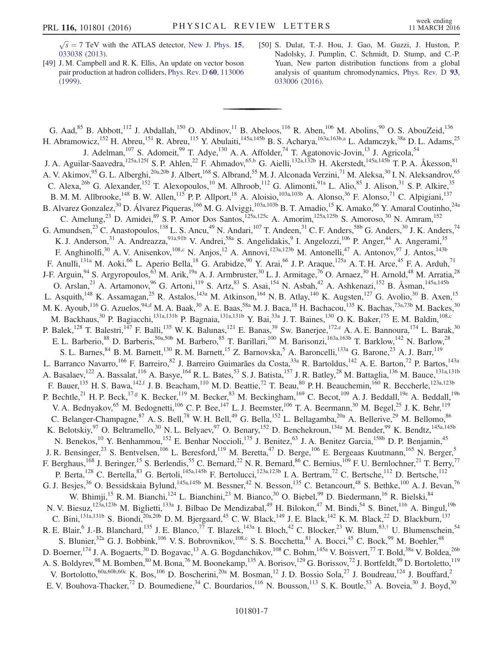$\sqrt{s}$  = 7 TeV with the ATLAS detector, [New J. Phys.](http://dx.doi.org/10.1088/1367-2630/15/3/033038) 15, [033038 \(2013\).](http://dx.doi.org/10.1088/1367-2630/15/3/033038)

- [49] J. M. Campbell and R. K. Ellis, An update on vector boson pair production at hadron colliders, [Phys. Rev. D](http://dx.doi.org/10.1103/PhysRevD.60.113006) 60, 113006 [\(1999\).](http://dx.doi.org/10.1103/PhysRevD.60.113006)
- [50] S. Dulat, T.-J. Hou, J. Gao, M. Guzzi, J. Huston, P. Nadolsky, J. Pumplin, C. Schmidt, D. Stump, and C.-P. Yuan, New parton distribution functions from a global analysis of quantum chromodynamics, [Phys. Rev. D](http://dx.doi.org/10.1103/PhysRevD.93.033006) 93, [033006 \(2016\).](http://dx.doi.org/10.1103/PhysRevD.93.033006)

<span id="page-7-4"></span><span id="page-7-3"></span><span id="page-7-2"></span><span id="page-7-1"></span><span id="page-7-0"></span>G. Aad,<sup>85</sup> B. Abbott,<sup>112</sup> J. Abdallah,<sup>150</sup> O. Abdinov,<sup>11</sup> B. Abeloos,<sup>116</sup> R. Aben,<sup>106</sup> M. Abolins,<sup>90</sup> O. S. AbouZeid,<sup>136</sup> H. Abramowicz,<sup>152</sup> H. Abreu,<sup>151</sup> R. Abreu,<sup>115</sup> Y. Abulaiti,<sup>145a,145b</sup> B. S. Acharya,<sup>163a,163[b,a](#page-17-0)</sup> L. Adamczyk,<sup>38a</sup> D. L. Adams,<sup>25</sup> J. Adelman,<sup>107</sup> S. Adomeit,<sup>99</sup> T. Adye,<sup>130</sup> A. A. Affolder,<sup>74</sup> T. Agatonovic-Jovin,<sup>13</sup> J. Agricola,<sup>54</sup> J. A. Aguilar-Saavedra,<sup>125a,125f</sup> S. P. Ahlen,<sup>22</sup> F. Ahmadov,<sup>6[5,b](#page-17-1)</sup> G. Aielli,<sup>132a,132b</sup> H. Akerstedt,<sup>145a,145b</sup> T. P. A. Åkesson,<sup>81</sup> A. V. Akimov, <sup>95</sup> G. L. Alberghi, <sup>20a, 20b</sup> J. Albert, <sup>168</sup> S. Albrand, <sup>55</sup> M. J. Alconada Verzini, <sup>71</sup> M. Aleksa, <sup>30</sup> I. N. Aleksandrov, <sup>65</sup> C. Alexa,  $^{26b}$  G. Alexander,  $^{152}$  T. Alexopoulos,  $^{10}$  M. Alhroob,  $^{112}$  G. Alimonti,  $^{91a}$  L. Alio,  $^{85}$  J. Alison,  $^{31}$  S. P. Alkire,  $^{35}$ B. M. M. Allbrooke,<sup>148</sup> B. W. Allen,<sup>115</sup> P. P. Allport,<sup>18</sup> A. Aloisio,<sup>103a,103b</sup> A. Alonso,<sup>36</sup> F. Alonso,<sup>71</sup> C. Alpigiani,<sup>137</sup> B. Alvarez Gonzalez,<sup>30</sup> D. Álvarez Piqueras,<sup>166</sup> M. G. Alviggi,<sup>103a,103b</sup> B. T. Amadio,<sup>15</sup> K. Amako,<sup>66</sup> Y. Amaral Coutinho,<sup>24a</sup> C. Amelung,<sup>23</sup> D. Amidei,<sup>89</sup> S. P. Amor Dos Santos,<sup>125a,125c</sup> A. Amorim,<sup>125a,125b</sup> S. Amoroso,<sup>30</sup> N. Amram,<sup>152</sup> G. Amundsen,  $^{23}$  C. Anastopoulos,  $^{138}$  L. S. Ancu,  $^{49}$  N. Andari,  $^{107}$  T. Andeen,  $^{31}$  C. F. Anders,  $^{58b}$  G. Anders,  $^{30}$  J. K. Anders,  $^{74}$ K. J. Anderson,<sup>31</sup> A. Andreazza,<sup>91a,91b</sup> V. Andrei,<sup>58a</sup> S. Angelidakis,<sup>9</sup> I. Angelozzi,<sup>106</sup> P. Anger,<sup>44</sup> A. Angerami,<sup>35</sup> F. Anghinolfi,<sup>30</sup> A. V. Anisenkov,<sup>108[,c](#page-18-0)</sup> N. Anjos,<sup>12</sup> A. Annovi,<sup>123a,123b</sup> M. Antonelli,<sup>47</sup> A. Antonov,<sup>97</sup> J. Antos,<sup>143b</sup> F. Anulli,<sup>131a</sup> M. Aoki,<sup>66</sup> L. Aperio Bella,<sup>18</sup> G. Arabidze,<sup>90</sup> Y. Arai,<sup>66</sup> J. P. Araque,<sup>125a</sup> A. T. H. Arce,<sup>45</sup> F. A. Arduh,<sup>71</sup> J-F. Arguin,  $94$  S. Argyropoulos,  $^{63}$  M. Arik,  $^{19a}$  A. J. Armbruster,  $^{30}$  L. J. Armitage,  $^{76}$  O. Arnaez,  $^{30}$  H. Arnold,  $^{48}$  M. Arratia,  $^{28}$ O. Arslan,<sup>21</sup> A. Artamonov,<sup>96</sup> G. Artoni,<sup>119</sup> S. Artz,<sup>83</sup> S. Asai,<sup>154</sup> N. Asbah,<sup>42</sup> A. Ashkenazi,<sup>152</sup> B. Åsman,<sup>145a,145b</sup> L. Asquith,<sup>148</sup> K. Assamagan,<sup>25</sup> R. Astalos,<sup>143a</sup> M. Atkinson,<sup>164</sup> N. B. Atlay,<sup>140</sup> K. Augsten,<sup>127</sup> G. Avolio,<sup>30</sup> B. Axen,<sup>15</sup> M. K. Ayoub, 116 G. Azuelos, <sup>9[4,d](#page-18-1)</sup> M. A. Baak, <sup>30</sup> A. E. Baas, <sup>58a</sup> M. J. Baca, <sup>18</sup> H. Bachacou, <sup>135</sup> K. Bachas, <sup>73a, 73b</sup> M. Backes, <sup>30</sup> M. Backhaus,<sup>30</sup> P. Bagiacchi,<sup>131a,131b</sup> P. Bagnaia,<sup>131a,131b</sup> Y. Bai,<sup>33a</sup> J. T. Baines,<sup>130</sup> O. K. Baker,<sup>175</sup> E. M. Baldin,<sup>10[8,c](#page-18-0)</sup> P. Balek,<sup>128</sup> T. Balestri,<sup>147</sup> F. Balli,<sup>135</sup> W. K. Balunas,<sup>121</sup> E. Banas,<sup>39</sup> Sw. Banerjee,<sup>17[2,e](#page-18-2)</sup> A. A. E. Bannoura,<sup>174</sup> L. Barak,<sup>30</sup> E. L. Barberio,<sup>88</sup> D. Barberis,<sup>50a,50b</sup> M. Barbero,<sup>85</sup> T. Barillari,<sup>100</sup> M. Barisonzi,<sup>163a,163b</sup> T. Barklow,<sup>142</sup> N. Barlow,<sup>28</sup> S. L. Barnes, <sup>84</sup> B. M. Barnett,<sup>130</sup> R. M. Barnett,<sup>15</sup> Z. Barnovska,<sup>5</sup> A. Baroncelli,<sup>133a</sup> G. Barone,<sup>23</sup> A. J. Barr,<sup>119</sup> L. Barranco Navarro,<sup>166</sup> F. Barreiro,<sup>82</sup> J. Barreiro Guimarães da Costa,<sup>33a</sup> R. Bartoldus,<sup>142</sup> A. E. Barton,<sup>72</sup> P. Bartos,<sup>143a</sup> A. Basalaev,<sup>122</sup> A. Bassalat,<sup>116</sup> A. Basye,<sup>164</sup> R. L. Bates,<sup>53</sup> S. J. Batista,<sup>157</sup> J. R. Batley,<sup>28</sup> M. Battaglia,<sup>136</sup> M. Bauce,<sup>131a,131b</sup> F. Bauer,  $^{135}$  H. S. Bawa,  $^{142,f}$  $^{142,f}$  $^{142,f}$  J. B. Beacham,  $^{110}$  M. D. Beattie,  $^{72}$  T. Beau,  $^{80}$  P. H. Beauchemin,  $^{160}$  R. Beccherle,  $^{123a,123b}$ P. Bechtle,<sup>21</sup> H. P. Beck,<sup>17[,g](#page-18-4)</sup> K. Becker,<sup>119</sup> M. Becker,<sup>83</sup> M. Beckingham,<sup>169</sup> C. Becot,<sup>109</sup> A. J. Beddall,<sup>19e</sup> A. Beddall,<sup>19b</sup> V. A. Bednyakov,<sup>65</sup> M. Bedognetti,<sup>106</sup> C. P. Bee,<sup>147</sup> L. J. Beemster,<sup>106</sup> T. A. Beermann,<sup>30</sup> M. Begel,<sup>25</sup> J. K. Behr,<sup>119</sup> C. Belanger-Champagne,  $87$  A. S. Bell,  $78$  W. H. Bell,  $49$  G. Bella,  $152$  L. Bellagamba,  $20a$  A. Bellerive,  $29$  M. Bellomo,  $86$ K. Belotskiy,  $97$  O. Beltramello,  $30$  N. L. Belyaev,  $97$  O. Benary,  $152$  D. Benchekroun,  $134a$  M. Bender,  $99$  K. Bendtz,  $145a,145b$ N. Benekos,<sup>10</sup> Y. Benhammou,<sup>152</sup> E. Benhar Noccioli,<sup>175</sup> J. Benitez,<sup>63</sup> J. A. Benitez Garcia,<sup>158b</sup> D. P. Benjamin,<sup>45</sup> J. R. Bensinger,<sup>23</sup> S. Bentvelsen,<sup>106</sup> L. Beresford,<sup>119</sup> M. Beretta,<sup>47</sup> D. Berge,<sup>106</sup> E. Bergeaas Kuutmann,<sup>165</sup> N. Berger,<sup>5</sup> F. Berghaus,<sup>168</sup> J. Beringer,<sup>15</sup> S. Berlendis,<sup>55</sup> C. Bernard,<sup>22</sup> N. R. Bernard,<sup>86</sup> C. Bernius,<sup>109</sup> F. U. Bernlochner,<sup>21</sup> T. Berry,<sup>77</sup> P. Berta,<sup>128</sup> C. Bertella,<sup>83</sup> G. Bertoli,<sup>145a,145b</sup> F. Bertolucci,<sup>123a,123b</sup> I. A. Bertram,<sup>72</sup> C. Bertsche,<sup>112</sup> D. Bertsche,<sup>112</sup> G. J. Besjes,<sup>36</sup> O. Bessidskaia Bylund,<sup>145a,145b</sup> M. Bessner,<sup>42</sup> N. Besson,<sup>135</sup> C. Betancourt,<sup>48</sup> S. Bethke,<sup>100</sup> A. J. Bevan,<sup>76</sup> W. Bhimji,<sup>15</sup> R. M. Bianchi,<sup>124</sup> L. Bianchini,<sup>23</sup> M. Bianco,<sup>30</sup> O. Biebel,<sup>99</sup> D. Biedermann,<sup>16</sup> R. Bielski,<sup>84</sup> N. V. Biesuz,<sup>123a,123b</sup> M. Biglietti,<sup>133a</sup> J. Bilbao De Mendizabal,<sup>49</sup> H. Bilokon,<sup>47</sup> M. Bindi,<sup>54</sup> S. Binet,<sup>116</sup> A. Bingul,<sup>19b</sup> C. Bini,<sup>131a,131b</sup> S. Biondi,<sup>20a,20b</sup> D. M. Bjergaard,<sup>45</sup> C. W. Black,<sup>149</sup> J. E. Black,<sup>142</sup> K. M. Black,<sup>22</sup> D. Blackburn,<sup>137</sup> R. E. Blair, <sup>6</sup> J.-B. Blanchard, <sup>135</sup> J. E. Blanco, <sup>77</sup> T. Blazek, <sup>143a</sup> I. Bloch, <sup>42</sup> C. Blocker, <sup>23</sup> W. Blum, <sup>83,[†](#page-17-2)</sup> U. Blumenschein, <sup>54</sup> S. Blunier,<sup>32a</sup> G. J. Bobbink,<sup>106</sup> V. S. Bobrovnikov,<sup>108[,c](#page-18-0)</sup> S. S. Bocchetta,<sup>81</sup> A. Bocci,<sup>45</sup> C. Bock,<sup>99</sup> M. Boehler,<sup>48</sup> D. Boerner,<sup>174</sup> J. A. Bogaerts,<sup>30</sup> D. Bogavac,<sup>13</sup> A. G. Bogdanchikov,<sup>108</sup> C. Bohm, <sup>145a</sup> V. Boisvert,<sup>77</sup> T. Bold,<sup>38a</sup> V. Boldea,<sup>26b</sup> A. S. Boldyrev,<sup>98</sup> M. Bomben,<sup>80</sup> M. Bona,<sup>76</sup> M. Boonekamp,<sup>135</sup> A. Borisov,<sup>129</sup> G. Borissov,<sup>72</sup> J. Bortfeldt,<sup>99</sup> D. Bortoletto,<sup>119</sup> V. Bortolotto,<sup>60a,60b,60c</sup> K. Bos,<sup>106</sup> D. Boscherini,<sup>20a</sup> M. Bosman,<sup>12</sup> J. D. Bossio Sola,<sup>27</sup> J. Boudreau,<sup>124</sup> J. Bouffard,<sup>2</sup> E. V. Bouhova-Thacker,<sup>72</sup> D. Boumediene,<sup>34</sup> C. Bourdarios,<sup>116</sup> N. Bousson,<sup>113</sup> S. K. Boutle,<sup>53</sup> A. Boveia,<sup>30</sup> J. Boyd,<sup>30</sup>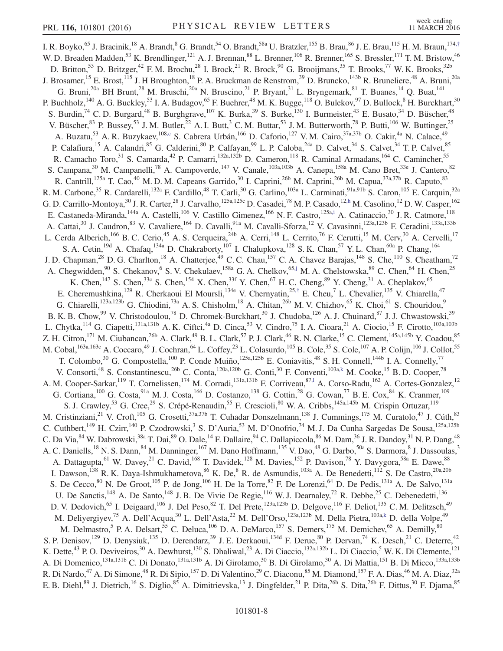<span id="page-8-4"></span><span id="page-8-3"></span><span id="page-8-2"></span><span id="page-8-1"></span><span id="page-8-0"></span>I. R. Boyko,<sup>65</sup> J. Bracinik,<sup>18</sup> A. Brandt,<sup>8</sup> G. Brandt,<sup>54</sup> O. Brandt,<sup>58a</sup> U. Bratzler,<sup>155</sup> B. Brau,<sup>86</sup> J. E. Brau,<sup>115</sup> H. M. Braun,<sup>174,[†](#page-17-2)</sup> W. D. Breaden Madden,<sup>53</sup> K. Brendlinger,<sup>121</sup> A. J. Brennan,<sup>88</sup> L. Brenner,<sup>106</sup> R. Brenner,<sup>165</sup> S. Bressler,<sup>171</sup> T. M. Bristow,<sup>46</sup> D. Britton,<sup>53</sup> D. Britzger,<sup>42</sup> F. M. Brochu,<sup>28</sup> I. Brock,<sup>21</sup> R. Brock,<sup>90</sup> G. Brooijmans,<sup>35</sup> T. Brooks,<sup>77</sup> W. K. Brooks,<sup>32b</sup> J. Brosamer, <sup>15</sup> E. Brost, <sup>115</sup> J. H Broughton, <sup>18</sup> P. A. Bruckman de Renstrom, <sup>39</sup> D. Bruncko, <sup>143b</sup> R. Bruneliere, <sup>48</sup> A. Bruni, <sup>20a</sup> G. Bruni,<sup>20a</sup> BH Brunt,<sup>28</sup> M. Bruschi,<sup>20a</sup> N. Bruscino,<sup>21</sup> P. Bryant,<sup>31</sup> L. Bryngemark,<sup>81</sup> T. Buanes,<sup>14</sup> Q. Buat,<sup>141</sup> P. Buchholz,  $^{140}$  A. G. Buckley,  $^{53}$  I. A. Budagov,  $^{65}$  F. Buehrer,  $^{48}$  M. K. Bugge,  $^{118}$  O. Bulekov,  $^{97}$  D. Bullock,  $^{8}$  H. Burckhart,  $^{30}$ S. Burdin,<sup>74</sup> C. D. Burgard,<sup>48</sup> B. Burghgrave,<sup>107</sup> K. Burka,<sup>39</sup> S. Burke,<sup>130</sup> I. Burmeister,<sup>43</sup> E. Busato,<sup>34</sup> D. Büscher,<sup>48</sup> V. Büscher,  $83$  P. Bussey,  $53$  J. M. Butler,  $22$  A. I. Butt,  $3$  C. M. Buttar,  $53$  J. M. Butterworth,  $78$  P. Butti,  $106$  W. Buttinger,  $25$ A. Buzatu,<sup>53</sup> A. R. Buzykaev,<sup>10[8,c](#page-18-0)</sup> S. Cabrera Urbán,<sup>166</sup> D. Caforio,<sup>127</sup> V. M. Cairo,<sup>37a,37b</sup> O. Cakir,<sup>4a</sup> N. Calace,<sup>49</sup> P. Calafiura,<sup>15</sup> A. Calandri,<sup>85</sup> G. Calderini,<sup>80</sup> P. Calfayan,<sup>99</sup> L. P. Caloba,<sup>24a</sup> D. Calvet,<sup>34</sup> S. Calvet,<sup>34</sup> T. P. Calvet,<sup>85</sup> R. Camacho Toro,<sup>31</sup> S. Camarda,<sup>42</sup> P. Camarri,<sup>132a,132b</sup> D. Cameron,<sup>118</sup> R. Caminal Armadans,<sup>164</sup> C. Camincher,<sup>55</sup> S. Campana,<sup>30</sup> M. Campanelli,<sup>78</sup> A. Campoverde,<sup>147</sup> V. Canale,<sup>103a,103b</sup> A. Canepa,<sup>158a</sup> M. Cano Bret,<sup>33e</sup> J. Cantero,<sup>82</sup> R. Cantrill,<sup>125a</sup> T. Cao,<sup>40</sup> M. D. M. Capeans Garrido,<sup>30</sup> I. Caprini,<sup>26b</sup> M. Caprini,<sup>26b</sup> M. Capua,<sup>37a,37b</sup> R. Caputo,<sup>83</sup> R. M. Carbone,<sup>35</sup> R. Cardarelli,<sup>132a</sup> F. Cardillo,<sup>48</sup> T. Carli,<sup>30</sup> G. Carlino,<sup>103a</sup> L. Carminati,<sup>91a,91b</sup> S. Caron,<sup>105</sup> E. Carquin,<sup>32a</sup> G. D. Carrillo-Montoya,<sup>30</sup> J. R. Carter,<sup>28</sup> J. Carvalho,<sup>125a,125c</sup> D. Casadei,<sup>78</sup> M. P. Casado,<sup>12[,h](#page-18-5)</sup> M. Casolino,<sup>12</sup> D. W. Casper,<sup>162</sup> E. Castaneda-Miranda,<sup>144a</sup> A. Castelli,<sup>106</sup> V. Castillo Gimenez,<sup>166</sup> N. F. Castro,<sup>125[a,i](#page-18-6)</sup> A. Catinaccio,<sup>30</sup> J. R. Catmore,<sup>118</sup> A. Cattai,<sup>30</sup> J. Caudron,<sup>83</sup> V. Cavaliere,<sup>164</sup> D. Cavalli,<sup>91a</sup> M. Cavalli-Sforza,<sup>12</sup> V. Cavasinni,<sup>123a,123b</sup> F. Ceradini,<sup>133a,133b</sup> L. Cerda Alberich,<sup>166</sup> B. C. Cerio,<sup>45</sup> A. S. Cerqueira,<sup>24b</sup> A. Cerri,<sup>148</sup> L. Cerrito,<sup>76</sup> F. Cerutti,<sup>15</sup> M. Cerv,<sup>30</sup> A. Cervelli,<sup>17</sup> S. A. Cetin,<sup>19d</sup> A. Chafaq,<sup>134a</sup> D. Chakraborty,<sup>107</sup> I. Chalupkova,<sup>128</sup> S. K. Chan,<sup>57</sup> Y. L. Chan,<sup>60a</sup> P. Chang,<sup>164</sup> J. D. Chapman,<sup>28</sup> D. G. Charlton,<sup>18</sup> A. Chatterjee,<sup>49</sup> C. C. Chau,<sup>157</sup> C. A. Chavez Barajas,<sup>148</sup> S. Che,<sup>110</sup> S. Cheatham,<sup>72</sup> A. Chegwidden,<sup>90</sup> S. Chekanov,<sup>6</sup> S. V. Chekulaev,<sup>158a</sup> G. A. Chelkov,<sup>6[5,j](#page-18-7)</sup> M. A. Chelstowska,<sup>89</sup> C. Chen,<sup>64</sup> H. Chen,<sup>25</sup> K. Chen,<sup>147</sup> S. Chen,<sup>33c</sup> S. Chen,<sup>154</sup> X. Chen,<sup>33f</sup> Y. Chen,<sup>67</sup> H. C. Cheng,<sup>89</sup> Y. Cheng,<sup>31</sup> A. Cheplakov,<sup>65</sup> E. Cheremushkina, <sup>129</sup> R. Cherkaoui El Moursli, <sup>134e</sup> V. Chernyatin, <sup>25,[†](#page-17-2)</sup> E. Cheu, <sup>7</sup> L. Chevalier, <sup>135</sup> V. Chiarella, <sup>47</sup> G. Chiarelli,<sup>123a,123b</sup> G. Chiodini,<sup>73a</sup> A. S. Chisholm,<sup>18</sup> A. Chitan,<sup>26b</sup> M. V. Chizhov,<sup>65</sup> K. Choi,<sup>61</sup> S. Chouridou,<sup>9</sup> B. K. B. Chow,<sup>99</sup> V. Christodoulou,<sup>78</sup> D. Chromek-Burckhart,<sup>30</sup> J. Chudoba,<sup>126</sup> A. J. Chuinard,<sup>87</sup> J. J. Chwastowski,<sup>39</sup> L. Chytka,<sup>114</sup> G. Ciapetti,<sup>131a,131b</sup> A. K. Ciftci,<sup>4a</sup> D. Cinca,<sup>53</sup> V. Cindro,<sup>75</sup> I. A. Cioara,<sup>21</sup> A. Ciocio,<sup>15</sup> F. Cirotto,<sup>103a,103b</sup> Z. H. Citron,<sup>171</sup> M. Ciubancan,<sup>26b</sup> A. Clark,<sup>49</sup> B. L. Clark,<sup>57</sup> P. J. Clark,<sup>46</sup> R. N. Clarke,<sup>15</sup> C. Clement,<sup>145a,145b</sup> Y. Coadou,<sup>85</sup> M. Cobal, <sup>163a, 163c</sup> A. Coccaro, <sup>49</sup> J. Cochran, <sup>64</sup> L. Coffey, <sup>23</sup> L. Colasurdo, <sup>105</sup> B. Cole, <sup>35</sup> S. Cole, <sup>107</sup> A. P. Colijn, <sup>106</sup> J. Collot, <sup>55</sup> T. Colombo,<sup>30</sup> G. Compostella,<sup>100</sup> P. Conde Muiño,<sup>125a,125b</sup> E. Coniavitis,<sup>48</sup> S. H. Connell,<sup>144b</sup> I. A. Connelly,<sup>77</sup> V. Consorti,<sup>48</sup> S. Constantinescu,<sup>26b</sup> C. Conta,<sup>120a,120b</sup> G. Conti,<sup>30</sup> F. Conventi,<sup>103a[,k](#page-18-8)</sup> M. Cooke,<sup>15</sup> B. D. Cooper,<sup>78</sup> A. M. Cooper-Sarkar, <sup>119</sup> T. Cornelissen, <sup>174</sup> M. Corradi, <sup>131a, 131b</sup> F. Corriveau, <sup>87,1</sup> A. Corso-Radu, <sup>162</sup> A. Cortes-Gonzalez, <sup>12</sup> G. Cortiana,  $^{100}$  G. Costa,  $^{91a}$  M. J. Costa,  $^{166}$  D. Costanzo,  $^{138}$  G. Cottin,  $^{28}$  G. Cowan,  $^{77}$  B. E. Cox,  $^{84}$  K. Cranmer,  $^{109}$ S. J. Crawley,<sup>53</sup> G. Cree,<sup>29</sup> S. Crépé-Renaudin,<sup>55</sup> F. Crescioli,<sup>80</sup> W. A. Cribbs,<sup>145a,145b</sup> M. Crispin Ortuzar,<sup>119</sup> M. Cristinziani,<sup>21</sup> V. Croft,<sup>105</sup> G. Crosetti,<sup>37a,37b</sup> T. Cuhadar Donszelmann,<sup>138</sup> J. Cummings,<sup>175</sup> M. Curatolo,<sup>47</sup> J. Cúth,<sup>83</sup> C. Cuthbert,<sup>149</sup> H. Czirr,<sup>140</sup> P. Czodrowski,<sup>3</sup> S. D'Auria,<sup>53</sup> M. D'Onofrio,<sup>74</sup> M. J. Da Cunha Sargedas De Sousa,<sup>125a,125b</sup> C. Da Via,  $84$  W. Dabrowski,  $38a$  T. Dai,  $89$  O. Dale,  $^{14}$  F. Dallaire,  $94$  C. Dallapiccola,  $86$  M. Dam,  $36$  J. R. Dandoy,  $31$  N. P. Dang,  $48$ A. C. Daniells,<sup>18</sup> N. S. Dann,<sup>84</sup> M. Danninger,<sup>167</sup> M. Dano Hoffmann,<sup>135</sup> V. Dao,<sup>48</sup> G. Darbo,<sup>50a</sup> S. Darmora,<sup>8</sup> J. Dassoulas,<sup>3</sup> A. Dattagupta, <sup>61</sup> W. Davey, <sup>21</sup> C. David, <sup>168</sup> T. Davidek, <sup>128</sup> M. Davies, <sup>152</sup> P. Davison, <sup>78</sup> Y. Davygora, <sup>58a</sup> E. Dawe, <sup>88</sup> I. Dawson,<sup>138</sup> R. K. Daya-Ishmukhametova,  $8^6$  K. De,  $8^8$  R. de Asmundis,  $10^{3a}$  A. De Benedetti,  $11^2$  S. De Castro,  $20a,20b$ S. De Cecco,<sup>80</sup> N. De Groot,<sup>105</sup> P. de Jong,<sup>106</sup> H. De la Torre,<sup>82</sup> F. De Lorenzi,<sup>64</sup> D. De Pedis,<sup>131a</sup> A. De Salvo,<sup>131a</sup> U. De Sanctis,<sup>148</sup> A. De Santo,<sup>148</sup> J. B. De Vivie De Regie,<sup>116</sup> W. J. Dearnaley,<sup>72</sup> R. Debbe,<sup>25</sup> C. Debenedetti,<sup>136</sup> D. V. Dedovich,<sup>65</sup> I. Deigaard,<sup>106</sup> J. Del Peso,<sup>82</sup> T. Del Prete,<sup>123a,123b</sup> D. Delgove,<sup>116</sup> F. Deliot,<sup>135</sup> C. M. Delitzsch,<sup>49</sup> M. Deliyergiyev,<sup>75</sup> A. Dell'Acqua,<sup>30</sup> L. Dell'Asta,<sup>22</sup> M. Dell'Orso,<sup>123a,123b</sup> M. Della Pietra,<sup>103[a,k](#page-18-8)</sup> D. della Volpe,<sup>49</sup> M. Delmastro,<sup>5</sup> P. A. Delsart,<sup>55</sup> C. Deluca,<sup>106</sup> D. A. DeMarco,<sup>157</sup> S. Demers,<sup>175</sup> M. Demichev,<sup>65</sup> A. Demilly,<sup>80</sup> S. P. Denisov,<sup>129</sup> D. Denysiuk,<sup>135</sup> D. Derendarz,<sup>39</sup> J. E. Derkaoui,<sup>134d</sup> F. Derue,<sup>80</sup> P. Dervan,<sup>74</sup> K. Desch,<sup>21</sup> C. Deterre,<sup>42</sup> K. Dette,<sup>43</sup> P. O. Deviveiros,<sup>30</sup> A. Dewhurst,<sup>130</sup> S. Dhaliwal,<sup>23</sup> A. Di Ciaccio,<sup>132a,132b</sup> L. Di Ciaccio,<sup>5</sup> W. K. Di Clemente,<sup>121</sup> A. Di Domenico,<sup>131a,131b</sup> C. Di Donato,<sup>131a,131b</sup> A. Di Girolamo,<sup>30</sup> B. Di Girolamo,<sup>30</sup> A. Di Mattia,<sup>151</sup> B. Di Micco,<sup>133a,133b</sup> R. Di Nardo,<sup>47</sup> A. Di Simone,<sup>48</sup> R. Di Sipio,<sup>157</sup> D. Di Valentino,<sup>29</sup> C. Diaconu,<sup>85</sup> M. Diamond,<sup>157</sup> F. A. Dias,<sup>46</sup> M. A. Diaz,<sup>32a</sup> E. B. Diehl,<sup>89</sup> J. Dietrich,<sup>16</sup> S. Diglio,<sup>85</sup> A. Dimitrievska,<sup>13</sup> J. Dingfelder,<sup>21</sup> P. Dita,<sup>26b</sup> S. Dita,<sup>26b</sup> F. Dittus,<sup>30</sup> F. Djama,<sup>85</sup>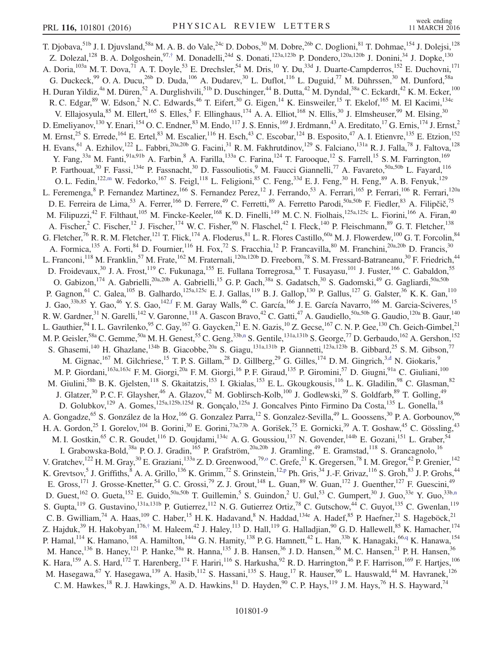<span id="page-9-4"></span><span id="page-9-3"></span><span id="page-9-2"></span><span id="page-9-1"></span><span id="page-9-0"></span>T. Djobava, <sup>51b</sup> J. I. Djuvsland, <sup>58a</sup> M. A. B. do Vale, <sup>24c</sup> D. Dobos, <sup>30</sup> M. Dobre, <sup>26b</sup> C. Doglioni, <sup>81</sup> T. Dohmae, <sup>154</sup> J. Dolejsi, <sup>128</sup> Z. Dolezal,<sup>128</sup> B. A. Dolgoshein,<sup>97,[†](#page-17-2)</sup> M. Donadelli,<sup>24d</sup> S. Donati,<sup>123a,123b</sup> P. Dondero,<sup>120a,120b</sup> J. Donini,<sup>34</sup> J. Dopke,<sup>130</sup> A. Doria, <sup>103a</sup> M. T. Dova, <sup>71</sup> A. T. Doyle, <sup>53</sup> E. Drechsler, <sup>54</sup> M. Dris, <sup>10</sup> Y. Du, <sup>33d</sup> J. Duarte-Campderros, <sup>152</sup> E. Duchovni, <sup>171</sup> G. Duckeck,<sup>99</sup> O. A. Ducu,<sup>26b</sup> D. Duda,<sup>106</sup> A. Dudarev,<sup>30</sup> L. Duflot,<sup>116</sup> L. Duguid,<sup>77</sup> M. Dührssen,<sup>30</sup> M. Dunford,<sup>58a</sup> H. Duran Yildiz,<sup>4a</sup> M. Düren,<sup>52</sup> A. Durglishvili,<sup>51b</sup> D. Duschinger,<sup>44</sup> B. Dutta,<sup>42</sup> M. Dyndal,<sup>38a</sup> C. Eckardt,<sup>42</sup> K. M. Ecker,<sup>100</sup> R. C. Edgar, <sup>89</sup> W. Edson, <sup>2</sup> N. C. Edwards, <sup>46</sup> T. Eifert, <sup>30</sup> G. Eigen, <sup>14</sup> K. Einsweiler, <sup>15</sup> T. Ekelof, <sup>165</sup> M. El Kacimi, <sup>134c</sup> V. Ellajosyula,  $85$  M. Ellert,  $165$  S. Elles,  $5$  F. Ellinghaus,  $174$  A. A. Elliot,  $168$  N. Ellis,  $30$  J. Elmsheuser,  $99$  M. Elsing,  $30$ D. Emeliyanov,<sup>130</sup> Y. Enari,<sup>154</sup> O. C. Endner,<sup>83</sup> M. Endo,<sup>117</sup> J. S. Ennis,<sup>169</sup> J. Erdmann,<sup>43</sup> A. Ereditato,<sup>17</sup> G. Ernis,<sup>174</sup> J. Ernst,<sup>2</sup> M. Ernst,<sup>25</sup> S. Errede,<sup>164</sup> E. Ertel,<sup>83</sup> M. Escalier,<sup>116</sup> H. Esch,<sup>43</sup> C. Escobar,<sup>124</sup> B. Esposito,<sup>47</sup> A. I. Etienvre,<sup>135</sup> E. Etzion,<sup>152</sup> H. Evans, <sup>61</sup> A. Ezhilov,<sup>122</sup> L. Fabbri,<sup>20a,20b</sup> G. Facini,<sup>31</sup> R. M. Fakhrutdinov,<sup>129</sup> S. Falciano,<sup>131a</sup> R. J. Falla,<sup>78</sup> J. Faltova,<sup>128</sup> Y. Fang,<sup>33a</sup> M. Fanti,<sup>91a,91b</sup> A. Farbin,<sup>8</sup> A. Farilla,<sup>133a</sup> C. Farina,<sup>124</sup> T. Farooque,<sup>12</sup> S. Farrell,<sup>15</sup> S. M. Farrington,<sup>169</sup> P. Farthouat,<sup>30</sup> F. Fassi,<sup>134e</sup> P. Fassnacht,<sup>30</sup> D. Fassouliotis,<sup>9</sup> M. Faucci Giannelli,<sup>77</sup> A. Favareto,<sup>50a,50b</sup> L. Fayard,<sup>116</sup> O. L. Fedin,<sup>122[,m](#page-18-10)</sup> W. Fedorko,<sup>167</sup> S. Feigl,<sup>118</sup> L. Feligioni,<sup>85</sup> C. Feng,<sup>33d</sup> E. J. Feng,<sup>30</sup> H. Feng,<sup>89</sup> A. B. Fenyuk,<sup>129</sup> L. Feremenga, <sup>8</sup> P. Fernandez Martinez, <sup>166</sup> S. Fernandez Perez, <sup>12</sup> J. Ferrando, <sup>53</sup> A. Ferrari, <sup>165</sup> P. Ferrari, <sup>106</sup> R. Ferrari, <sup>120a</sup> D. E. Ferreira de Lima,<sup>53</sup> A. Ferrer,<sup>166</sup> D. Ferrere,<sup>49</sup> C. Ferretti,<sup>89</sup> A. Ferretto Parodi,<sup>50a,50b</sup> F. Fiedler,<sup>83</sup> A. Filipčič,<sup>75</sup> M. Filipuzzi,<sup>42</sup> F. Filthaut,<sup>105</sup> M. Fincke-Keeler,<sup>168</sup> K. D. Finelli,<sup>149</sup> M. C. N. Fiolhais,<sup>125a,125c</sup> L. Fiorini,<sup>166</sup> A. Firan,<sup>40</sup> A. Fischer,<sup>2</sup> C. Fischer,<sup>12</sup> J. Fischer,<sup>174</sup> W. C. Fisher,<sup>90</sup> N. Flaschel,<sup>42</sup> I. Fleck,<sup>140</sup> P. Fleischmann,<sup>89</sup> G. T. Fletcher,<sup>138</sup> G. Fletcher,<sup>76</sup> R. R. M. Fletcher,<sup>121</sup> T. Flick,<sup>174</sup> A. Floderus,<sup>81</sup> L. R. Flores Castillo,<sup>60a</sup> M. J. Flowerdew,<sup>100</sup> G. T. Forcolin,<sup>84</sup> A. Formica,<sup>135</sup> A. Forti,<sup>84</sup> D. Fournier,<sup>116</sup> H. Fox,<sup>72</sup> S. Fracchia,<sup>12</sup> P. Francavilla,<sup>80</sup> M. Franchini,<sup>20a,20b</sup> D. Francis,<sup>30</sup> L. Franconi,<sup>118</sup> M. Franklin,<sup>57</sup> M. Frate,<sup>162</sup> M. Fraternali,<sup>120a,120b</sup> D. Freeborn,<sup>78</sup> S. M. Fressard-Batraneanu,<sup>30</sup> F. Friedrich,<sup>44</sup> D. Froidevaux,<sup>30</sup> J. A. Frost,<sup>119</sup> C. Fukunaga,<sup>155</sup> E. Fullana Torregrosa,<sup>83</sup> T. Fusayasu,<sup>101</sup> J. Fuster,<sup>166</sup> C. Gabaldon,<sup>55</sup> O. Gabizon,  $^{174}$  A. Gabrielli,  $^{20a,20b}$  A. Gabrielli,  $^{15}$  G. P. Gach,  $^{38a}$  S. Gadatsch,  $^{30}$  S. Gadomski,  $^{49}$  G. Gagliardi,  $^{50a,50b}$ P. Gagnon, <sup>61</sup> C. Galea, <sup>105</sup> B. Galhardo, <sup>125a, 125c</sup> E. J. Gallas, <sup>119</sup> B. J. Gallop, <sup>130</sup> P. Gallus, <sup>127</sup> G. Galster, <sup>36</sup> K. K. Gan, <sup>110</sup> J. Gao,<sup>33b,85</sup> Y. Gao,<sup>46</sup> Y. S. Gao,<sup>142[,f](#page-18-3)</sup> F. M. Garay Walls,<sup>46</sup> C. García,<sup>166</sup> J. E. García Navarro,<sup>166</sup> M. Garcia-Sciveres,<sup>15</sup> R. W. Gardner,  $^{31}$  N. Garelli,  $^{142}$  V. Garonne,  $^{118}$  A. Gascon Bravo,  $^{42}$  C. Gatti,  $^{47}$  A. Gaudiello,  $^{50a,50b}$  G. Gaudio,  $^{120a}$  B. Gaur,  $^{140}$ L. Gauthier,  $94$  I. L. Gavrilenko,  $95$  C. Gay,  $^{167}$  G. Gaycken,  $^{21}$  E. N. Gazis,  $^{10}$  Z. Gecse,  $^{167}$  C. N. P. Gee,  $^{130}$  Ch. Geich-Gimbel,  $^{21}$ M. P. Geisler,<sup>58a</sup> C. Gemme,<sup>50a</sup> M. H. Genest,<sup>55</sup> C. Geng,<sup>33[b,n](#page-18-11)</sup> S. Gentile,<sup>131a,131b</sup> S. George,<sup>77</sup> D. Gerbaudo,<sup>162</sup> A. Gershon,<sup>152</sup> S. Ghasemi,<sup>140</sup> H. Ghazlane,<sup>134b</sup> B. Giacobbe,<sup>20a</sup> S. Giagu,<sup>131a,131b</sup> P. Giannetti,<sup>123a,123b</sup> B. Gibbard,<sup>25</sup> S. M. Gibson,<sup>77</sup> M. Gignac,  $^{167}$  M. Gilchriese,  $^{15}$  T. P. S. Gillam,  $^{28}$  D. Gillberg,  $^{29}$  G. Gilles,  $^{174}$  D. M. Gingrich,  $^{3, d}$  N. Giokaris,  $^{9}$ M. P. Giordani,<sup>163a,163c</sup> F. M. Giorgi,<sup>20a</sup> F. M. Giorgi,<sup>16</sup> P. F. Giraud,<sup>135</sup> P. Giromini,<sup>57</sup> D. Giugni,<sup>91a</sup> C. Giuliani,<sup>100</sup> M. Giulini,<sup>58b</sup> B. K. Gjelsten,<sup>118</sup> S. Gkaitatzis,<sup>153</sup> I. Gkialas,<sup>153</sup> E. L. Gkougkousis,<sup>116</sup> L. K. Gladilin,<sup>98</sup> C. Glasman,<sup>82</sup> J. Glatzer,<sup>30</sup> P. C. F. Glaysher,<sup>46</sup> A. Glazov,<sup>42</sup> M. Goblirsch-Kolb,<sup>100</sup> J. Godlewski,<sup>39</sup> S. Goldfarb,<sup>89</sup> T. Golling,<sup>49</sup> D. Golubkov,<sup>129</sup> A. Gomes,<sup>125a,125b,125d</sup> R. Gonçalo,<sup>125a</sup> J. Goncalves Pinto Firmino Da Costa,<sup>135</sup> L. Gonella,<sup>18</sup> A. Gongadze,<sup>65</sup> S. González de la Hoz,<sup>166</sup> G. Gonzalez Parra,<sup>12</sup> S. Gonzalez-Sevilla,<sup>49</sup> L. Goossens,<sup>30</sup> P. A. Gorbounov,<sup>96</sup> H. A. Gordon,<sup>25</sup> I. Gorelov,<sup>104</sup> B. Gorini,<sup>30</sup> E. Gorini,<sup>73a,73b</sup> A. Gorišek,<sup>75</sup> E. Gornicki,<sup>39</sup> A. T. Goshaw,<sup>45</sup> C. Gössling,<sup>43</sup> M. I. Gostkin, <sup>65</sup> C. R. Goudet, <sup>116</sup> D. Goujdami, <sup>134c</sup> A. G. Goussiou, <sup>137</sup> N. Govender, <sup>144b</sup> E. Gozani, <sup>151</sup> L. Graber, <sup>54</sup> I. Grabowska-Bold,<sup>38a</sup> P.O.J. Gradin,<sup>165</sup> P. Grafström,<sup>20a,20b</sup> J. Gramling,<sup>49</sup> E. Gramstad,<sup>118</sup> S. Grancagnolo,<sup>16</sup> V. Gratchev,  $^{122}$  H. M. Gray,  $^{30}$  E. Graziani,  $^{133a}$  Z. D. Greenwood,  $^{79, o}$  C. Grefe,  $^{21}$  K. Gregersen,  $^{78}$  I. M. Gregor,  $^{42}$  P. Grenier,  $^{142}$ K. Grevtsov, <sup>5</sup> J. Griffiths,  ${}^{8}$  A. A. Grillo,  ${}^{136}$  K. Grimm,  ${}^{72}$  S. Grinstein,  ${}^{12,p}$  ${}^{12,p}$  ${}^{12,p}$  Ph. Gris,  ${}^{34}$  J.-F. Grivaz,  ${}^{116}$  S. Groh,  ${}^{83}$  J. P. Grohs,  ${}^{44}$ E. Gross,<sup>171</sup> J. Grosse-Knetter,<sup>54</sup> G. C. Grossi,<sup>79</sup> Z. J. Grout,<sup>148</sup> L. Guan,<sup>89</sup> W. Guan,<sup>172</sup> J. Guenther,<sup>127</sup> F. Guescini,<sup>49</sup> D. Guest,<sup>162</sup> O. Gueta,<sup>152</sup> E. Guido,<sup>50a,50b</sup> T. Guillemin,<sup>5</sup> S. Guindon,<sup>2</sup> U. Gul,<sup>53</sup> C. Gumpert,<sup>30</sup> J. Guo,<sup>33e</sup> Y. Guo,<sup>33[b,n](#page-18-11)</sup> S. Gupta,  $^{119}$  G. Gustavino,  $^{131a,131b}$  P. Gutierrez,  $^{112}$  N. G. Gutierrez Ortiz,  $^{78}$  C. Gutschow,  $^{44}$  C. Guyot,  $^{135}$  C. Gwenlan,  $^{119}$ C. B. Gwilliam,<sup>74</sup> A. Haas,<sup>109</sup> C. Haber,<sup>15</sup> H. K. Hadavand,<sup>8</sup> N. Haddad,<sup>134e</sup> A. Hadef,<sup>85</sup> P. Haefner,<sup>21</sup> S. Hageböck,<sup>21</sup> Z. Hajduk,<sup>39</sup> H. Hakobyan,<sup>176,[†](#page-17-2)</sup> M. Haleem,<sup>42</sup> J. Haley,<sup>113</sup> D. Hall,<sup>119</sup> G. Halladjian,<sup>90</sup> G. D. Hallewell,<sup>85</sup> K. Hamacher,<sup>174</sup> P. Hamal,<sup>114</sup> K. Hamano,<sup>168</sup> A. Hamilton,<sup>144a</sup> G. N. Hamity,<sup>138</sup> P. G. Hamnett,<sup>42</sup> L. Han,<sup>33b</sup> K. Hanagaki,<sup>66[,q](#page-18-14)</sup> K. Hanawa,<sup>154</sup> M. Hance,<sup>136</sup> B. Haney,<sup>121</sup> P. Hanke,<sup>58a</sup> R. Hanna,<sup>135</sup> J. B. Hansen,<sup>36</sup> J. D. Hansen,<sup>36</sup> M. C. Hansen,<sup>21</sup> P. H. Hansen,<sup>36</sup> K. Hara,<sup>159</sup> A. S. Hard,<sup>172</sup> T. Harenberg,<sup>174</sup> F. Hariri,<sup>116</sup> S. Harkusha,<sup>92</sup> R. D. Harrington,<sup>46</sup> P. F. Harrison,<sup>169</sup> F. Hartjes,<sup>106</sup> M. Hasegawa, <sup>67</sup> Y. Hasegawa, <sup>139</sup> A. Hasib, <sup>112</sup> S. Hassani, <sup>135</sup> S. Haug, <sup>17</sup> R. Hauser, <sup>90</sup> L. Hauswald, <sup>44</sup> M. Havranek, <sup>126</sup> C. M. Hawkes,<sup>18</sup> R. J. Hawkings,<sup>30</sup> A. D. Hawkins,<sup>81</sup> D. Hayden,<sup>90</sup> C. P. Hays,<sup>119</sup> J. M. Hays,<sup>76</sup> H. S. Hayward,<sup>74</sup>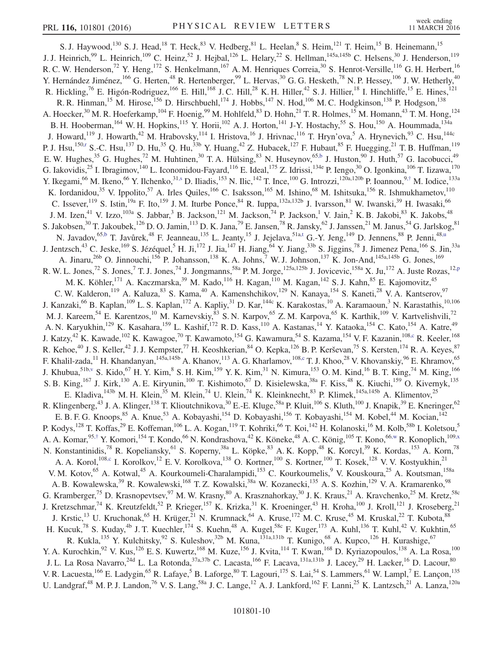<span id="page-10-4"></span><span id="page-10-3"></span><span id="page-10-2"></span><span id="page-10-1"></span><span id="page-10-0"></span>S. J. Haywood,<sup>130</sup> S. J. Head,<sup>18</sup> T. Heck,<sup>83</sup> V. Hedberg,<sup>81</sup> L. Heelan,<sup>8</sup> S. Heim,<sup>121</sup> T. Heim,<sup>15</sup> B. Heinemann,<sup>15</sup> J. J. Heinrich,<sup>99</sup> L. Heinrich,<sup>109</sup> C. Heinz,<sup>52</sup> J. Hejbal,<sup>126</sup> L. Helary,<sup>22</sup> S. Hellman,<sup>145a,145b</sup> C. Helsens,<sup>30</sup> J. Henderson,<sup>119</sup> R. C. W. Henderson,<sup>72</sup> Y. Heng,<sup>172</sup> S. Henkelmann,<sup>167</sup> A. M. Henriques Correia,<sup>30</sup> S. Henrot-Versille,<sup>116</sup> G. H. Herbert,<sup>16</sup> Y. Hernández Jiménez,  $^{166}$  G. Herten,  $^{48}$  R. Hertenberger,  $^{99}$  L. Hervas,  $^{30}$  G. G. Hesketh,  $^{78}$  N. P. Hessey,  $^{106}$  J. W. Hetherly,  $^{40}$ R. Hickling,<sup>76</sup> E. Higón-Rodriguez,<sup>166</sup> E. Hill,<sup>168</sup> J. C. Hill,<sup>28</sup> K. H. Hiller,<sup>42</sup> S. J. Hillier,<sup>18</sup> I. Hinchliffe,<sup>15</sup> E. Hines,<sup>121</sup> R. R. Hinman,<sup>15</sup> M. Hirose,<sup>156</sup> D. Hirschbuehl,<sup>174</sup> J. Hobbs,<sup>147</sup> N. Hod,<sup>106</sup> M. C. Hodgkinson,<sup>138</sup> P. Hodgson,<sup>138</sup> A. Hoecker,<sup>30</sup> M. R. Hoeferkamp,<sup>104</sup> F. Hoenig,<sup>99</sup> M. Hohlfeld,<sup>83</sup> D. Hohn,<sup>21</sup> T. R. Holmes,<sup>15</sup> M. Homann,<sup>43</sup> T. M. Hong,<sup>124</sup> B. H. Hooberman, <sup>164</sup> W. H. Hopkins, <sup>115</sup> Y. Horii, <sup>102</sup> A. J. Horton, <sup>141</sup> J-Y. Hostachy, <sup>55</sup> S. Hou, <sup>150</sup> A. Hoummada, <sup>134a</sup> J. Howard,<sup>119</sup> J. Howarth,<sup>42</sup> M. Hrabovsky,<sup>114</sup> I. Hristova,<sup>16</sup> J. Hrivnac,<sup>116</sup> T. Hryn'ova,<sup>5</sup> A. Hrynevich,<sup>93</sup> C. Hsu,<sup>144c</sup> P. J. Hsu,<sup>15[0,r](#page-18-15)</sup> S.-C. Hsu,<sup>137</sup> D. Hu,<sup>35</sup> Q. Hu,<sup>33b</sup> Y. Huang,<sup>42</sup> Z. Hubacek,<sup>127</sup> F. Hubaut,<sup>85</sup> F. Huegging,<sup>21</sup> T. B. Huffman,<sup>119</sup> E. W. Hughes,<sup>35</sup> G. Hughes,<sup>72</sup> M. Huhtinen,<sup>30</sup> T. A. Hülsing,<sup>83</sup> N. Huseynov,<sup>6[5,b](#page-17-1)</sup> J. Huston,<sup>90</sup> J. Huth,<sup>57</sup> G. Iacobucci,<sup>49</sup> G. Iakovidis,<sup>25</sup> I. Ibragimov,<sup>140</sup> L. Iconomidou-Fayard,<sup>116</sup> E. Ideal,<sup>175</sup> Z. Idrissi,<sup>134e</sup> P. Iengo,<sup>30</sup> O. Igonkina,<sup>106</sup> T. Iizawa,<sup>170</sup> Y. Ikegami,<sup>66</sup> M. Ikeno,<sup>66</sup> Y. Ilchenko,<sup>3[1,s](#page-18-16)</sup> D. Iliadis,<sup>153</sup> N. Ilic,<sup>142</sup> T. Ince,<sup>100</sup> G. Introzzi,<sup>120a,120b</sup> P. Ioannou,<sup>9,[†](#page-17-2)</sup> M. Iodice,<sup>133a</sup> K. Iordanidou,<sup>35</sup> V. Ippolito,<sup>57</sup> A. Irles Quiles,<sup>166</sup> C. Isaksson,<sup>165</sup> M. Ishino,<sup>68</sup> M. Ishitsuka,<sup>156</sup> R. Ishmukhametov,<sup>110</sup> C. Issever,  $^{19}$  S. Istin,  $^{19a}$  F. Ito,  $^{159}$  J. M. Iturbe Ponce,  $^{84}$  R. Iuppa,  $^{132a,132b}$  J. Ivarsson,  $^{81}$  W. Iwanski,  $^{39}$  H. Iwasaki,  $^{66}$ J. M. Izen,<sup>41</sup> V. Izzo,<sup>103a</sup> S. Jabbar,<sup>3</sup> B. Jackson,<sup>121</sup> M. Jackson,<sup>74</sup> P. Jackson,<sup>1</sup> V. Jain,<sup>2</sup> K. B. Jakobi,<sup>83</sup> K. Jakobs,<sup>48</sup> S. Jakobsen,<sup>30</sup> T. Jakoubek,<sup>126</sup> D. O. Jamin,<sup>113</sup> D. K. Jana,<sup>79</sup> E. Jansen,<sup>78</sup> R. Jansky,<sup>62</sup> J. Janssen,<sup>21</sup> M. Janus,<sup>54</sup> G. Jarlskog,<sup>81</sup> N. Javadov, <sup>6[5,b](#page-17-1)</sup> T. Javůrek, <sup>48</sup> F. Jeanneau, <sup>135</sup> L. Jeanty, <sup>15</sup> J. Jejelava, <sup>51a[,t](#page-18-17)</sup> G.-Y. Jeng, <sup>149</sup> D. Jennens, <sup>88</sup> P. Jenni, <sup>4[8,u](#page-18-18)</sup> J. Jentzsch,<sup>43</sup> C. Jeske,<sup>169</sup> S. Jézéquel,<sup>5</sup> H. Ji,<sup>172</sup> J. Jia,<sup>147</sup> H. Jiang,<sup>64</sup> Y. Jiang,<sup>33b</sup> S. Jiggins,<sup>78</sup> J. Jimenez Pena,<sup>166</sup> S. Jin,<sup>33a</sup> A. Jinaru,<sup>26b</sup> O. Jinnouchi,<sup>156</sup> P. Johansson,<sup>138</sup> K. A. Johns,<sup>7</sup> W. J. Johnson,<sup>137</sup> K. Jon-And,<sup>145a,145b</sup> G. Jones,<sup>169</sup> R. W. L. Jones,<sup>72</sup> S. Jones,<sup>7</sup> T. J. Jones,<sup>74</sup> J. Jongmanns,<sup>58a</sup> P. M. Jorge,<sup>125a,125b</sup> J. Jovicevic,<sup>158a</sup> X. Ju,<sup>172</sup> A. Juste Rozas,<sup>12[,p](#page-18-13)</sup> M. K. Köhler,<sup>171</sup> A. Kaczmarska,<sup>39</sup> M. Kado,<sup>116</sup> H. Kagan,<sup>110</sup> M. Kagan,<sup>142</sup> S. J. Kahn,<sup>85</sup> E. Kajomovitz,<sup>45</sup> C. W. Kalderon,<sup>119</sup> A. Kaluza,<sup>83</sup> S. Kama,<sup>40</sup> A. Kamenshchikov,<sup>129</sup> N. Kanaya,<sup>154</sup> S. Kaneti,<sup>28</sup> V. A. Kantserov,<sup>97</sup> J. Kanzaki,<sup>66</sup> B. Kaplan,<sup>109</sup> L. S. Kaplan,<sup>172</sup> A. Kapliy,<sup>31</sup> D. Kar,<sup>144c</sup> K. Karakostas,<sup>10</sup> A. Karamaoun,<sup>3</sup> N. Karastathis,<sup>10,106</sup> M. J. Kareem,<sup>54</sup> E. Karentzos,<sup>10</sup> M. Karnevskiy,<sup>83</sup> S. N. Karpov,<sup>65</sup> Z. M. Karpova,<sup>65</sup> K. Karthik,<sup>109</sup> V. Kartvelishvili,<sup>72</sup> A. N. Karyukhin,<sup>129</sup> K. Kasahara,<sup>159</sup> L. Kashif,<sup>172</sup> R. D. Kass,<sup>110</sup> A. Kastanas,<sup>14</sup> Y. Kataoka,<sup>154</sup> C. Kato,<sup>154</sup> A. Katre,<sup>49</sup> J. Katzy,<sup>42</sup> K. Kawade,<sup>102</sup> K. Kawagoe,<sup>70</sup> T. Kawamoto,<sup>154</sup> G. Kawamura,<sup>54</sup> S. Kazama,<sup>154</sup> V. F. Kazanin,<sup>108[,c](#page-18-0)</sup> R. Keeler,<sup>168</sup> R. Kehoe,  $^{40}$  J. S. Keller,  $^{42}$  J. J. Kempster,  $^{77}$  H. Keoshkerian,  $^{84}$  O. Kepka,  $^{126}$  B. P. Kerševan,  $^{75}$  S. Kersten,  $^{174}$  R. A. Keyes,  $^{87}$ F. Khalil-zada,<sup>11</sup> H. Khandanyan,<sup>145a,145b</sup> A. Khanov,<sup>113</sup> A. G. Kharlamov,<sup>10[8,c](#page-18-0)</sup> T. J. Khoo,<sup>28</sup> V. Khovanskiy,<sup>96</sup> E. Khramov,<sup>65</sup> J. Khubua,<sup>51[b,v](#page-18-19)</sup> S. Kido,<sup>67</sup> H. Y. Kim,<sup>8</sup> S. H. Kim,<sup>159</sup> Y. K. Kim,<sup>31</sup> N. Kimura,<sup>153</sup> O. M. Kind,<sup>16</sup> B. T. King,<sup>74</sup> M. King,<sup>166</sup> S. B. King,<sup>167</sup> J. Kirk,<sup>130</sup> A. E. Kiryunin,<sup>100</sup> T. Kishimoto,<sup>67</sup> D. Kisielewska,<sup>38a</sup> F. Kiss,<sup>48</sup> K. Kiuchi,<sup>159</sup> O. Kivernyk,<sup>135</sup> E. Kladiva,  $^{143b}$  M. H. Klein,  $^{35}$  M. Klein,  $^{74}$  U. Klein,  $^{74}$  K. Kleinknecht,  $^{83}$  P. Klimek,  $^{145a,145b}$  A. Klimentov,  $^{25}$ R. Klingenberg,<sup>43</sup> J. A. Klinger,<sup>138</sup> T. Klioutchnikova,<sup>30</sup> E.-E. Kluge,<sup>58a</sup> P. Kluit,<sup>106</sup> S. Kluth,<sup>100</sup> J. Knapik,<sup>39</sup> E. Kneringer,<sup>62</sup> E. B. F. G. Knoops, <sup>85</sup> A. Knue, <sup>53</sup> A. Kobayashi, <sup>154</sup> D. Kobayashi, <sup>156</sup> T. Kobayashi, <sup>154</sup> M. Kobel, <sup>44</sup> M. Kocian, <sup>142</sup> P. Kodys, <sup>128</sup> T. Koffas, <sup>29</sup> E. Koffeman, <sup>106</sup> L. A. Kogan, <sup>119</sup> T. Kohriki, <sup>66</sup> T. Koi, <sup>142</sup> H. Kolanoski, <sup>16</sup> M. Kolb, <sup>58b</sup> I. Koletsou, 5 A. A. Komar, <sup>95,[†](#page-17-2)</sup> Y. Komori, <sup>154</sup> T. Kondo, <sup>66</sup> N. Kondrashova, <sup>42</sup> K. Köneke, <sup>48</sup> A. C. König, <sup>105</sup> T. Kono, <sup>66[,w](#page-18-20)</sup> R. Konoplich, <sup>109[,x](#page-18-21)</sup> N. Konstantinidis,<sup>78</sup> R. Kopeliansky,<sup>61</sup> S. Koperny,<sup>38a</sup> L. Köpke,<sup>83</sup> A. K. Kopp,<sup>48</sup> K. Korcyl,<sup>39</sup> K. Kordas,<sup>153</sup> A. Korn,<sup>78</sup> A. A. Korol,<sup>108[,c](#page-18-0)</sup> I. Korolkov,<sup>12</sup> E. V. Korolkova,<sup>138</sup> O. Kortner,<sup>100</sup> S. Kortner,<sup>100</sup> T. Kosek,<sup>128</sup> V. V. Kostyukhin,<sup>21</sup> V. M. Kotov,<sup>65</sup> A. Kotwal,<sup>45</sup> A. Kourkoumeli-Charalampidi,<sup>153</sup> C. Kourkoumelis,<sup>9</sup> V. Kouskoura,<sup>25</sup> A. Koutsman,<sup>158a</sup> A. B. Kowalewska,<sup>39</sup> R. Kowalewski,<sup>168</sup> T. Z. Kowalski,<sup>38a</sup> W. Kozanecki,<sup>135</sup> A. S. Kozhin,<sup>129</sup> V. A. Kramarenko,<sup>98</sup> G. Kramberger,<sup>75</sup> D. Krasnopevtsev,<sup>97</sup> M. W. Krasny,<sup>80</sup> A. Krasznahorkay,<sup>30</sup> J. K. Kraus,<sup>21</sup> A. Kravchenko,<sup>25</sup> M. Kretz,<sup>58c</sup> J. Kretzschmar,<sup>74</sup> K. Kreutzfeldt,<sup>52</sup> P. Krieger,<sup>157</sup> K. Krizka,<sup>31</sup> K. Kroeninger,<sup>43</sup> H. Kroha,<sup>100</sup> J. Kroll,<sup>121</sup> J. Kroseberg,<sup>21</sup> J. Krstic,<sup>13</sup> U. Kruchonak,<sup>65</sup> H. Krüger,<sup>21</sup> N. Krumnack,<sup>64</sup> A. Kruse,<sup>172</sup> M. C. Kruse,<sup>45</sup> M. Kruskal,<sup>22</sup> T. Kubota,<sup>88</sup> H. Kucuk,<sup>78</sup> S. Kuday,<sup>4b</sup> J. T. Kuechler,<sup>174</sup> S. Kuehn,<sup>48</sup> A. Kugel,<sup>58c</sup> F. Kuger,<sup>173</sup> A. Kuhl,<sup>136</sup> T. Kuhl,<sup>42</sup> V. Kukhtin,<sup>65</sup> R. Kukla,  $^{135}$  Y. Kulchitsky,  $^{92}$  S. Kuleshov,  $^{32b}$  M. Kuna,  $^{131a,131b}$  T. Kunigo,  $^{68}$  A. Kupco,  $^{126}$  H. Kurashige,  $^{67}$ Y. A. Kurochkin, <sup>92</sup> V. Kus, <sup>126</sup> E. S. Kuwertz, <sup>168</sup> M. Kuze, <sup>156</sup> J. Kvita, <sup>114</sup> T. Kwan, <sup>168</sup> D. Kyriazopoulos, <sup>138</sup> A. La Rosa, <sup>100</sup> J. L. La Rosa Navarro,<sup>24d</sup> L. La Rotonda,<sup>37a,37b</sup> C. Lacasta,<sup>166</sup> F. Lacava,<sup>131a,131b</sup> J. Lacey,<sup>29</sup> H. Lacker,<sup>16</sup> D. Lacour,<sup>80</sup> V. R. Lacuesta, <sup>166</sup> E. Ladygin, <sup>65</sup> R. Lafaye, <sup>5</sup> B. Laforge, <sup>80</sup> T. Lagouri, <sup>175</sup> S. Lai, <sup>54</sup> S. Lammers, <sup>61</sup> W. Lampl, <sup>7</sup> E. Lançon, <sup>135</sup> U. Landgraf,<sup>48</sup> M. P. J. Landon,<sup>76</sup> V. S. Lang,<sup>58a</sup> J. C. Lange,<sup>12</sup> A. J. Lankford,<sup>162</sup> F. Lanni,<sup>25</sup> K. Lantzsch,<sup>21</sup> A. Lanza,<sup>120a</sup>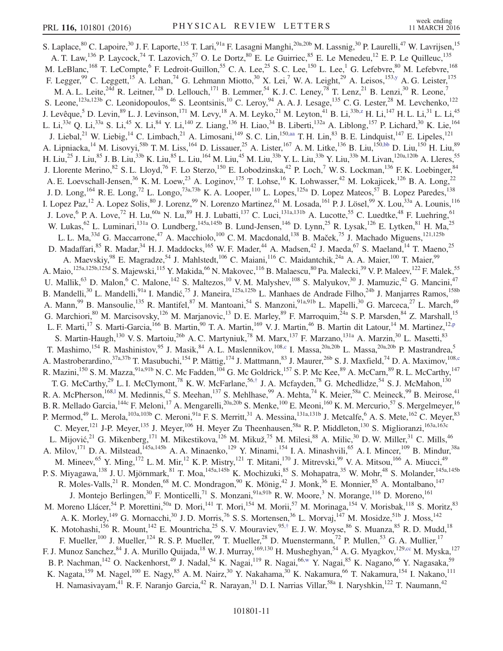<span id="page-11-2"></span><span id="page-11-1"></span><span id="page-11-0"></span>S. Laplace,<sup>80</sup> C. Lapoire,<sup>30</sup> J. F. Laporte,<sup>135</sup> T. Lari,<sup>91a</sup> F. Lasagni Manghi,<sup>20a,20b</sup> M. Lassnig,<sup>30</sup> P. Laurelli,<sup>47</sup> W. Lavrijsen,<sup>15</sup> A. T. Law,<sup>136</sup> P. Laycock,<sup>74</sup> T. Lazovich,<sup>57</sup> O. Le Dortz,<sup>80</sup> E. Le Guirriec,<sup>85</sup> E. Le Menedeu,<sup>12</sup> E. P. Le Quilleuc,<sup>135</sup> M. LeBlanc,<sup>168</sup> T. LeCompte,<sup>6</sup> F. Ledroit-Guillon,<sup>55</sup> C. A. Lee,<sup>25</sup> S. C. Lee,<sup>150</sup> L. Lee,<sup>1</sup> G. Lefebvre,<sup>80</sup> M. Lefebvre,<sup>168</sup> F. Legger,<sup>99</sup> C. Leggett,<sup>15</sup> A. Lehan,<sup>74</sup> G. Lehmann Miotto,<sup>30</sup> X. Lei,<sup>7</sup> W. A. Leight,<sup>29</sup> A. Leisos,<sup>15[3,y](#page-18-22)</sup> A. G. Leister,<sup>175</sup> M. A. L. Leite,<sup>24d</sup> R. Leitner,<sup>128</sup> D. Lellouch,<sup>171</sup> B. Lemmer,<sup>54</sup> K. J. C. Leney,<sup>78</sup> T. Lenz,<sup>21</sup> B. Lenzi,<sup>30</sup> R. Leone,<sup>7</sup> S. Leone,<sup>123a,123b</sup> C. Leonidopoulos,<sup>46</sup> S. Leontsinis,<sup>10</sup> C. Leroy,<sup>94</sup> A. A. J. Lesage,<sup>135</sup> C. G. Lester,<sup>28</sup> M. Levchenko,<sup>122</sup> J. Levêque,<sup>5</sup> D. Levin,<sup>89</sup> L. J. Levinson,<sup>171</sup> M. Levy,<sup>18</sup> A. M. Leyko,<sup>21</sup> M. Leyton,<sup>41</sup> B. Li,<sup>33[b,z](#page-18-23)</sup> H. Li,<sup>147</sup> H. L. Li,<sup>31</sup> L. Li,<sup>45</sup> L. Li,<sup>33e</sup> Q. Li,<sup>33a</sup> S. Li,<sup>45</sup> X. Li,<sup>84</sup> Y. Li,<sup>140</sup> Z. Liang,<sup>136</sup> H. Liao,<sup>34</sup> B. Liberti,<sup>132a</sup> A. Liblong,<sup>157</sup> P. Lichard,<sup>30</sup> K. Lie,<sup>164</sup> J. Liebal,<sup>21</sup> W. Liebig,<sup>14</sup> C. Limbach,<sup>21</sup> A. Limosani,<sup>149</sup> S. C. Lin,<sup>150[,aa](#page-18-24)</sup> T. H. Lin,<sup>83</sup> B. E. Lindquist,<sup>147</sup> E. Lipeles,<sup>121</sup> A. Lipniacka,<sup>14</sup> M. Lisovyi,<sup>58b</sup> T. M. Liss,<sup>164</sup> D. Lissauer,<sup>25</sup> A. Lister,<sup>167</sup> A. M. Litke,<sup>136</sup> B. Liu,<sup>15[0,bb](#page-18-25)</sup> D. Liu,<sup>150</sup> H. Liu,<sup>89</sup> H. Liu,<sup>25</sup> J. Liu,<sup>85</sup> J. B. Liu,<sup>33b</sup> K. Liu,<sup>85</sup> L. Liu,<sup>164</sup> M. Liu,<sup>45</sup> M. Liu,<sup>33b</sup> Y. L. Liu,<sup>33b</sup> Y. Liu,<sup>33b</sup> M. Livan,<sup>120a,120b</sup> A. Lleres,<sup>55</sup> J. Llorente Merino, <sup>82</sup> S. L. Lloyd, <sup>76</sup> F. Lo Sterzo, <sup>150</sup> E. Lobodzinska, <sup>42</sup> P. Loch, <sup>7</sup> W. S. Lockman, <sup>136</sup> F. K. Loebinger, <sup>84</sup> A. E. Loevschall-Jensen,<sup>36</sup> K. M. Loew,<sup>23</sup> A. Loginov,<sup>175</sup> T. Lohse,<sup>16</sup> K. Lohwasser,<sup>42</sup> M. Lokajicek,<sup>126</sup> B. A. Long,<sup>22</sup> J. D. Long, <sup>164</sup> R. E. Long, <sup>72</sup> L. Longo, <sup>73a, 73b</sup> K. A. Looper, <sup>110</sup> L. Lopes, <sup>125a</sup> D. Lopez Mateos, <sup>57</sup> B. Lopez Paredes, <sup>138</sup> I. Lopez Paz,<sup>12</sup> A. Lopez Solis,<sup>80</sup> J. Lorenz,<sup>99</sup> N. Lorenzo Martinez,<sup>61</sup> M. Losada,<sup>161</sup> P. J. Lösel,<sup>99</sup> X. Lou,<sup>33a</sup> A. Lounis,<sup>116</sup> J. Love, <sup>6</sup> P. A. Love,<sup>72</sup> H. Lu,<sup>60a</sup> N. Lu,<sup>89</sup> H. J. Lubatti,<sup>137</sup> C. Luci,<sup>131a,131b</sup> A. Lucotte,<sup>55</sup> C. Luedtke,<sup>48</sup> F. Luehring,<sup>61</sup> W. Lukas,<sup>62</sup> L. Luminari,<sup>131a</sup> O. Lundberg,<sup>145a,145b</sup> B. Lund-Jensen,<sup>146</sup> D. Lynn,<sup>25</sup> R. Lysak,<sup>126</sup> E. Lytken,<sup>81</sup> H. Ma,<sup>25</sup> L. L. Ma,<sup>33d</sup> G. Maccarrone,<sup>47</sup> A. Macchiolo,<sup>100</sup> C. M. Macdonald,<sup>138</sup> B. Maček,<sup>75</sup> J. Machado Miguens,<sup>121,125b</sup> D. Madaffari,<sup>85</sup> R. Madar,<sup>34</sup> H. J. Maddocks,<sup>165</sup> W. F. Mader,<sup>44</sup> A. Madsen,<sup>42</sup> J. Maeda,<sup>67</sup> S. Maeland,<sup>14</sup> T. Maeno,<sup>25</sup> A. Maevskiy, <sup>98</sup> E. Magradze, <sup>54</sup> J. Mahlstedt, <sup>106</sup> C. Maiani, <sup>116</sup> C. Maidantchik, <sup>24a</sup> A. A. Maier, <sup>100</sup> T. Maier, <sup>99</sup> A. Maio,<sup>125a,125b,125d</sup> S. Majewski,<sup>115</sup> Y. Makida,<sup>66</sup> N. Makovec,<sup>116</sup> B. Malaescu,<sup>80</sup> Pa. Malecki,<sup>39</sup> V. P. Maleev,<sup>122</sup> F. Malek,<sup>55</sup> U. Mallik,<sup>63</sup> D. Malon,<sup>6</sup> C. Malone,<sup>142</sup> S. Maltezos,<sup>10</sup> V. M. Malyshev,<sup>108</sup> S. Malyukov,<sup>30</sup> J. Mamuzic,<sup>42</sup> G. Mancini,<sup>47</sup> B. Mandelli,<sup>30</sup> L. Mandelli,<sup>91a</sup> I. Mandić,<sup>75</sup> J. Maneira,<sup>125a,125b</sup> L. Manhaes de Andrade Filho,<sup>24b</sup> J. Manjarres Ramos,<sup>158b</sup> A. Mann,<sup>99</sup> B. Mansoulie,<sup>135</sup> R. Mantifel,<sup>87</sup> M. Mantoani,<sup>54</sup> S. Manzoni,<sup>91a,91b</sup> L. Mapelli,<sup>30</sup> G. Marceca,<sup>27</sup> L. March,<sup>49</sup> G. Marchiori,<sup>80</sup> M. Marcisovsky,<sup>126</sup> M. Marjanovic,<sup>13</sup> D. E. Marley,<sup>89</sup> F. Marroquim,<sup>24a</sup> S. P. Marsden,<sup>84</sup> Z. Marshall,<sup>15</sup> L. F. Marti,<sup>17</sup> S. Marti-Garcia,<sup>166</sup> B. Martin,<sup>90</sup> T. A. Martin,<sup>169</sup> V. J. Martin,<sup>46</sup> B. Martin dit Latour,<sup>14</sup> M. Martinez,<sup>12[,p](#page-18-13)</sup> S. Martin-Haugh,<sup>130</sup> V. S. Martoiu,<sup>26b</sup> A. C. Martyniuk,<sup>78</sup> M. Marx,<sup>137</sup> F. Marzano,<sup>131a</sup> A. Marzin,<sup>30</sup> L. Masetti,<sup>83</sup> T. Mashimo,<sup>154</sup> R. Mashinistov,<sup>95</sup> J. Masik,<sup>84</sup> A. L. Maslennikov,<sup>10[8,c](#page-18-0)</sup> I. Massa,<sup>20a,20b</sup> L. Massa,<sup>20a,20b</sup> P. Mastrandrea,<sup>5</sup> A. Mastroberardino,<sup>37a,37b</sup> T. Masubuchi,<sup>154</sup> P. Mättig,<sup>174</sup> J. Mattmann,<sup>83</sup> J. Maurer,<sup>26b</sup> S. J. Maxfield,<sup>74</sup> D. A. Maximov,<sup>10[8,c](#page-18-0)</sup> R. Mazini,<sup>150</sup> S. M. Mazza,<sup>91a,91b</sup> N. C. Mc Fadden,<sup>104</sup> G. Mc Goldrick,<sup>157</sup> S. P. Mc Kee,<sup>89</sup> A. McCarn,<sup>89</sup> R. L. McCarthy,<sup>147</sup> T. G. McCarthy,<sup>29</sup> L. I. McClymont,<sup>78</sup> K. W. McFarlane,<sup>56,[†](#page-17-2)</sup> J. A. Mcfayden,<sup>78</sup> G. Mchedlidze,<sup>54</sup> S. J. McMahon,<sup>130</sup> R. A. McPherson,<sup>168,1</sup> M. Medinnis,<sup>42</sup> S. Meehan,<sup>137</sup> S. Mehlhase,<sup>99</sup> A. Mehta,<sup>74</sup> K. Meier,<sup>58a</sup> C. Meineck,<sup>99</sup> B. Meirose,<sup>41</sup> B. R. Mellado Garcia,<sup>144c</sup> F. Meloni,<sup>17</sup> A. Mengarelli,<sup>20a,20b</sup> S. Menke,<sup>100</sup> E. Meoni,<sup>160</sup> K. M. Mercurio,<sup>57</sup> S. Mergelmeyer,<sup>16</sup> P. Mermod,<sup>49</sup> L. Merola,<sup>103a,103b</sup> C. Meroni,<sup>91a</sup> F. S. Merritt,<sup>31</sup> A. Messina,<sup>131a,131b</sup> J. Metcalfe,<sup>6</sup> A. S. Mete,<sup>162</sup> C. Meyer,<sup>83</sup> C. Meyer,<sup>121</sup> J-P. Meyer,<sup>135</sup> J. Meyer,<sup>106</sup> H. Meyer Zu Theenhausen,<sup>58a</sup> R. P. Middleton,<sup>130</sup> S. Miglioranzi,<sup>163a,163c</sup> L. Mijović,<sup>21</sup> G. Mikenberg,<sup>171</sup> M. Mikestikova,<sup>126</sup> M. Mikuž,<sup>75</sup> M. Milesi,<sup>88</sup> A. Milic,<sup>30</sup> D. W. Miller,<sup>31</sup> C. Mills,<sup>46</sup> A. Milov,<sup>171</sup> D. A. Milstead,<sup>145a,145b</sup> A. A. Minaenko,<sup>129</sup> Y. Minami,<sup>154</sup> I. A. Minashvili,<sup>65</sup> A. I. Mincer,<sup>109</sup> B. Mindur,<sup>38a</sup> M. Mineev, <sup>65</sup> Y. Ming, <sup>172</sup> L. M. Mir, <sup>12</sup> K. P. Mistry, <sup>121</sup> T. Mitani, <sup>170</sup> J. Mitrevski, <sup>99</sup> V. A. Mitsou, <sup>166</sup> A. Miucci, <sup>49</sup> P. S. Miyagawa,<sup>138</sup> J. U. Mjörnmark,<sup>81</sup> T. Moa,<sup>145a,145b</sup> K. Mochizuki,<sup>85</sup> S. Mohapatra,<sup>35</sup> W. Mohr,<sup>48</sup> S. Molander,<sup>145a,145b</sup> R. Moles-Valls,<sup>21</sup> R. Monden,<sup>68</sup> M. C. Mondragon,<sup>90</sup> K. Mönig,<sup>42</sup> J. Monk,<sup>36</sup> E. Monnier,<sup>85</sup> A. Montalbano,<sup>147</sup> J. Montejo Berlingen,<sup>30</sup> F. Monticelli,<sup>71</sup> S. Monzani,<sup>91a,91b</sup> R. W. Moore,<sup>3</sup> N. Morange,<sup>116</sup> D. Moreno,<sup>161</sup> M. Moreno Llácer,<sup>54</sup> P. Morettini,<sup>50a</sup> D. Mori,<sup>141</sup> T. Mori,<sup>154</sup> M. Morii,<sup>57</sup> M. Morinaga,<sup>154</sup> V. Morisbak,<sup>118</sup> S. Moritz,<sup>83</sup> A. K. Morley,<sup>149</sup> G. Mornacchi,<sup>30</sup> J. D. Morris,<sup>76</sup> S. S. Mortensen,<sup>36</sup> L. Morvaj,<sup>147</sup> M. Mosidze,<sup>51b</sup> J. Moss,<sup>142</sup> K. Motohashi,  $^{156}$  R. Mount,  $^{142}$  E. Mountricha,  $^{25}$  S. V. Mouraviev,  $^{95,\dagger}$  E. J. W. Moyse,  $^{86}$  S. Muanza,  $^{85}$  R. D. Mudd,  $^{18}$ F. Mueller,<sup>100</sup> J. Mueller,<sup>124</sup> R. S. P. Mueller,<sup>99</sup> T. Mueller,<sup>28</sup> D. Muenstermann,<sup>72</sup> P. Mullen,<sup>53</sup> G. A. Mullier,<sup>17</sup> F. J. Munoz Sanchez, <sup>84</sup> J. A. Murillo Quijada, <sup>18</sup> W. J. Murray, <sup>169,130</sup> H. Musheghyan, <sup>54</sup> A. G. Myagkov, <sup>129[,cc](#page-18-26)</sup> M. Myska, <sup>127</sup> B. P. Nachman,<sup>142</sup> O. Nackenhorst,<sup>49</sup> J. Nadal,<sup>54</sup> K. Nagai,<sup>119</sup> R. Nagai,<sup>66[,w](#page-18-20)</sup> Y. Nagai,<sup>85</sup> K. Nagano,<sup>66</sup> Y. Nagasaka,<sup>59</sup> K. Nagata,<sup>159</sup> M. Nagel,<sup>100</sup> E. Nagy,<sup>85</sup> A. M. Nairz,<sup>30</sup> Y. Nakahama,<sup>30</sup> K. Nakamura,<sup>66</sup> T. Nakamura,<sup>154</sup> I. Nakano,<sup>111</sup> H. Namasivayam,<sup>41</sup> R. F. Naranjo Garcia,<sup>42</sup> R. Narayan,<sup>31</sup> D. I. Narrias Villar,<sup>58a</sup> I. Naryshkin,<sup>122</sup> T. Naumann,<sup>42</sup>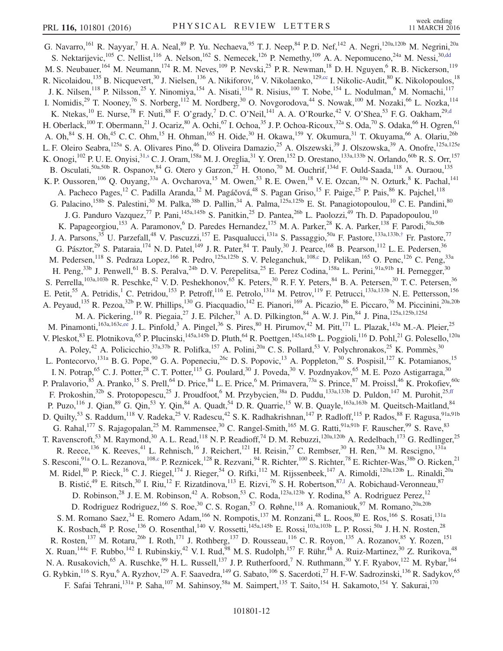<span id="page-12-2"></span><span id="page-12-1"></span><span id="page-12-0"></span>G. Navarro,  $^{161}$  R. Nayyar,  $^7$  H. A. Neal,  $^{89}$  P. Yu. Nechaeva,  $^{95}$  T. J. Neep,  $^{84}$  P. D. Nef,  $^{142}$  A. Negri,  $^{120a,120b}$  M. Negrini,  $^{20a}$ S. Nektarijevic,<sup>105</sup> C. Nellist,<sup>116</sup> A. Nelson,<sup>162</sup> S. Nemecek,<sup>126</sup> P. Nemethy,<sup>109</sup> A. A. Nepomuceno,<sup>24a</sup> M. Nessi,<sup>3[0,dd](#page-18-27)</sup> M. S. Neubauer,<sup>164</sup> M. Neumann,<sup>174</sup> R. M. Neves,<sup>109</sup> P. Nevski,<sup>25</sup> P. R. Newman,<sup>18</sup> D. H. Nguyen,<sup>6</sup> R. B. Nickerson,<sup>119</sup> R. Nicolaidou,  $^{135}$  B. Nicquevert,  $^{30}$  J. Nielsen,  $^{136}$  A. Nikiforov,  $^{16}$  V. Nikolaenko,  $^{129,cc}$  $^{129,cc}$  $^{129,cc}$  I. Nikolic-Audit,  $^{80}$  K. Nikolopoulos,  $^{18}$ J. K. Nilsen,<sup>118</sup> P. Nilsson,<sup>25</sup> Y. Ninomiya,<sup>154</sup> A. Nisati,<sup>131a</sup> R. Nisius,<sup>100</sup> T. Nobe,<sup>154</sup> L. Nodulman,<sup>6</sup> M. Nomachi,<sup>117</sup> I. Nomidis,<sup>29</sup> T. Nooney,<sup>76</sup> S. Norberg,<sup>112</sup> M. Nordberg,<sup>30</sup> O. Novgorodova,<sup>44</sup> S. Nowak,<sup>100</sup> M. Nozaki,<sup>66</sup> L. Nozka,<sup>114</sup> K. Ntekas,  $^{10}$  E. Nurse,  $^{78}$  F. Nuti,  $^{88}$  F. O'grady,  $^{7}$  D. C. O'Neil,  $^{141}$  A. A. O'Rourke,  $^{42}$  V. O'Shea,  $^{53}$  F. G. Oakham,  $^{29, d}$ H. Oberlack,<sup>100</sup> T. Obermann,<sup>21</sup> J. Ocariz,<sup>80</sup> A. Ochi,<sup>67</sup> I. Ochoa,<sup>35</sup> J. P. Ochoa-Ricoux,<sup>32a</sup> S. Oda,<sup>70</sup> S. Odaka,<sup>66</sup> H. Ogren,<sup>61</sup> A. Oh,<sup>84</sup> S. H. Oh,<sup>45</sup> C. C. Ohm,<sup>15</sup> H. Ohman,<sup>165</sup> H. Oide,<sup>30</sup> H. Okawa,<sup>159</sup> Y. Okumura,<sup>31</sup> T. Okuyama,<sup>66</sup> A. Olariu,<sup>26b</sup> L. F. Oleiro Seabra, <sup>125a</sup> S. A. Olivares Pino, <sup>46</sup> D. Oliveira Damazio, <sup>25</sup> A. Olszewski, <sup>39</sup> J. Olszowska, <sup>39</sup> A. Onofre, <sup>125a, 125e</sup> K. Onogi,  $^{102}$  P. U. E. Onyisi,  $^{31,s}$  $^{31,s}$  $^{31,s}$  C. J. Oram,  $^{158a}$  M. J. Oreglia,  $^{31}$  Y. Oren,  $^{152}$  D. Orestano,  $^{133a,133b}$  N. Orlando,  $^{60b}$  R. S. Orr,  $^{157}$ B. Osculati, <sup>50a,50b</sup> R. Ospanov, <sup>84</sup> G. Otero y Garzon, <sup>27</sup> H. Otono, <sup>70</sup> M. Ouchrif, <sup>134d</sup> F. Ould-Saada, <sup>118</sup> A. Ouraou, <sup>135</sup> K. P. Oussoren,<sup>106</sup> Q. Ouyang,<sup>33a</sup> A. Ovcharova,<sup>15</sup> M. Owen,<sup>53</sup> R. E. Owen,<sup>18</sup> V. E. Ozcan,<sup>19a</sup> N. Ozturk,<sup>8</sup> K. Pachal,<sup>141</sup> A. Pacheco Pages,<sup>12</sup> C. Padilla Aranda,<sup>12</sup> M. Pagáčová,<sup>48</sup> S. Pagan Griso,<sup>15</sup> F. Paige,<sup>25</sup> P. Pais,<sup>86</sup> K. Pajchel,<sup>118</sup> G. Palacino,<sup>158b</sup> S. Palestini,<sup>30</sup> M. Palka,<sup>38b</sup> D. Pallin,<sup>34</sup> A. Palma,<sup>125a,125b</sup> E. St. Panagiotopoulou,<sup>10</sup> C. E. Pandini,<sup>80</sup> J. G. Panduro Vazquez,<sup>77</sup> P. Pani, <sup>145a,145b</sup> S. Panitkin, <sup>25</sup> D. Pantea, <sup>26b</sup> L. Paolozzi, <sup>49</sup> Th. D. Papadopoulou, <sup>10</sup> K. Papageorgiou,<sup>153</sup> A. Paramonov,<sup>6</sup> D. Paredes Hernandez,<sup>175</sup> M. A. Parker,<sup>28</sup> K. A. Parker,<sup>138</sup> F. Parodi,<sup>50a,50b</sup> J. A. Parsons,<sup>35</sup> U. Parzefall,<sup>48</sup> V. Pascuzzi,<sup>157</sup> E. Pasqualucci,<sup>131a</sup> S. Passaggio,<sup>50a</sup> F. Pastore,<sup>133a,133b,[†](#page-17-2)</sup> Fr. Pastore,<sup>77</sup> G. Pásztor,<sup>29</sup> S. Pataraia,<sup>174</sup> N. D. Patel,<sup>149</sup> J. R. Pater,<sup>84</sup> T. Pauly,<sup>30</sup> J. Pearce,<sup>168</sup> B. Pearson,<sup>112</sup> L. E. Pedersen,<sup>36</sup> M. Pedersen,<sup>118</sup> S. Pedraza Lopez,<sup>166</sup> R. Pedro,<sup>125a,125b</sup> S. V. Peleganchuk,<sup>108[,c](#page-18-0)</sup> D. Pelikan,<sup>165</sup> O. Penc,<sup>126</sup> C. Peng,<sup>33a</sup> H. Peng,<sup>33b</sup> J. Penwell,<sup>61</sup> B. S. Peralva,<sup>24b</sup> D. V. Perepelitsa,<sup>25</sup> E. Perez Codina,<sup>158a</sup> L. Perini,<sup>91a,91b</sup> H. Pernegger,<sup>30</sup> S. Perrella,  $^{103a,103b}$  R. Peschke,  $^{42}$  V. D. Peshekhonov,  $^{65}$  K. Peters,  $^{30}$  R. F. Y. Peters,  $^{84}$  B. A. Petersen,  $^{30}$  T. C. Petersen,  $^{36}$ E. Petit,<sup>55</sup> A. Petridis,<sup>1</sup> C. Petridou,<sup>153</sup> P. Petroff,<sup>116</sup> E. Petrolo,<sup>131a</sup> M. Petrov,<sup>119</sup> F. Petrucci,<sup>133a,133b</sup> N. E. Pettersson,<sup>156</sup> A. Peyaud,<sup>135</sup> R. Pezoa,<sup>32b</sup> P. W. Phillips,<sup>130</sup> G. Piacquadio,<sup>142</sup> E. Pianori,<sup>169</sup> A. Picazio,<sup>86</sup> E. Piccaro,<sup>76</sup> M. Piccinini,<sup>20a,20b</sup> M. A. Pickering,<sup>119</sup> R. Piegaia,<sup>27</sup> J. E. Pilcher,<sup>31</sup> A. D. Pilkington,<sup>84</sup> A. W. J. Pin,<sup>84</sup> J. Pina,<sup>125a,125b,125d</sup> M. Pinamonti,  $^{163a,163c,ee}$  $^{163a,163c,ee}$  $^{163a,163c,ee}$  J. L. Pinfold,  $^3$  A. Pingel,  $^{36}$  S. Pires,  $^{80}$  H. Pirumov,  $^{42}$  M. Pitt,  $^{171}$  L. Plazak,  $^{143a}$  M.-A. Pleier,  $^{25}$ V. Pleskot,  $83$  E. Plotnikova,  $65$  P. Plucinski,  $145a,145b$  D. Pluth,  $64$  R. Poettgen,  $145a,145b$  L. Poggioli,  $116$  D. Pohl,  $21$  G. Polesello,  $120a$ A. Poley,<sup>42</sup> A. Policicchio,<sup>37a,37b</sup> R. Polifka,<sup>157</sup> A. Polini,<sup>20a</sup> C. S. Pollard,<sup>53</sup> V. Polychronakos,<sup>25</sup> K. Pommès,<sup>30</sup> L. Pontecorvo, <sup>131a</sup> B. G. Pope, <sup>90</sup> G. A. Popeneciu, <sup>26c</sup> D. S. Popovic, <sup>13</sup> A. Poppleton, <sup>30</sup> S. Pospisil, <sup>127</sup> K. Potamianos, <sup>15</sup> I. N. Potrap,<sup>65</sup> C. J. Potter,<sup>28</sup> C. T. Potter,<sup>115</sup> G. Poulard,<sup>30</sup> J. Poveda,<sup>30</sup> V. Pozdnyakov,<sup>65</sup> M. E. Pozo Astigarraga,<sup>30</sup> P. Pralavorio,<sup>85</sup> A. Pranko,<sup>15</sup> S. Prell,<sup>64</sup> D. Price,<sup>84</sup> L. E. Price,<sup>6</sup> M. Primavera,<sup>73a</sup> S. Prince,<sup>87</sup> M. Proissl,<sup>46</sup> K. Prokofiev,<sup>60c</sup> F. Prokoshin,<sup>32b</sup> S. Protopopescu,<sup>25</sup> J. Proudfoot,<sup>6</sup> M. Przybycien,<sup>38a</sup> D. Puddu,<sup>133a,133b</sup> D. Puldon,<sup>147</sup> M. Purohit,<sup>25[,ff](#page-18-29)</sup> P. Puzo,<sup>116</sup> J. Qian, <sup>89</sup> G. Qin, <sup>53</sup> Y. Qin, <sup>84</sup> A. Quadt, <sup>54</sup> D. R. Quarrie, <sup>15</sup> W. B. Quayle, <sup>163a, 163b</sup> M. Queitsch-Maitland, <sup>84</sup> D. Quilty,<sup>53</sup> S. Raddum,<sup>118</sup> V. Radeka,<sup>25</sup> V. Radescu,<sup>42</sup> S. K. Radhakrishnan,<sup>147</sup> P. Radloff,<sup>115</sup> P. Rados,<sup>88</sup> F. Ragusa,<sup>91a,91b</sup> G. Rahal,<sup>177</sup> S. Rajagopalan,<sup>25</sup> M. Rammensee,<sup>30</sup> C. Rangel-Smith,<sup>165</sup> M. G. Ratti,<sup>91a,91b</sup> F. Rauscher,<sup>99</sup> S. Rave,<sup>83</sup> T. Ravenscroft,<sup>53</sup> M. Raymond,<sup>30</sup> A. L. Read,<sup>118</sup> N. P. Readioff,<sup>74</sup> D. M. Rebuzzi,<sup>120a,120b</sup> A. Redelbach,<sup>173</sup> G. Redlinger,<sup>25</sup> R. Reece,<sup>136</sup> K. Reeves,<sup>41</sup> L. Rehnisch,<sup>16</sup> J. Reichert,<sup>121</sup> H. Reisin,<sup>27</sup> C. Rembser,<sup>30</sup> H. Ren,<sup>33a</sup> M. Rescigno,<sup>131a</sup> S. Resconi, <sup>91a</sup> O. L. Rezanova, <sup>108, c</sup> P. Reznicek, <sup>128</sup> R. Rezvani, <sup>94</sup> R. Richter, <sup>100</sup> S. Richter, <sup>78</sup> E. Richter-Was, <sup>38b</sup> O. Ricken, <sup>21</sup> M. Ridel,<sup>80</sup> P. Rieck,<sup>16</sup> C. J. Riegel,<sup>174</sup> J. Rieger,<sup>54</sup> O. Rifki,<sup>112</sup> M. Rijssenbeek,<sup>147</sup> A. Rimoldi,<sup>120a,120b</sup> L. Rinaldi,<sup>20a</sup> B. Ristić, <sup>49</sup> E. Ritsch, <sup>30</sup> I. Riu, <sup>12</sup> F. Rizatdinova, <sup>113</sup> E. Rizvi, <sup>76</sup> S. H. Robertson, <sup>87,1</sup> A. Robichaud-Veronneau, <sup>87</sup> D. Robinson,<sup>28</sup> J. E. M. Robinson,<sup>42</sup> A. Robson,<sup>53</sup> C. Roda,<sup>123a,123b</sup> Y. Rodina,<sup>85</sup> A. Rodriguez Perez,<sup>12</sup> D. Rodriguez Rodriguez,<sup>166</sup> S. Roe,<sup>30</sup> C. S. Rogan,<sup>57</sup> O. Røhne,<sup>118</sup> A. Romaniouk,<sup>97</sup> M. Romano,<sup>20a,20b</sup> S. M. Romano Saez,<sup>34</sup> E. Romero Adam,<sup>166</sup> N. Rompotis,<sup>137</sup> M. Ronzani,<sup>48</sup> L. Roos,<sup>80</sup> E. Ros,<sup>166</sup> S. Rosati,<sup>131a</sup> K. Rosbach,<sup>48</sup> P. Rose,<sup>136</sup> O. Rosenthal,<sup>140</sup> V. Rossetti,<sup>145a,145b</sup> E. Rossi,<sup>103a,103b</sup> L. P. Rossi,<sup>50a</sup> J. H. N. Rosten,<sup>28</sup> R. Rosten,<sup>137</sup> M. Rotaru,<sup>26b</sup> I. Roth,<sup>171</sup> J. Rothberg,<sup>137</sup> D. Rousseau,<sup>116</sup> C. R. Royon,<sup>135</sup> A. Rozanov,<sup>85</sup> Y. Rozen,<sup>151</sup> X. Ruan, <sup>144c</sup> F. Rubbo, <sup>142</sup> I. Rubinskiy, <sup>42</sup> V. I. Rud, <sup>98</sup> M. S. Rudolph, <sup>157</sup> F. Rühr, <sup>48</sup> A. Ruiz-Martinez, <sup>30</sup> Z. Rurikova, <sup>48</sup> N. A. Rusakovich,<sup>65</sup> A. Ruschke,<sup>99</sup> H. L. Russell,<sup>137</sup> J. P. Rutherfoord,<sup>7</sup> N. Ruthmann,<sup>30</sup> Y. F. Ryabov,<sup>122</sup> M. Rybar,<sup>164</sup> G. Rybkin,  $^{116}$  S. Ryu,  $^6$  A. Ryzhov,  $^{129}$  A. F. Saavedra,  $^{149}$  G. Sabato,  $^{106}$  S. Sacerdoti,  $^{27}$  H. F-W. Sadrozinski,  $^{136}$  R. Sadykov,  $^{65}$ F. Safai Tehrani,<sup>131a</sup> P. Saha,<sup>107</sup> M. Sahinsoy,<sup>58a</sup> M. Saimpert,<sup>135</sup> T. Saito,<sup>154</sup> H. Sakamoto,<sup>154</sup> Y. Sakurai,<sup>170</sup>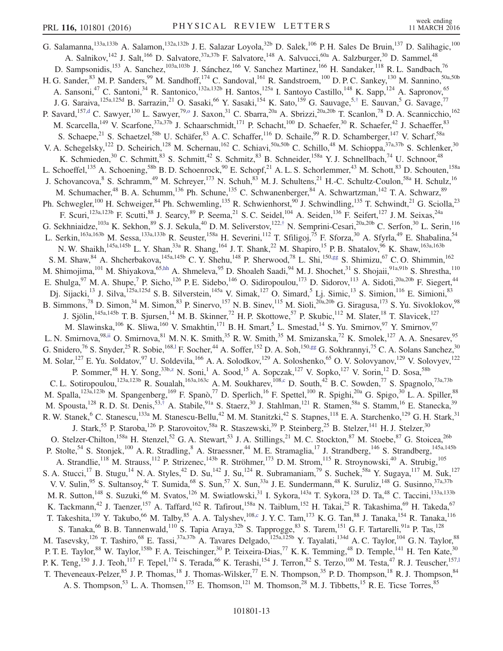<span id="page-13-4"></span><span id="page-13-3"></span><span id="page-13-2"></span><span id="page-13-1"></span><span id="page-13-0"></span>G. Salamanna,<sup>133a,133b</sup> A. Salamon,<sup>132a,132b</sup> J. E. Salazar Loyola,<sup>32b</sup> D. Salek,<sup>106</sup> P. H. Sales De Bruin,<sup>137</sup> D. Salihagic,<sup>100</sup> A. Salnikov,<sup>142</sup> J. Salt,<sup>166</sup> D. Salvatore,<sup>37a,37b</sup> F. Salvatore,<sup>148</sup> A. Salvucci,<sup>60a</sup> A. Salzburger,<sup>30</sup> D. Sammel,<sup>48</sup> D. Sampsonidis,<sup>153</sup> A. Sanchez,<sup>103a,103b</sup> J. Sánchez,<sup>166</sup> V. Sanchez Martinez,<sup>166</sup> H. Sandaker,<sup>118</sup> R. L. Sandbach,<sup>76</sup> H. G. Sander,<sup>83</sup> M. P. Sanders,<sup>99</sup> M. Sandhoff,<sup>174</sup> C. Sandoval,<sup>161</sup> R. Sandstroem,<sup>100</sup> D. P. C. Sankey,<sup>130</sup> M. Sannino,<sup>50a,50b</sup> A. Sansoni,<sup>47</sup> C. Santoni,<sup>34</sup> R. Santonico,<sup>132a,132b</sup> H. Santos,<sup>125a</sup> I. Santoyo Castillo,<sup>148</sup> K. Sapp,<sup>124</sup> A. Sapronov,<sup>65</sup> J. G. Saraiva,<sup>125a,125d</sup> B. Sarrazin,<sup>21</sup> O. Sasaki,<sup>66</sup> Y. Sasaki,<sup>154</sup> K. Sato,<sup>159</sup> G. Sauvage,<sup>5,[†](#page-17-2)</sup> E. Sauvan,<sup>5</sup> G. Savage,<sup>77</sup> P. Savard,<sup>15[7,d](#page-18-1)</sup> C. Sawyer,<sup>130</sup> L. Sawyer,<sup>7[9,o](#page-18-12)</sup> J. Saxon,<sup>31</sup> C. Sbarra,<sup>20a</sup> A. Sbrizzi,<sup>20a,20b</sup> T. Scanlon,<sup>78</sup> D. A. Scannicchio,<sup>162</sup> M. Scarcella,<sup>149</sup> V. Scarfone,<sup>37a,37b</sup> J. Schaarschmidt,<sup>171</sup> P. Schacht,<sup>100</sup> D. Schaefer,<sup>30</sup> R. Schaefer,<sup>42</sup> J. Schaeffer,<sup>83</sup> S. Schaepe,<sup>21</sup> S. Schaetzel,<sup>58b</sup> U. Schäfer,<sup>83</sup> A. C. Schaffer,<sup>116</sup> D. Schaile,<sup>99</sup> R. D. Schamberger,<sup>147</sup> V. Scharf,<sup>58a</sup> V. A. Schegelsky,<sup>122</sup> D. Scheirich,<sup>128</sup> M. Schernau,<sup>162</sup> C. Schiavi,<sup>50a,50b</sup> C. Schillo,<sup>48</sup> M. Schioppa,<sup>37a,37b</sup> S. Schlenker,<sup>30</sup> K. Schmieden,<sup>30</sup> C. Schmitt,<sup>83</sup> S. Schmitt,<sup>42</sup> S. Schmitz,<sup>83</sup> B. Schneider,<sup>158a</sup> Y. J. Schnellbach,<sup>74</sup> U. Schnoor,<sup>48</sup> L. Schoeffel,<sup>135</sup> A. Schoening,<sup>58b</sup> B. D. Schoenrock,<sup>90</sup> E. Schopf,<sup>21</sup> A. L. S. Schorlemmer,<sup>43</sup> M. Schott,<sup>83</sup> D. Schouten,<sup>158a</sup> J. Schovancova, <sup>8</sup> S. Schramm, <sup>49</sup> M. Schreyer, <sup>173</sup> N. Schuh, <sup>83</sup> M. J. Schultens, <sup>21</sup> H.-C. Schultz-Coulon, <sup>58a</sup> H. Schulz, <sup>16</sup> M. Schumacher,<sup>48</sup> B. A. Schumm,<sup>136</sup> Ph. Schune,<sup>135</sup> C. Schwanenberger,<sup>84</sup> A. Schwartzman,<sup>142</sup> T. A. Schwarz,<sup>89</sup> Ph. Schwegler,<sup>100</sup> H. Schweiger,<sup>84</sup> Ph. Schwemling,<sup>135</sup> R. Schwienhorst,<sup>90</sup> J. Schwindling,<sup>135</sup> T. Schwindt,<sup>21</sup> G. Sciolla,<sup>23</sup> F. Scuri,<sup>123a,123b</sup> F. Scutti,<sup>88</sup> J. Searcy,<sup>89</sup> P. Seema,<sup>21</sup> S. C. Seidel,<sup>104</sup> A. Seiden,<sup>136</sup> F. Seifert,<sup>127</sup> J. M. Seixas,<sup>24a</sup> G. Sekhniaidze,<sup>103a</sup> K. Sekhon,<sup>89</sup> S. J. Sekula,<sup>40</sup> D. M. Seliverstov,<sup>122,[†](#page-17-2)</sup> N. Semprini-Cesari,<sup>20a,20b</sup> C. Serfon,<sup>30</sup> L. Serin,<sup>116</sup> L. Serkin,<sup>163a,163b</sup> M. Sessa,<sup>133a,133b</sup> R. Seuster,<sup>158a</sup> H. Severini,<sup>112</sup> T. Sfiligoj,<sup>75</sup> F. Sforza,<sup>30</sup> A. Sfyrla,<sup>49</sup> E. Shabalina,<sup>54</sup> N. W. Shaikh,<sup>145a,145b</sup> L. Y. Shan,<sup>33a</sup> R. Shang,<sup>164</sup> J. T. Shank,<sup>22</sup> M. Shapiro,<sup>15</sup> P. B. Shatalov,<sup>96</sup> K. Shaw,<sup>163a,163b</sup> S. M. Shaw,  $84$  A. Shcherbakova,  $145a,145b$  C. Y. Shehu,  $148$  P. Sherwood,  $78$  L. Shi,  $150,gg$  $150,gg$  S. Shimizu,  $67$  C. O. Shimmin,  $162$ M. Shimojima,<sup>101</sup> M. Shiyakova,<sup>6[5,hh](#page-18-31)</sup> A. Shmeleva,<sup>95</sup> D. Shoaleh Saadi,<sup>94</sup> M. J. Shochet,<sup>31</sup> S. Shojaii,<sup>91a,91b</sup> S. Shrestha,<sup>110</sup> E. Shulga,  $97$  M. A. Shupe,  $7$  P. Sicho,  $126$  P. E. Sidebo,  $146$  O. Sidiropoulou,  $173$  D. Sidorov,  $113$  A. Sidoti,  $20a,20b$  F. Siegert,  $44$ Dj. Sijacki,<sup>13</sup> J. Silva,<sup>125a,125d</sup> S. B. Silverstein,<sup>145a</sup> V. Simak,<sup>127</sup> O. Simard,<sup>5</sup> Lj. Simic,<sup>13</sup> S. Simion,<sup>116</sup> E. Simioni,<sup>83</sup> B. Simmons,<sup>78</sup> D. Simon,<sup>34</sup> M. Simon,<sup>83</sup> P. Sinervo,<sup>157</sup> N. B. Sinev,<sup>115</sup> M. Sioli,<sup>20a,20b</sup> G. Siragusa,<sup>173</sup> S. Yu. Sivoklokov,<sup>98</sup> J. Sjölin,<sup>145a,145b</sup> T. B. Sjursen,<sup>14</sup> M. B. Skinner,<sup>72</sup> H. P. Skottowe,<sup>57</sup> P. Skubic,<sup>112</sup> M. Slater,<sup>18</sup> T. Slavicek,<sup>127</sup> M. Slawinska,  $^{106}$  K. Sliwa,  $^{160}$  V. Smakhtin,  $^{171}$  B. H. Smart,  $^5$  L. Smestad,  $^{14}$  S. Yu. Smirnov,  $^{97}$  Y. Smirnov,  $^{97}$ L. N. Smirnova, <sup>9[8,ii](#page-18-32)</sup> O. Smirnova, <sup>81</sup> M. N. K. Smith, <sup>35</sup> R. W. Smith, <sup>35</sup> M. Smizanska, <sup>72</sup> K. Smolek, <sup>127</sup> A. A. Snesarev, <sup>95</sup> G. Snidero,  $^{76}$  S. Snyder,  $^{25}$  R. Sobie,  $^{168,1}$  F. Socher,  $^{44}$  A. Soffer,  $^{152}$  D. A. Soh,  $^{150,gg}$  $^{150,gg}$  $^{150,gg}$  G. Sokhrannyi,  $^{75}$  C. A. Solans Sanchez,  $^{30}$ M. Solar, <sup>127</sup> E. Yu. Soldatov, <sup>97</sup> U. Soldevila, <sup>166</sup> A. A. Solodkov, <sup>129</sup> A. Soloshenko, <sup>65</sup> O. V. Solovyanov, <sup>129</sup> V. Solovyev, <sup>122</sup> P. Sommer,<sup>48</sup> H. Y. Song,<sup>33b[,z](#page-18-23)</sup> N. Soni,<sup>1</sup> A. Sood,<sup>15</sup> A. Sopczak,<sup>127</sup> V. Sopko,<sup>127</sup> V. Sorin,<sup>12</sup> D. Sosa,<sup>58b</sup> C. L. Sotiropoulou,<sup>123a,123b</sup> R. Soualah,<sup>163a,163c</sup> A. M. Soukharev,<sup>108[,c](#page-18-0)</sup> D. South,<sup>42</sup> B. C. Sowden,<sup>77</sup> S. Spagnolo,<sup>73a,73b</sup> M. Spalla,<sup>123a,123b</sup> M. Spangenberg,<sup>169</sup> F. Spanò,<sup>77</sup> D. Sperlich,<sup>16</sup> F. Spettel,<sup>100</sup> R. Spighi,<sup>20a</sup> G. Spigo,<sup>30</sup> L. A. Spiller,<sup>88</sup> M. Spousta,<sup>128</sup> R. D. St. Denis,<sup>53,[†](#page-17-2)</sup> A. Stabile,<sup>91a</sup> S. Staerz,<sup>30</sup> J. Stahlman,<sup>121</sup> R. Stamen,<sup>58a</sup> S. Stamm,<sup>16</sup> E. Stanecka,<sup>39</sup> R. W. Stanek, <sup>6</sup> C. Stanescu,<sup>133a</sup> M. Stanescu-Bellu, <sup>42</sup> M. M. Stanitzki, <sup>42</sup> S. Stapnes, <sup>118</sup> E. A. Starchenko, <sup>129</sup> G. H. Stark, <sup>31</sup> J. Stark,<sup>55</sup> P. Staroba,<sup>126</sup> P. Starovoitov,<sup>58a</sup> R. Staszewski,<sup>39</sup> P. Steinberg,<sup>25</sup> B. Stelzer,<sup>141</sup> H. J. Stelzer,<sup>30</sup> O. Stelzer-Chilton,<sup>158a</sup> H. Stenzel,<sup>52</sup> G. A. Stewart,<sup>53</sup> J. A. Stillings,<sup>21</sup> M. C. Stockton,<sup>87</sup> M. Stoebe,<sup>87</sup> G. Stoicea,<sup>26b</sup> P. Stolte,<sup>54</sup> S. Stonjek,<sup>100</sup> A. R. Stradling,<sup>8</sup> A. Straessner,<sup>44</sup> M. E. Stramaglia,<sup>17</sup> J. Strandberg,<sup>146</sup> S. Strandberg,<sup>145a,145b</sup> A. Strandlie,<sup>118</sup> M. Strauss,<sup>112</sup> P. Strizenec,<sup>143b</sup> R. Ströhmer,<sup>173</sup> D. M. Strom,<sup>115</sup> R. Stroynowski,<sup>40</sup> A. Strubig,<sup>105</sup> S. A. Stucci,<sup>17</sup> B. Stugu,<sup>14</sup> N. A. Styles,<sup>42</sup> D. Su,<sup>142</sup> J. Su,<sup>124</sup> R. Subramaniam,<sup>79</sup> S. Suchek,<sup>58a</sup> Y. Sugaya,<sup>117</sup> M. Suk,<sup>127</sup> V. V. Sulin, <sup>95</sup> S. Sultansoy, <sup>4c</sup> T. Sumida, <sup>68</sup> S. Sun, <sup>57</sup> X. Sun, <sup>33a</sup> J. E. Sundermann, <sup>48</sup> K. Suruliz, <sup>148</sup> G. Susinno, <sup>37a, 37b</sup> M. R. Sutton,<sup>148</sup> S. Suzuki,<sup>66</sup> M. Svatos,<sup>126</sup> M. Swiatlowski,<sup>31</sup> I. Sykora,<sup>143a</sup> T. Sykora,<sup>128</sup> D. Ta,<sup>48</sup> C. Taccini,<sup>133a,133b</sup> K. Tackmann,<sup>42</sup> J. Taenzer,<sup>157</sup> A. Taffard,<sup>162</sup> R. Tafirout,<sup>158a</sup> N. Taiblum,<sup>152</sup> H. Takai,<sup>25</sup> R. Takashima,<sup>69</sup> H. Takeda,<sup>67</sup> T. Takeshita,<sup>139</sup> Y. Takubo,<sup>66</sup> M. Talby,<sup>85</sup> A. A. Talyshev,<sup>10[8,c](#page-18-0)</sup> J. Y. C. Tam,<sup>173</sup> K. G. Tan,<sup>88</sup> J. Tanaka,<sup>154</sup> R. Tanaka,<sup>116</sup> S. Tanaka, <sup>66</sup> B. B. Tannenwald, <sup>110</sup> S. Tapia Araya, <sup>32b</sup> S. Tapprogge, <sup>83</sup> S. Tarem, <sup>151</sup> G. F. Tartarelli, <sup>91a</sup> P. Tas, <sup>128</sup> M. Tasevsky,<sup>126</sup> T. Tashiro,<sup>68</sup> E. Tassi,<sup>37a,37b</sup> A. Tavares Delgado,<sup>125a,125b</sup> Y. Tayalati,<sup>134d</sup> A. C. Taylor,<sup>104</sup> G. N. Taylor,<sup>88</sup> P. T. E. Taylor,<sup>88</sup> W. Taylor,<sup>158b</sup> F. A. Teischinger,<sup>30</sup> P. Teixeira-Dias,<sup>77</sup> K. K. Temming,<sup>48</sup> D. Temple,<sup>141</sup> H. Ten Kate,<sup>30</sup> P. K. Teng,<sup>150</sup> J. J. Teoh,<sup>117</sup> F. Tepel,<sup>174</sup> S. Terada,<sup>66</sup> K. Terashi,<sup>154</sup> J. Terron,<sup>82</sup> S. Terzo,<sup>100</sup> M. Testa,<sup>47</sup> R. J. Teuscher,<sup>157,1</sup> T. Theveneaux-Pelzer,<sup>85</sup> J. P. Thomas,<sup>18</sup> J. Thomas-Wilsker,<sup>77</sup> E. N. Thompson,<sup>35</sup> P. D. Thompson,<sup>18</sup> R. J. Thompson,<sup>84</sup> A. S. Thompson,<sup>53</sup> L. A. Thomsen,<sup>175</sup> E. Thomson,<sup>121</sup> M. Thomson,<sup>28</sup> M. J. Tibbetts,<sup>15</sup> R. E. Ticse Torres,<sup>85</sup>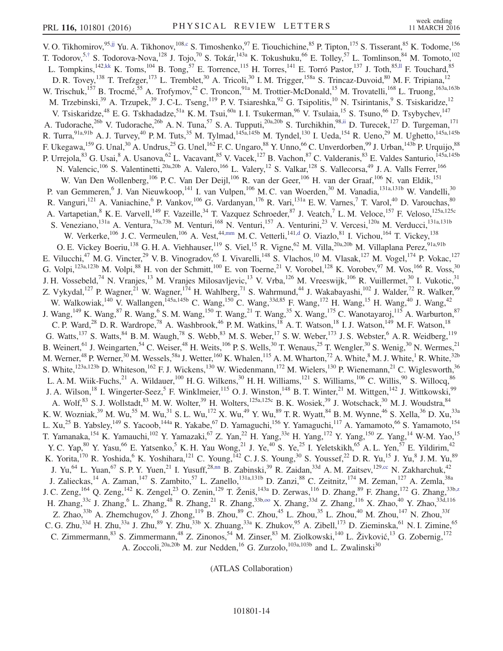V. O. Tikhomirov,  $95,ij$  Yu. A. Tikhonov,  $108,c$  $108,c$  S. Timoshenko,  $97$  E. Tiouchichine,  $85$  P. Tipton,  $175$  S. Tisserant,  $85$  K. Todome,  $156$ T. Todorov,<sup>5,[†](#page-17-2)</sup> S. Todorova-Nova,<sup>128</sup> J. Tojo,<sup>70</sup> S. Tokár,<sup>143a</sup> K. Tokushuku,<sup>66</sup> E. Tolley,<sup>57</sup> L. Tomlinson,<sup>84</sup> M. Tomoto,<sup>102</sup> L. Tompkins,  $^{142,kk}$  $^{142,kk}$  $^{142,kk}$  K. Toms,  $^{104}$  B. Tong,  $^{57}$  E. Torrence,  $^{115}$  H. Torres,  $^{141}$  E. Torró Pastor,  $^{137}$  J. Toth,  $^{85,II}$  F. Touchard,  $^{85}$ D. R. Tovey,<sup>138</sup> T. Trefzger,<sup>173</sup> L. Tremblet,<sup>30</sup> A. Tricoli,<sup>30</sup> I. M. Trigger,<sup>158a</sup> S. Trincaz-Duvoid,<sup>80</sup> M. F. Tripiana,<sup>12</sup> W. Trischuk,<sup>157</sup> B. Trocmé,<sup>55</sup> A. Trofymov,<sup>42</sup> C. Troncon,<sup>91a</sup> M. Trottier-McDonald,<sup>15</sup> M. Trovatelli,<sup>168</sup> L. Truong,<sup>163a,163b</sup> M. Trzebinski,<sup>39</sup> A. Trzupek,<sup>39</sup> J. C-L. Tseng,<sup>119</sup> P. V. Tsiareshka,<sup>92</sup> G. Tsipolitis,<sup>10</sup> N. Tsirintanis,<sup>9</sup> S. Tsiskaridze,<sup>12</sup> V. Tsiskaridze,<sup>48</sup> E. G. Tskhadadze,<sup>51a</sup> K. M. Tsui,<sup>60a</sup> I. I. Tsukerman,<sup>96</sup> V. Tsulaia,<sup>15</sup> S. Tsuno,<sup>66</sup> D. Tsybychev,<sup>147</sup> A. Tudorache,<sup>26b</sup> V. Tudorache,<sup>26b</sup> A. N. Tuna,<sup>57</sup> S. A. Tupputi,<sup>20a,20b</sup> S. Turchikhin,<sup>98[,ii](#page-18-32)</sup> D. Turecek,<sup>127</sup> D. Turgeman,<sup>171</sup> R. Turra, <sup>91a,91b</sup> A. J. Turvey, <sup>40</sup> P. M. Tuts, <sup>35</sup> M. Tylmad, <sup>145a, 145b</sup> M. Tyndel, <sup>130</sup> I. Ueda, <sup>154</sup> R. Ueno, <sup>29</sup> M. Ughetto, <sup>145a, 145b</sup> F. Ukegawa,  $^{159}$  G. Unal,  $^{30}$  A. Undrus,  $^{25}$  G. Unel,  $^{162}$  F. C. Ungaro,  $^{88}$  Y. Unno,  $^{66}$  C. Unverdorben,  $^{99}$  J. Urban,  $^{143b}$  P. Urquijo,  $^{88}$ P. Urrejola, <sup>83</sup> G. Usai, <sup>8</sup> A. Usanova, <sup>62</sup> L. Vacavant, <sup>85</sup> V. Vacek, <sup>127</sup> B. Vachon, <sup>87</sup> C. Valderanis, <sup>83</sup> E. Valdes Santurio, <sup>145a, 145b</sup> N. Valencic,<sup>106</sup> S. Valentinetti,<sup>20a,20b</sup> A. Valero,<sup>166</sup> L. Valery,<sup>12</sup> S. Valkar,<sup>128</sup> S. Vallecorsa,<sup>49</sup> J. A. Valls Ferrer,<sup>166</sup> W. Van Den Wollenberg,<sup>106</sup> P. C. Van Der Deijl,<sup>106</sup> R. van der Geer,<sup>106</sup> H. van der W. Van Den Wollenberg,<sup>106</sup> P. C. Van Der Deijl,<sup>106</sup> R. van der Geer,<sup>106</sup> H. van der Graaf,<sup>106</sup> N. van Eldik,<sup>151</sup> P. van Gemmeren, <sup>6</sup> J. Van Nieuwkoop, <sup>141</sup> I. van Vulpen, <sup>106</sup> M. C. van Woerden, <sup>30</sup> M. Vanadia, <sup>131a, 131b</sup> W. Vandelli, <sup>30</sup> R. Vanguri,<sup>121</sup> A. Vaniachine,<sup>6</sup> P. Vankov,<sup>106</sup> G. Vardanyan,<sup>176</sup> R. Vari,<sup>131a</sup> E. W. Varnes,<sup>7</sup> T. Varol,<sup>40</sup> D. Varouchas,<sup>80</sup> A. Vartapetian, <sup>8</sup> K. E. Varvell, <sup>149</sup> F. Vazeille, <sup>34</sup> T. Vazquez Schroeder, <sup>87</sup> J. Veatch, <sup>7</sup> L. M. Veloce, <sup>157</sup> F. Veloso, <sup>125a, 125c</sup> S. Veneziano, <sup>131a</sup> A. Ventura, <sup>73a,73b</sup> M. Venturi, <sup>168</sup> N. Venturi, <sup>157</sup> A. Venturini, <sup>23</sup> V. Vercesi, <sup>120a</sup> M. Verducci, <sup>131a,131b</sup> W. Verkerke,<sup>106</sup> J. C. Vermeulen,<sup>106</sup> A. Vest,<sup>44[,mm](#page-18-36)</sup> M. C. Vetterli,<sup>14[1,d](#page-18-1)</sup> O. Viazlo,<sup>81</sup> I. Vichou,<sup>164</sup> T. Vickey,<sup>138</sup> O. E. Vickey Boeriu,<sup>138</sup> G. H. A. Viehhauser,<sup>119</sup> S. Viel,<sup>15</sup> R. Vigne,<sup>62</sup> M. Villa,<sup>20a,20b</sup> M. Villaplana Perez,<sup>91a,91b</sup> E. Vilucchi,<sup>47</sup> M. G. Vincter,<sup>29</sup> V. B. Vinogradov,<sup>65</sup> I. Vivarelli,<sup>148</sup> S. Vlachos,<sup>10</sup> M. Vlasak,<sup>127</sup> M. Vogel,<sup>174</sup> P. Vokac,<sup>127</sup> G. Volpi,  $^{123a,123b}$  M. Volpi,  $^{88}$  H. von der Schmitt,  $^{100}$  E. von Toerne,  $^{21}$  V. Vorobel,  $^{128}$  K. Vorobev,  $^{97}$  M. Vos,  $^{166}$  R. Voss,  $^{30}$ J. H. Vossebeld,<sup>74</sup> N. Vranjes,<sup>13</sup> M. Vranjes Milosavljevic,<sup>13</sup> V. Vrba,<sup>126</sup> M. Vreeswijk,<sup>106</sup> R. Vuillermet,<sup>30</sup> I. Vukotic,<sup>31</sup> Z. Vykydal,<sup>127</sup> P. Wagner,<sup>21</sup> W. Wagner,<sup>174</sup> H. Wahlberg,<sup>71</sup> S. Wahrmund,<sup>44</sup> J. Wakabayashi,<sup>102</sup> J. Walder,<sup>72</sup> R. Walker,<sup>99</sup> W. Walkowiak,<sup>140</sup> V. Wallangen,<sup>145a,145b</sup> C. Wang,<sup>150</sup> C. Wang,<sup>33d,85</sup> F. Wang,<sup>172</sup> H. Wang,<sup>15</sup> H. Wang,<sup>40</sup> J. Wang,<sup>42</sup> J. Wang,<sup>149</sup> K. Wang,<sup>87</sup> R. Wang,<sup>6</sup> S. M. Wang,<sup>150</sup> T. Wang,<sup>21</sup> T. Wang,<sup>35</sup> X. Wang,<sup>175</sup> C. Wanotayaroj,<sup>115</sup> A. Warburton,<sup>87</sup> C. P. Ward,<sup>28</sup> D. R. Wardrope,<sup>78</sup> A. Washbrook,<sup>46</sup> P. M. Watkins,<sup>18</sup> A. T. Watson,<sup>18</sup> I. J. Watson,<sup>149</sup> M. F. Watson,<sup>18</sup> G. Watts,<sup>137</sup> S. Watts,<sup>84</sup> B. M. Waugh,<sup>78</sup> S. Webb,<sup>83</sup> M. S. Weber,<sup>17</sup> S. W. Weber,<sup>173</sup> J. S. Webster,<sup>6</sup> A. R. Weidberg,<sup>119</sup> B. Weinert, <sup>61</sup> J. Weingarten, <sup>54</sup> C. Weiser, <sup>48</sup> H. Weits, <sup>106</sup> P. S. Wells, <sup>30</sup> T. Wenaus, <sup>25</sup> T. Wengler, <sup>30</sup> S. Wenig, <sup>30</sup> N. Wermes, <sup>21</sup> M. Werner,<sup>48</sup> P. Werner,<sup>30</sup> M. Wessels,<sup>58a</sup> J. Wetter,<sup>160</sup> K. Whalen,<sup>115</sup> A. M. Wharton,<sup>72</sup> A. White,<sup>8</sup> M. J. White,<sup>1</sup> R. White,<sup>32b</sup> S. White,<sup>123a,123b</sup> D. Whiteson,<sup>162</sup> F. J. Wickens,<sup>130</sup> W. Wiedenmann,<sup>172</sup> M. Wielers,<sup>130</sup> P. Wienemann,<sup>21</sup> C. Wiglesworth,<sup>36</sup> L. A. M. Wiik-Fuchs,<sup>21</sup> A. Wildauer,<sup>100</sup> H. G. Wilkens,<sup>30</sup> H. H. Williams,<sup>121</sup> S. W L. A. M. Wiik-Fuchs,<sup>21</sup> A. Wildauer,<sup>100</sup> H. G. Wilkens,<sup>30</sup> H. H. Williams,<sup>121</sup> S. Williams,<sup>106</sup> C. Willis,<sup>90</sup> S. Willocq,<sup>86</sup> J. A. Wilson,<sup>18</sup> I. Wingerter-Seez, <sup>5</sup> F. Winklmeier, <sup>115</sup> O. J. Winston, <sup>148</sup> B. T. Winter, <sup>21</sup> M. Wittgen, <sup>142</sup> J. Wittkowski, <sup>99</sup> A. Wolf,  $83$  S. J. Wollstadt,  $83$  M. W. Wolter,  $39$  H. Wolters,  $125a,125c$  B. K. Wosiek,  $39$  J. Wotschack,  $30$  M. J. Woudstra,  $84$ K. W. Wozniak,<sup>39</sup> M. Wu,<sup>55</sup> M. Wu,<sup>31</sup> S. L. Wu,<sup>172</sup> X. Wu,<sup>49</sup> Y. Wu,<sup>89</sup> T. R. Wyatt,<sup>84</sup> B. M. Wynne,<sup>46</sup> S. Xella,<sup>36</sup> D. Xu,<sup>33a</sup> L. Xu,<sup>25</sup> B. Yabsley,<sup>149</sup> S. Yacoob,<sup>144a</sup> R. Yakabe,<sup>67</sup> D. Yamaguchi,<sup>156</sup> Y. Yamaguchi,<sup>117</sup> A. Yamamoto,<sup>66</sup> S. Yamamoto,<sup>154</sup> T. Yamanaka,<sup>154</sup> K. Yamauchi,<sup>102</sup> Y. Yamazaki,<sup>67</sup> Z. Yan,<sup>22</sup> H. Yang,<sup>33e</sup> H. Yang,<sup>172</sup> Y. Yang,<sup>150</sup> Z. Yang,<sup>14</sup> W-M. Yao,<sup>15</sup> Y. C. Yap,  $80$  Y. Yasu,  $66$  E. Yatsenko,  $5$  K. H. Yau Wong,  $21$  J. Ye,  $40$  S. Ye,  $25$  I. Yeletskikh,  $65$  A. L. Yen,  $57$  E. Yildirim,  $42$ K. Yorita,  $^{170}$  R. Yoshida,  $^{6}$  K. Yoshihara,  $^{121}$  C. Young,  $^{142}$  C. J. S. Young,  $^{30}$  S. Youssef,  $^{22}$  D. R. Yu,  $^{15}$  J. Yu,  $^{8}$  J. M. Yu,  $^{89}$ J. Yu,<sup>64</sup> L. Yuan,<sup>67</sup> S. P. Y. Yuen,<sup>21</sup> I. Yusuff,<sup>28[,nn](#page-18-37)</sup> B. Zabinski,<sup>39</sup> R. Zaidan,<sup>33d</sup> A. M. Zaitsev,<sup>129[,cc](#page-18-26)</sup> N. Zakharchuk,<sup>42</sup> J. Zalieckas,<sup>14</sup> A. Zaman,<sup>147</sup> S. Zambito,<sup>57</sup> L. Zanello,<sup>131a,131b</sup> D. Zanzi,<sup>88</sup> C. Zeitnitz,<sup>174</sup> M. Zeman,<sup>127</sup> A. Zemla,<sup>38a</sup> J. C. Zeng, <sup>164</sup> Q. Zeng, <sup>142</sup> K. Zengel, <sup>23</sup> O. Zenin, <sup>129</sup> T. Ženiš, <sup>143a</sup> D. Zerwas, <sup>116</sup> D. Zhang, <sup>89</sup> F. Zhang, <sup>172</sup> G. Zhang, <sup>33b, 2</sup> H. Zhang,<sup>33c</sup> J. Zhang,<sup>6</sup> L. Zhang,<sup>48</sup> R. Zhang,<sup>21</sup> R. Zhang,<sup>33b,00</sup> X. Zhang,<sup>33d</sup> Z. Zhang,<sup>116</sup> X. Zhao,<sup>40</sup> Y. Zhao,<sup>33d,116</sup> Z. Zhao,<sup>33b</sup> A. Zhemchugov,<sup>65</sup> J. Zhong,<sup>119</sup> B. Zhou,<sup>89</sup> C. Zhou,<sup>45</sup> L. Zhou,<sup>35</sup> L. Zhou,<sup>40</sup> M. Zhou,<sup>147</sup> N. Zhou,<sup>33f</sup> C. G. Zhu,<sup>33d</sup> H. Zhu,<sup>33a</sup> J. Zhu,<sup>89</sup> Y. Zhu,<sup>33b</sup> X. Zhuang,<sup>33a</sup> K. Zhukov,<sup>95</sup> A. Zibell,<sup>173</sup> D. Zieminska,<sup>61</sup> N. I. Zimine,<sup>65</sup> C. Zimmermann, <sup>83</sup> S. Zimmermann, <sup>48</sup> Z. Zinonos, <sup>54</sup> M. Zinser, <sup>83</sup> M. Ziolkowski, <sup>140</sup> L. Živković, <sup>13</sup> G. Zobernig, <sup>172</sup> A. Zoccoli,<sup>20a,20b</sup> M. zur Nedden,<sup>16</sup> G. Zurzolo,<sup>103a,103b</sup> and L. Zwalinski<sup>30</sup>

(ATLAS Collaboration)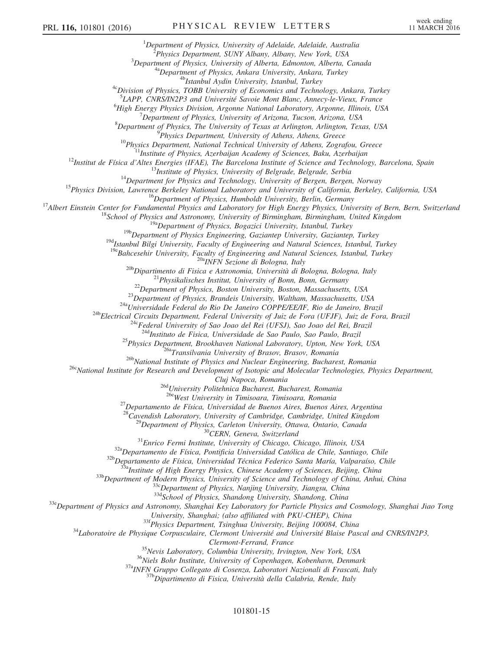<sup>1</sup>Department of Physics, University of Adelaide, Adelaide, Australia <sup>2</sup>Physics Department, SUNY Albany, Albany, New York, USA  $3$ Department of Physics, University of Alberta, Edmonton, Alberta, Canada <sup>4a</sup>Department of Physics, Ankara University, Ankara, Turkey <sup>4b</sup>Istanbul Aydin University, Istanbul, Turkey <sup>4c</sup>Division of Physics, TOBB University of Economics and Technology, Ankara, Turkey <sup>5</sup>LAPP, CNRS/IN2P3 and Université Savoie Mont Blanc, Annecy-le-Vieux, France  $^{6}$ High Energy Physics Division, Argonne National Laboratory, Argonne, Illinois, USA  $^7$ Department of Physics, University of Arizona, Tucson, Arizona, USA  $8$ Department of Physics, The University of Texas at Arlington, Arlington, Texas, USA <sup>9</sup>Physics Department, University of Athens, Athens, Greece  $10$ Physics Department, National Technical University of Athens, Zografou, Greece <sup>11</sup>Institute of Physics, Azerbaijan Academy of Sciences, Baku, Azerbaijan  $^{12}$ Institut de Física d'Altes Energies (IFAE), The Barcelona Institute of Science and Technology, Barcelona, Spain  $13$ Institute of Physics, University of Belgrade, Belgrade, Serbia  $14$ Department for Physics and Technology, University of Bergen, Bergen, Norway <sup>15</sup>Physics Division, Lawrence Berkeley National Laboratory and University of California, Berkeley, California, USA  $16$ Department of Physics, Humboldt University, Berlin, Germany <sup>17</sup>Albert Einstein Center for Fundamental Physics and Laboratory for High Energy Physics, University of Bern, Bern, Switzerland  $18$ School of Physics and Astronomy, University of Birmingham, Birmingham, United Kingdom <sup>19a</sup>Department of Physics, Bogazici University, Istanbul, Turkey  $19<sup>b</sup>$ Department of Physics Engineering, Gaziantep University, Gaziantep, Turkey <sup>19d</sup>Istanbul Bilgi University, Faculty of Engineering and Natural Sciences, Istanbul, Turkey  $19e$ Bahcesehir University, Faculty of Engineering and Natural Sciences, Istanbul, Turkey <sup>20a</sup>INFN Sezione di Bologna, Italy <sup>20b</sup>Dipartimento di Fisica e Astronomia, Università di Bologna, Bologna, Italy  $2^{21}$ Physikalisches Institut, University of Bonn, Bonn, Germany  $^{22}$ Department of Physics, Boston University, Boston, Massachusetts, USA  $^{23}$ Department of Physics, Brandeis University, Waltham, Massachusetts, USA <sup>24a</sup>Universidade Federal do Rio De Janeiro COPPE/EE/IF, Rio de Janeiro, Brazil <sup>24b</sup>Electrical Circuits Department, Federal University of Juiz de Fora (UFJF), Juiz de Fora, Brazil <sup>24c</sup>Federal University of Sao Joao del Rei (UFSJ), Sao Joao del Rei, Brazil <sup>24d</sup>Instituto de Fisica, Universidade de Sao Paulo, Sao Paulo, Brazil <sup>25</sup>Physics Department, Brookhaven National Laboratory, Upton, New York, USA <sup>26a</sup>Transilvania University of Brasov, Brasov, Romania <sup>26b</sup>National Institute of Physics and Nuclear Engineering, Bucharest, Romania <sup>26c</sup>National Institute for Research and Development of Isotopic and Molecular Technologies, Physics Department, Cluj Napoca, Romania <sup>26d</sup>University Politehnica Bucharest, Bucharest, Romania <sup>26e</sup>West University in Timisoara, Timisoara, Romania  $^{27}$ Departamento de Física, Universidad de Buenos Aires, Buenos Aires, Argentina  $28$ Cavendish Laboratory, University of Cambridge, Cambridge, United Kingdom  $^{29}$ Department of Physics, Carleton University, Ottawa, Ontario, Canada <sup>30</sup>CERN, Geneva, Switzerland  $31$ Enrico Fermi Institute, University of Chicago, Chicago, Illinois, USA  $32a$ Departamento de Física, Pontificia Universidad Católica de Chile, Santiago, Chile 32b Departamento de Física, Universidad Técnica Federico Santa María, Valparaíso, Chile  $33a$ Institute of High Energy Physics, Chinese Academy of Sciences, Beijing, China 33b Department of Modern Physics, University of Science and Technology of China, Anhui, China  $33c$ Department of Physics, Nanjing University, Jiangsu, China 33d School of Physics, Shandong University, Shandong, China <sup>33e</sup>Department of Physics and Astronomy, Shanghai Key Laboratory for Particle Physics and Cosmology, Shanghai Jiao Tong University, Shanghai; (also affiliated with PKU-CHEP), China 33f Physics Department, Tsinghua University, Beijing 100084, China <sup>34</sup>Laboratoire de Physique Corpusculaire, Clermont Université and Université Blaise Pascal and CNRS/IN2P3, Clermont-Ferrand, France <sup>35</sup>Nevis Laboratory, Columbia University, Irvington, New York, USA  $36$ Niels Bohr Institute, University of Copenhagen, Kobenhavn, Denmark

37<sup>a</sup>INFN Gruppo Collegato di Cosenza, Laboratori Nazionali di Frascati, Italy

<sup>37b</sup>Dipartimento di Fisica, Università della Calabria, Rende, Italy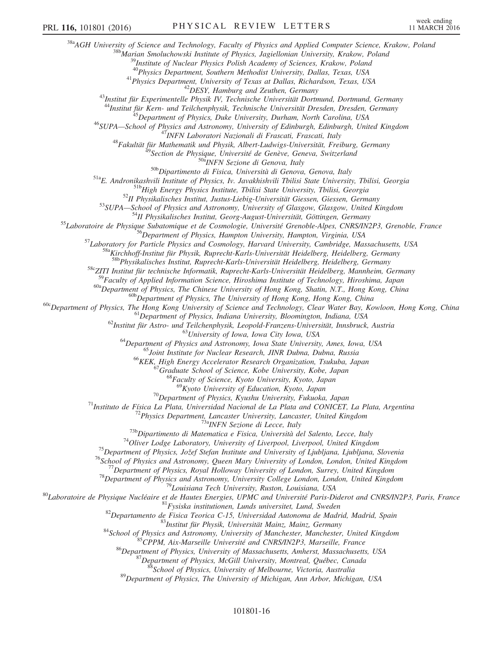<sup>38a</sup>AGH University of Science and Technology, Faculty of Physics and Applied Computer Science, Krakow, Poland

<sup>38b</sup>Marian Smoluchowski Institute of Physics, Jagiellonian University, Krakow, Poland

 $^{9}$ Institute of Nuclear Physics Polish Academy of Sciences, Krakow, Poland

<sup>40</sup>Physics Department, Southern Methodist University, Dallas, Texas, USA

<sup>41</sup>Physics Department, University of Texas at Dallas, Richardson, Texas, USA

<sup>42</sup>DESY, Hamburg and Zeuthen, Germany

<sup>43</sup>Institut für Experimentelle Physik IV, Technische Universität Dortmund, Dortmund, Germany

<sup>44</sup>Institut für Kern- und Teilchenphysik, Technische Universität Dresden, Dresden, Germany

<sup>45</sup>Department of Physics, Duke University, Durham, North Carolina, USA

<sup>46</sup>SUPA—School of Physics and Astronomy, University of Edinburgh, Edinburgh, United Kingdom

<sup>47</sup>INFN Laboratori Nazionali di Frascati, Frascati, Italy

<sup>48</sup>Fakultät für Mathematik und Physik, Albert-Ludwigs-Universität, Freiburg, Germany

Section de Physique, Université de Genève, Geneva, Switzerland

<sup>50a</sup>INFN Sezione di Genova, Italy

50b Dipartimento di Fisica, Università di Genova, Genova, Italy

51aE. Andronikashvili Institute of Physics, Iv. Javakhishvili Tbilisi State University, Tbilisi, Georgia

<sup>51b</sup>High Energy Physics Institute, Tbilisi State University, Tbilisi, Georgia

 $52$ II Physikalisches Institut, Justus-Liebig-Universität Giessen, Giessen, Germany

53SUPA-School of Physics and Astronomy, University of Glasgow, Glasgow, United Kingdom

<sup>54</sup>II Physikalisches Institut, Georg-August-Universität, Göttingen, Germany

<sup>55</sup>Laboratoire de Physique Subatomique et de Cosmologie, Université Grenoble-Alpes, CNRS/IN2P3, Grenoble, France

<sup>56</sup>Department of Physics, Hampton University, Hampton, Virginia, USA

<sup>57</sup>Laboratory for Particle Physics and Cosmology, Harvard University, Cambridge, Massachusetts, USA

<sup>58a</sup>Kirchhoff-Institut für Physik, Ruprecht-Karls-Universität Heidelberg, Heidelberg, Germany

<sup>58b</sup>Physikalisches Institut, Ruprecht-Karls-Universität Heidelberg, Heidelberg, Germany

58cZITI Institut für technische Informatik, Ruprecht-Karls-Universität Heidelberg, Mannheim, Germany

<sup>59</sup>Faculty of Applied Information Science, Hiroshima Institute of Technology, Hiroshima, Japan

<sup>60a</sup>Department of Physics, The Chinese University of Hong Kong, Shatin, N.T., Hong Kong, China

<sup>60b</sup>Department of Physics, The University of Hong Kong, Hong Kong, China

<sup>60c</sup>Department of Physics, The Hong Kong University of Science and Technology, Clear Water Bay, Kowloon, Hong Kong, China

<sup>61</sup>Department of Physics, Indiana University, Bloomington, Indiana, USA

 $^{62}$ Institut für Astro- und Teilchenphysik, Leopold-Franzens-Universität, Innsbruck, Austria

<sup>63</sup>University of Iowa, Iowa City Iowa, USA

<sup>64</sup>Department of Physics and Astronomy, Iowa State University, Ames, Iowa, USA

<sup>65</sup>Joint Institute for Nuclear Research, JINR Dubna, Dubna, Russia

<sup>66</sup>KEK, High Energy Accelerator Research Organization, Tsukuba, Japan

<sup>67</sup>Graduate School of Science, Kobe University, Kobe, Japan

<sup>68</sup>Faculty of Science, Kyoto University, Kyoto, Japan

 $^{69}$ Kyoto University of Education, Kyoto, Japan

 $70$ Department of Physics, Kyushu University, Fukuoka, Japan

 $71$ Instituto de Física La Plata, Universidad Nacional de La Plata and CONICET, La Plata, Argentina

 $72$ Physics Department, Lancaster University, Lancaster, United Kingdom

<sup>73a</sup>INFN Sezione di Lecce, Italy

 $^{73b}$ Dipartimento di Matematica e Fisica, Università del Salento, Lecce, Italy

 $74$ Oliver Lodge Laboratory, University of Liverpool, Liverpool, United Kingdom

 $^{75}$ Department of Physics, Jožef Stefan Institute and University of Ljubljana, Ljubljana, Slovenia

<sup>76</sup>School of Physics and Astronomy, Queen Mary University of London, London, United Kingdom

 $^{77}$ Department of Physics, Royal Holloway University of London, Surrey, United Kingdom

 $78$ Department of Physics and Astronomy, University College London, London, United Kingdom

<sup>79</sup>Louisiana Tech University, Ruston, Louisiana, USA

<sup>80</sup>Laboratoire de Physique Nucléaire et de Hautes Energies, UPMC and Université Paris-Diderot and CNRS/IN2P3, Paris, France

 $81$ Fysiska institutionen, Lunds universitet, Lund, Sweden

<sup>82</sup>Departamento de Fisica Teorica C-15, Universidad Autonoma de Madrid, Madrid, Spain

<sup>83</sup>Institut für Physik, Universität Mainz, Mainz, Germany

 $84$ School of Physics and Astronomy, University of Manchester, Manchester, United Kingdom

85 CPPM, Aix-Marseille Université and CNRS/IN2P3, Marseille, France

<sup>86</sup>Department of Physics, University of Massachusetts, Amherst, Massachusetts, USA

 $^{87}$ Department of Physics, McGill University, Montreal, Québec, Canada

<sup>8</sup>School of Physics, University of Melbourne, Victoria, Australia

<sup>89</sup>Department of Physics, The University of Michigan, Ann Arbor, Michigan, USA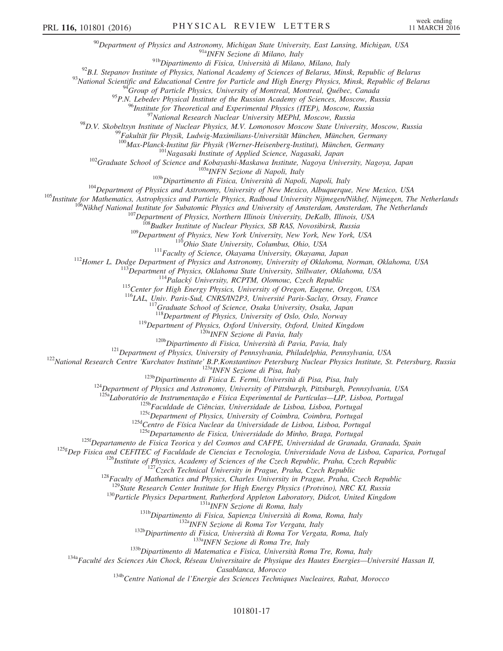$90$ Department of Physics and Astronomy, Michigan State University, East Lansing, Michigan, USA

91a<sub>INFN</sub> Sezione di Milano, Italy

91bDipartimento di Fisica, Università di Milano, Milano, Italy

 $92$ B.I. Stepanov Institute of Physics, National Academy of Sciences of Belarus, Minsk, Republic of Belarus

93 National Scientific and Educational Centre for Particle and High Energy Physics, Minsk, Republic of Belarus

 $94$ Group of Particle Physics, University of Montreal, Montreal, Québec, Canada

95P.N. Lebedev Physical Institute of the Russian Academy of Sciences, Moscow, Russia

<sup>96</sup>Institute for Theoretical and Experimental Physics (ITEP), Moscow, Russia

<sup>97</sup>National Research Nuclear University MEPhI, Moscow, Russia

<sup>98</sup>D.V. Skobeltsyn Institute of Nuclear Physics, M.V. Lomonosov Moscow State University, Moscow, Russia

 $^9$ Fakultät für Physik, Ludwig-Maximilians-Universität München, München, Germany

<sup>100</sup>Max-Planck-Institut für Physik (Werner-Heisenberg-Institut), München, Germany

<sup>101</sup>Nagasaki Institute of Applied Science, Nagasaki, Japan

<sup>102</sup>Graduate School of Science and Kobayashi-Maskawa Institute, Nagoya University, Nagoya, Japan

103a<sub>INFN</sub> Sezione di Napoli, Italy

<sup>103b</sup>Dipartimento di Fisica, Università di Napoli, Napoli, Italy

<sup>104</sup>Department of Physics and Astronomy, University of New Mexico, Albuquerque, New Mexico, USA

<sup>105</sup>Institute for Mathematics, Astrophysics and Particle Physics, Radboud University Nijmegen/Nikhef, Nijmegen, The Netherlands

<sup>106</sup>Nikhef National Institute for Subatomic Physics and University of Amsterdam, Amsterdam, The Netherlands

<sup>107</sup>Department of Physics, Northern Illinois University, DeKalb, Illinois, USA

<sup>108</sup>Budker Institute of Nuclear Physics, SB RAS, Novosibirsk, Russia

<sup>109</sup>Department of Physics, New York University, New York, New York, USA

11<sup>0</sup>Ohio State University, Columbus, Ohio, USA

<sup>111</sup>Faculty of Science, Okayama University, Okayama, Japan

<sup>112</sup>Homer L. Dodge Department of Physics and Astronomy, University of Oklahoma, Norman, Oklahoma, USA

 $^{113}$ Department of Physics, Oklahoma State University, Stillwater, Oklahoma, USA

 $114$ Palacký University, RCPTM, Olomouc, Czech Republic

<sup>115</sup>Center for High Energy Physics, University of Oregon, Eugene, Oregon, USA

<sup>116</sup>LAL, Univ. Paris-Sud, CNRS/IN2P3, Université Paris-Saclay, Orsay, France

 $117$ Graduate School of Science, Osaka University, Osaka, Japan

<sup>118</sup>Department of Physics, University of Oslo, Oslo, Norway

<sup>119</sup>Department of Physics, Oxford University, Oxford, United Kingdom

120a<sub>INFN</sub> Sezione di Pavia, Italy

<sup>120b</sup>Dipartimento di Fisica, Università di Pavia, Pavia, Italy

<sup>121</sup>Department of Physics, University of Pennsylvania, Philadelphia, Pennsylvania, USA

<sup>122</sup>National Research Centre 'Kurchatov Institute' B.P.Konstantinov Petersburg Nuclear Physics Institute, St. Petersburg, Russia

<sup>123a</sup>INFN Sezione di Pisa, Italy

 $123b$ Dipartimento di Fisica E. Fermi, Università di Pisa, Pisa, Italy

<sup>124</sup>Department of Physics and Astronomy, University of Pittsburgh, Pittsburgh, Pennsylvania, USA

<sup>125a</sup>Laboratório de Instrumentação e Física Experimental de Partículas—LIP, Lisboa, Portugal

<sup>125b</sup>Faculdade de Ciências, Universidade de Lisboa, Lisboa, Portugal

125cDepartment of Physics, University of Coimbra, Coimbra, Portugal

125d Centro de Física Nuclear da Universidade de Lisboa, Lisboa, Portugal

<sup>125e</sup>Departamento de Fisica, Universidade do Minho, Braga, Portugal

<sup>125f</sup>Departamento de Fisica Teorica y del Cosmos and CAFPE, Universidad de Granada, Granada, Spain

<sup>125g</sup>Dep Fisica and CEFITEC of Faculdade de Ciencias e Tecnologia, Universidade Nova de Lisboa, Caparica, Portugal

 $126$  Institute of Physics, Academy of Sciences of the Czech Republic, Praha, Czech Republic

 $127C$ zech Technical University in Prague, Praha, Czech Republic

 $128$ Faculty of Mathematics and Physics, Charles University in Prague, Praha, Czech Republic

 $129$ State Research Center Institute for High Energy Physics (Protvino), NRC KI, Russia

<sup>130</sup>Particle Physics Department, Rutherford Appleton Laboratory, Didcot, United Kingdom

131a<sub>INFN</sub> Sezione di Roma, Italy

<sup>131b</sup>Dipartimento di Fisica, Sapienza Università di Roma, Roma, Italy

<sup>132a</sup>INFN Sezione di Roma Tor Vergata, Italy

<sup>132b</sup>Dipartimento di Fisica, Università di Roma Tor Vergata, Roma, Italy

133a<sub>INFN</sub> Sezione di Roma Tre, Italy

<sup>133b</sup>Dipartimento di Matematica e Fisica, Università Roma Tre, Roma, Italy

<span id="page-17-2"></span><span id="page-17-1"></span><span id="page-17-0"></span><sup>134a</sup>Faculté des Sciences Ain Chock, Réseau Universitaire de Physique des Hautes Energies—Université Hassan II,

Casablanca, Morocco

134b Centre National de l'Energie des Sciences Techniques Nucleaires, Rabat, Morocco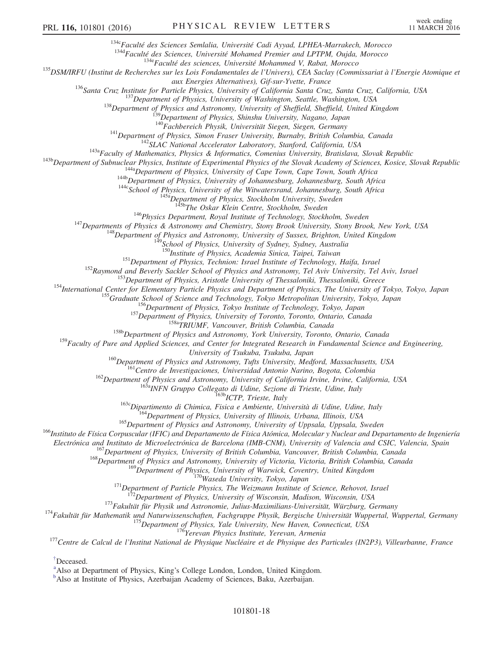<sup>134c</sup>Faculté des Sciences Semlalia, Université Cadi Ayyad, LPHEA-Marrakech, Morocco

<sup>134d</sup>Faculté des Sciences, Université Mohamed Premier and LPTPM, Oujda, Morocco

<sup>134e</sup>Faculté des sciences, Université Mohammed V, Rabat, Morocco

<span id="page-18-7"></span><span id="page-18-6"></span><span id="page-18-5"></span><span id="page-18-4"></span><span id="page-18-3"></span><span id="page-18-2"></span><span id="page-18-1"></span><span id="page-18-0"></span><sup>135</sup>DSM/IRFU (Institut de Recherches sur les Lois Fondamentales de l'Univers), CEA Saclay (Commissariat à l'Energie Atomique et

aux Energies Alternatives), Gif-sur-Yvette, France

<span id="page-18-8"></span><sup>136</sup>Santa Cruz Institute for Particle Physics, University of California Santa Cruz, Santa Cruz, California, USA

 $137$ Department of Physics, University of Washington, Seattle, Washington, USA

<sup>138</sup>Department of Physics and Astronomy, University of Sheffield, Sheffield, United Kingdom

<sup>39</sup>Department of Physics, Shinshu University, Nagano, Japan

<sup>140</sup>Fachbereich Physik, Universität Siegen, Siegen, Germany

 $141$ Department of Physics, Simon Fraser University, Burnaby, British Columbia, Canada

<sup>142</sup>SLAC National Accelerator Laboratory, Stanford, California, USA

 $143a$ Faculty of Mathematics, Physics & Informatics, Comenius University, Bratislava, Slovak Republic

<span id="page-18-17"></span><span id="page-18-16"></span><span id="page-18-15"></span><span id="page-18-14"></span><span id="page-18-13"></span><span id="page-18-12"></span><span id="page-18-11"></span><span id="page-18-10"></span><span id="page-18-9"></span><sup>143b</sup>Department of Subnuclear Physics, Institute of Experimental Physics of the Slovak Academy of Sciences, Kosice, Slovak Republic

 $144a$ Department of Physics, University of Cape Town, Cape Town, South Africa

144b Department of Physics, University of Johannesburg, Johannesburg, South Africa

<sup>144c</sup>School of Physics, University of the Witwatersrand, Johannesburg, South Africa

<sup>145a</sup>Department of Physics, Stockholm University, Sweden

<sup>15b</sup>The Oskar Klein Centre, Stockholm, Sweden

 $146$ Physics Department, Royal Institute of Technology, Stockholm, Sweden

<span id="page-18-22"></span><span id="page-18-21"></span><span id="page-18-20"></span><span id="page-18-19"></span><span id="page-18-18"></span><sup>147</sup>Departments of Physics & Astronomy and Chemistry, Stony Brook University, Stony Brook, New York, USA

 $148$ Department of Physics and Astronomy, University of Sussex, Brighton, United Kingdom

<sup>149</sup>School of Physics, University of Sydney, Sydney, Australia

<sup>150</sup>Institute of Physics, Academia Sinica, Taipei, Taiwan

 $151$ Department of Physics, Technion: Israel Institute of Technology, Haifa, Israel

<sup>152</sup>Raymond and Beverly Sackler School of Physics and Astronomy, Tel Aviv University, Tel Aviv, Israel

<sup>153</sup>Department of Physics, Aristotle University of Thessaloniki, Thessaloniki, Greece

<span id="page-18-30"></span><span id="page-18-29"></span><span id="page-18-28"></span><span id="page-18-27"></span><span id="page-18-26"></span><span id="page-18-25"></span><span id="page-18-24"></span><span id="page-18-23"></span><sup>154</sup>International Center for Elementary Particle Physics and Department of Physics, The University of Tokyo, Tokyo, Japan

<sup>155</sup>Graduate School of Science and Technology, Tokyo Metropolitan University, Tokyo, Japan

<sup>156</sup>Department of Physics, Tokyo Institute of Technology, Tokyo, Japan

<sup>157</sup>Department of Physics, University of Toronto, Toronto, Ontario, Canada

<sup>158a</sup>TRIUMF, Vancouver, British Columbia, Canada

<sup>158b</sup>Department of Physics and Astronomy, York University, Toronto, Ontario, Canada

<span id="page-18-38"></span><span id="page-18-37"></span><span id="page-18-36"></span><span id="page-18-35"></span><span id="page-18-34"></span><span id="page-18-33"></span><span id="page-18-32"></span><span id="page-18-31"></span> $159$  Faculty of Pure and Applied Sciences, and Center for Integrated Research in Fundamental Science and Engineering,

University of Tsukuba, Tsukuba, Japan

<sup>160</sup>Department of Physics and Astronomy, Tufts University, Medford, Massachusetts, USA

<sup>161</sup>Centro de Investigaciones, Universidad Antonio Narino, Bogota, Colombia

<sup>162</sup>Department of Physics and Astronomy, University of California Irvine, Irvine, California, USA

<sup>163a</sup>INFN Gruppo Collegato di Udine, Sezione di Trieste, Udine, Italy

<sup>163b</sup>ICTP, Trieste, Italy

<sup>163c</sup>Dipartimento di Chimica, Fisica e Ambiente, Università di Udine, Udine, Italy

<sup>164</sup>Department of Physics, University of Illinois, Urbana, Illinois, USA

<sup>165</sup>Department of Physics and Astronomy, University of Uppsala, Uppsala, Sweden

<sup>166</sup>Instituto de Física Corpuscular (IFIC) and Departamento de Física Atómica, Molecular y Nuclear and Departamento de Ingeniería

Electrónica and Instituto de Microelectrónica de Barcelona (IMB-CNM), University of Valencia and CSIC, Valencia, Spain

<sup>167</sup>Department of Physics, University of British Columbia, Vancouver, British Columbia, Canada

<sup>168</sup>Department of Physics and Astronomy, University of Victoria, Victoria, British Columbia, Canada

<sup>169</sup>Department of Physics, University of Warwick, Coventry, United Kingdom

170Waseda University, Tokyo, Japan

<sup>171</sup>Department of Particle Physics, The Weizmann Institute of Science, Rehovot, Israel

<sup>[72</sup>Department of Physics, University of Wisconsin, Madison, Wisconsin, USA

<sup>173</sup>Fakultät für Physik und Astronomie, Julius-Maximilians-Universität, Würzburg, Germany

<sup>174</sup>Fakultät für Mathematik und Naturwissenschaften, Fachgruppe Physik, Bergische Universität Wuppertal, Wuppertal, Germany

<sup>175</sup>Department of Physics, Yale University, New Haven, Connecticut, USA

<sup>176</sup>Yerevan Physics Institute, Yerevan, Armenia

<sup>177</sup>Centre de Calcul de l'Institut National de Physique Nucléaire et de Physique des Particules (IN2P3), Villeurbanne, France

[†](#page-6-2)Deceased.

<sup>[a](#page-6-3)</sup>Also at Department of Physics, King's College London, London, United Kingdom.

<sup>[b](#page-6-4)</sup>Also at Institute of Physics, Azerbaijan Academy of Sciences, Baku, Azerbaijan.